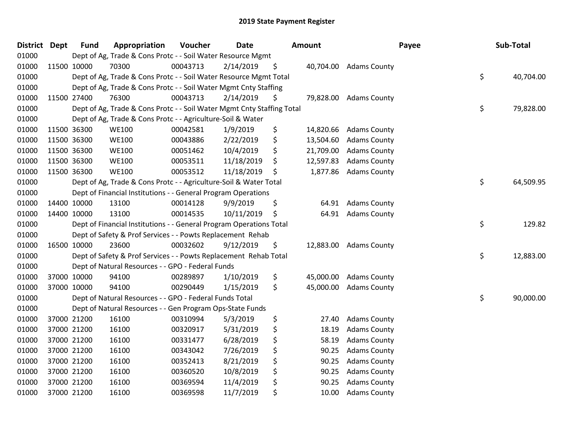| <b>District Dept</b> |             | <b>Fund</b> | Appropriation                                                          | Voucher  | <b>Date</b> | <b>Amount</b>   |                        | Payee | Sub-Total |
|----------------------|-------------|-------------|------------------------------------------------------------------------|----------|-------------|-----------------|------------------------|-------|-----------|
| 01000                |             |             | Dept of Ag, Trade & Cons Protc - - Soil Water Resource Mgmt            |          |             |                 |                        |       |           |
| 01000                | 11500 10000 |             | 70300                                                                  | 00043713 | 2/14/2019   | \$              | 40,704.00 Adams County |       |           |
| 01000                |             |             | Dept of Ag, Trade & Cons Protc - - Soil Water Resource Mgmt Total      |          |             |                 |                        | \$    | 40,704.00 |
| 01000                |             |             | Dept of Ag, Trade & Cons Protc - - Soil Water Mgmt Cnty Staffing       |          |             |                 |                        |       |           |
| 01000                | 11500 27400 |             | 76300                                                                  | 00043713 | 2/14/2019   | \$<br>79,828.00 | <b>Adams County</b>    |       |           |
| 01000                |             |             | Dept of Ag, Trade & Cons Protc - - Soil Water Mgmt Cnty Staffing Total |          |             |                 |                        | \$    | 79,828.00 |
| 01000                |             |             | Dept of Ag, Trade & Cons Protc - - Agriculture-Soil & Water            |          |             |                 |                        |       |           |
| 01000                | 11500 36300 |             | <b>WE100</b>                                                           | 00042581 | 1/9/2019    | \$<br>14,820.66 | <b>Adams County</b>    |       |           |
| 01000                | 11500 36300 |             | <b>WE100</b>                                                           | 00043886 | 2/22/2019   | \$<br>13,504.60 | <b>Adams County</b>    |       |           |
| 01000                | 11500 36300 |             | <b>WE100</b>                                                           | 00051462 | 10/4/2019   | \$<br>21,709.00 | <b>Adams County</b>    |       |           |
| 01000                | 11500 36300 |             | <b>WE100</b>                                                           | 00053511 | 11/18/2019  | \$<br>12,597.83 | <b>Adams County</b>    |       |           |
| 01000                | 11500 36300 |             | <b>WE100</b>                                                           | 00053512 | 11/18/2019  | \$<br>1,877.86  | <b>Adams County</b>    |       |           |
| 01000                |             |             | Dept of Ag, Trade & Cons Protc - - Agriculture-Soil & Water Total      |          |             |                 |                        | \$    | 64,509.95 |
| 01000                |             |             | Dept of Financial Institutions - - General Program Operations          |          |             |                 |                        |       |           |
| 01000                |             | 14400 10000 | 13100                                                                  | 00014128 | 9/9/2019    | \$<br>64.91     | <b>Adams County</b>    |       |           |
| 01000                | 14400 10000 |             | 13100                                                                  | 00014535 | 10/11/2019  | \$<br>64.91     | <b>Adams County</b>    |       |           |
| 01000                |             |             | Dept of Financial Institutions - - General Program Operations Total    |          |             |                 |                        | \$    | 129.82    |
| 01000                |             |             | Dept of Safety & Prof Services - - Powts Replacement Rehab             |          |             |                 |                        |       |           |
| 01000                | 16500 10000 |             | 23600                                                                  | 00032602 | 9/12/2019   | \$<br>12,883.00 | <b>Adams County</b>    |       |           |
| 01000                |             |             | Dept of Safety & Prof Services - - Powts Replacement Rehab Total       |          |             |                 |                        | \$    | 12,883.00 |
| 01000                |             |             | Dept of Natural Resources - - GPO - Federal Funds                      |          |             |                 |                        |       |           |
| 01000                |             | 37000 10000 | 94100                                                                  | 00289897 | 1/10/2019   | \$<br>45,000.00 | <b>Adams County</b>    |       |           |
| 01000                |             | 37000 10000 | 94100                                                                  | 00290449 | 1/15/2019   | \$<br>45,000.00 | <b>Adams County</b>    |       |           |
| 01000                |             |             | Dept of Natural Resources - - GPO - Federal Funds Total                |          |             |                 |                        | \$    | 90,000.00 |
| 01000                |             |             | Dept of Natural Resources - - Gen Program Ops-State Funds              |          |             |                 |                        |       |           |
| 01000                |             | 37000 21200 | 16100                                                                  | 00310994 | 5/3/2019    | \$<br>27.40     | <b>Adams County</b>    |       |           |
| 01000                |             | 37000 21200 | 16100                                                                  | 00320917 | 5/31/2019   | \$<br>18.19     | <b>Adams County</b>    |       |           |
| 01000                |             | 37000 21200 | 16100                                                                  | 00331477 | 6/28/2019   | \$<br>58.19     | <b>Adams County</b>    |       |           |
| 01000                | 37000 21200 |             | 16100                                                                  | 00343042 | 7/26/2019   | \$<br>90.25     | <b>Adams County</b>    |       |           |
| 01000                | 37000 21200 |             | 16100                                                                  | 00352413 | 8/21/2019   | \$<br>90.25     | <b>Adams County</b>    |       |           |
| 01000                |             | 37000 21200 | 16100                                                                  | 00360520 | 10/8/2019   | \$<br>90.25     | <b>Adams County</b>    |       |           |
| 01000                |             | 37000 21200 | 16100                                                                  | 00369594 | 11/4/2019   | \$<br>90.25     | <b>Adams County</b>    |       |           |
| 01000                |             | 37000 21200 | 16100                                                                  | 00369598 | 11/7/2019   | \$<br>10.00     | <b>Adams County</b>    |       |           |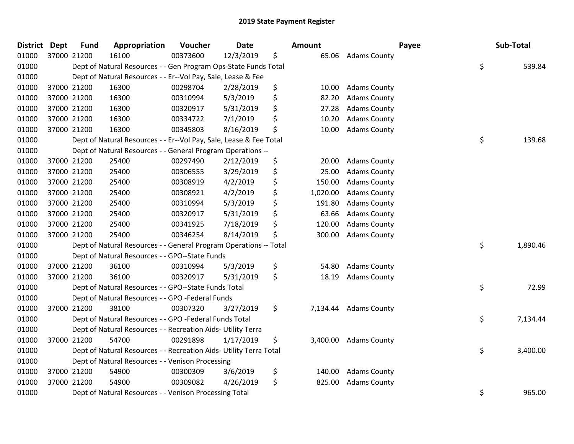| <b>District</b> | <b>Dept</b> | <b>Fund</b> | Appropriation                                                      | Voucher  | <b>Date</b> | <b>Amount</b>  |                     | Payee | Sub-Total |
|-----------------|-------------|-------------|--------------------------------------------------------------------|----------|-------------|----------------|---------------------|-------|-----------|
| 01000           | 37000 21200 |             | 16100                                                              | 00373600 | 12/3/2019   | \$<br>65.06    | <b>Adams County</b> |       |           |
| 01000           |             |             | Dept of Natural Resources - - Gen Program Ops-State Funds Total    |          |             |                |                     | \$    | 539.84    |
| 01000           |             |             | Dept of Natural Resources - - Er--Vol Pay, Sale, Lease & Fee       |          |             |                |                     |       |           |
| 01000           |             | 37000 21200 | 16300                                                              | 00298704 | 2/28/2019   | \$<br>10.00    | <b>Adams County</b> |       |           |
| 01000           |             | 37000 21200 | 16300                                                              | 00310994 | 5/3/2019    | \$<br>82.20    | <b>Adams County</b> |       |           |
| 01000           | 37000 21200 |             | 16300                                                              | 00320917 | 5/31/2019   | \$<br>27.28    | <b>Adams County</b> |       |           |
| 01000           |             | 37000 21200 | 16300                                                              | 00334722 | 7/1/2019    | \$<br>10.20    | <b>Adams County</b> |       |           |
| 01000           | 37000 21200 |             | 16300                                                              | 00345803 | 8/16/2019   | \$<br>10.00    | <b>Adams County</b> |       |           |
| 01000           |             |             | Dept of Natural Resources - - Er--Vol Pay, Sale, Lease & Fee Total |          |             |                |                     | \$    | 139.68    |
| 01000           |             |             | Dept of Natural Resources - - General Program Operations --        |          |             |                |                     |       |           |
| 01000           | 37000 21200 |             | 25400                                                              | 00297490 | 2/12/2019   | \$<br>20.00    | <b>Adams County</b> |       |           |
| 01000           |             | 37000 21200 | 25400                                                              | 00306555 | 3/29/2019   | \$<br>25.00    | <b>Adams County</b> |       |           |
| 01000           | 37000 21200 |             | 25400                                                              | 00308919 | 4/2/2019    | \$<br>150.00   | <b>Adams County</b> |       |           |
| 01000           |             | 37000 21200 | 25400                                                              | 00308921 | 4/2/2019    | \$<br>1,020.00 | <b>Adams County</b> |       |           |
| 01000           |             | 37000 21200 | 25400                                                              | 00310994 | 5/3/2019    | \$<br>191.80   | <b>Adams County</b> |       |           |
| 01000           | 37000 21200 |             | 25400                                                              | 00320917 | 5/31/2019   | \$<br>63.66    | <b>Adams County</b> |       |           |
| 01000           |             | 37000 21200 | 25400                                                              | 00341925 | 7/18/2019   | \$<br>120.00   | <b>Adams County</b> |       |           |
| 01000           |             | 37000 21200 | 25400                                                              | 00346254 | 8/14/2019   | \$<br>300.00   | <b>Adams County</b> |       |           |
| 01000           |             |             | Dept of Natural Resources - - General Program Operations -- Total  |          |             |                |                     | \$    | 1,890.46  |
| 01000           |             |             | Dept of Natural Resources - - GPO--State Funds                     |          |             |                |                     |       |           |
| 01000           | 37000 21200 |             | 36100                                                              | 00310994 | 5/3/2019    | \$<br>54.80    | <b>Adams County</b> |       |           |
| 01000           |             | 37000 21200 | 36100                                                              | 00320917 | 5/31/2019   | \$<br>18.19    | <b>Adams County</b> |       |           |
| 01000           |             |             | Dept of Natural Resources - - GPO--State Funds Total               |          |             |                |                     | \$    | 72.99     |
| 01000           |             |             | Dept of Natural Resources - - GPO -Federal Funds                   |          |             |                |                     |       |           |
| 01000           |             | 37000 21200 | 38100                                                              | 00307320 | 3/27/2019   | \$<br>7,134.44 | <b>Adams County</b> |       |           |
| 01000           |             |             | Dept of Natural Resources - - GPO -Federal Funds Total             |          |             |                |                     | \$    | 7,134.44  |
| 01000           |             |             | Dept of Natural Resources - - Recreation Aids- Utility Terra       |          |             |                |                     |       |           |
| 01000           |             | 37000 21200 | 54700                                                              | 00291898 | 1/17/2019   | \$<br>3,400.00 | <b>Adams County</b> |       |           |
| 01000           |             |             | Dept of Natural Resources - - Recreation Aids- Utility Terra Total |          |             |                |                     | \$    | 3,400.00  |
| 01000           |             |             | Dept of Natural Resources - - Venison Processing                   |          |             |                |                     |       |           |
| 01000           | 37000 21200 |             | 54900                                                              | 00300309 | 3/6/2019    | \$<br>140.00   | <b>Adams County</b> |       |           |
| 01000           |             | 37000 21200 | 54900                                                              | 00309082 | 4/26/2019   | \$<br>825.00   | <b>Adams County</b> |       |           |
| 01000           |             |             | Dept of Natural Resources - - Venison Processing Total             |          |             |                |                     | \$    | 965.00    |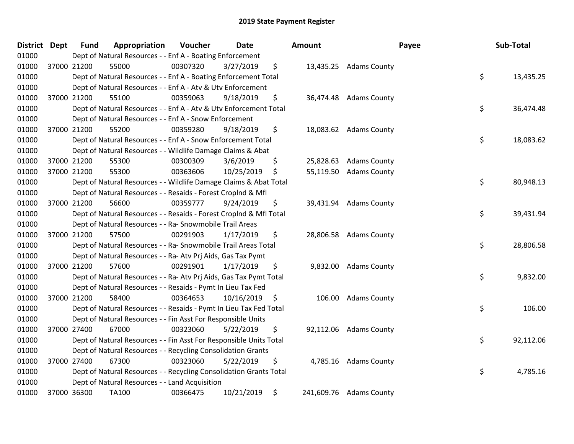| District Dept | <b>Fund</b> | Appropriation                                                      | Voucher  | <b>Date</b> |      | Amount    |                         | Payee | Sub-Total |
|---------------|-------------|--------------------------------------------------------------------|----------|-------------|------|-----------|-------------------------|-------|-----------|
| 01000         |             | Dept of Natural Resources - - Enf A - Boating Enforcement          |          |             |      |           |                         |       |           |
| 01000         | 37000 21200 | 55000                                                              | 00307320 | 3/27/2019   | \$   |           | 13,435.25 Adams County  |       |           |
| 01000         |             | Dept of Natural Resources - - Enf A - Boating Enforcement Total    |          |             |      |           |                         | \$    | 13,435.25 |
| 01000         |             | Dept of Natural Resources - - Enf A - Atv & Utv Enforcement        |          |             |      |           |                         |       |           |
| 01000         | 37000 21200 | 55100                                                              | 00359063 | 9/18/2019   | \$   |           | 36,474.48 Adams County  |       |           |
| 01000         |             | Dept of Natural Resources - - Enf A - Atv & Utv Enforcement Total  |          |             |      |           |                         | \$    | 36,474.48 |
| 01000         |             | Dept of Natural Resources - - Enf A - Snow Enforcement             |          |             |      |           |                         |       |           |
| 01000         | 37000 21200 | 55200                                                              | 00359280 | 9/18/2019   | \$   |           | 18,083.62 Adams County  |       |           |
| 01000         |             | Dept of Natural Resources - - Enf A - Snow Enforcement Total       |          |             |      |           |                         | \$    | 18,083.62 |
| 01000         |             | Dept of Natural Resources - - Wildlife Damage Claims & Abat        |          |             |      |           |                         |       |           |
| 01000         | 37000 21200 | 55300                                                              | 00300309 | 3/6/2019    | \$   | 25,828.63 | <b>Adams County</b>     |       |           |
| 01000         | 37000 21200 | 55300                                                              | 00363606 | 10/25/2019  | \$   | 55,119.50 | <b>Adams County</b>     |       |           |
| 01000         |             | Dept of Natural Resources - - Wildlife Damage Claims & Abat Total  |          |             |      |           |                         | \$    | 80,948.13 |
| 01000         |             | Dept of Natural Resources - - Resaids - Forest CropInd & Mfl       |          |             |      |           |                         |       |           |
| 01000         | 37000 21200 | 56600                                                              | 00359777 | 9/24/2019   | \$   | 39,431.94 | <b>Adams County</b>     |       |           |
| 01000         |             | Dept of Natural Resources - - Resaids - Forest CropInd & Mfl Total |          |             |      |           |                         | \$    | 39,431.94 |
| 01000         |             | Dept of Natural Resources - - Ra- Snowmobile Trail Areas           |          |             |      |           |                         |       |           |
| 01000         | 37000 21200 | 57500                                                              | 00291903 | 1/17/2019   | \$   |           | 28,806.58 Adams County  |       |           |
| 01000         |             | Dept of Natural Resources - - Ra- Snowmobile Trail Areas Total     |          |             |      |           |                         | \$    | 28,806.58 |
| 01000         |             | Dept of Natural Resources - - Ra- Atv Prj Aids, Gas Tax Pymt       |          |             |      |           |                         |       |           |
| 01000         | 37000 21200 | 57600                                                              | 00291901 | 1/17/2019   | \$   |           | 9,832.00 Adams County   |       |           |
| 01000         |             | Dept of Natural Resources - - Ra- Atv Prj Aids, Gas Tax Pymt Total |          |             |      |           |                         | \$    | 9,832.00  |
| 01000         |             | Dept of Natural Resources - - Resaids - Pymt In Lieu Tax Fed       |          |             |      |           |                         |       |           |
| 01000         | 37000 21200 | 58400                                                              | 00364653 | 10/16/2019  | - \$ | 106.00    | <b>Adams County</b>     |       |           |
| 01000         |             | Dept of Natural Resources - - Resaids - Pymt In Lieu Tax Fed Total |          |             |      |           |                         | \$    | 106.00    |
| 01000         |             | Dept of Natural Resources - - Fin Asst For Responsible Units       |          |             |      |           |                         |       |           |
| 01000         | 37000 27400 | 67000                                                              | 00323060 | 5/22/2019   | \$   |           | 92,112.06 Adams County  |       |           |
| 01000         |             | Dept of Natural Resources - - Fin Asst For Responsible Units Total |          |             |      |           |                         | \$    | 92,112.06 |
| 01000         |             | Dept of Natural Resources - - Recycling Consolidation Grants       |          |             |      |           |                         |       |           |
| 01000         | 37000 27400 | 67300                                                              | 00323060 | 5/22/2019   | \$   |           | 4,785.16 Adams County   |       |           |
| 01000         |             | Dept of Natural Resources - - Recycling Consolidation Grants Total |          |             |      |           |                         | \$    | 4,785.16  |
| 01000         |             | Dept of Natural Resources - - Land Acquisition                     |          |             |      |           |                         |       |           |
| 01000         | 37000 36300 | TA100                                                              | 00366475 | 10/21/2019  | \$   |           | 241,609.76 Adams County |       |           |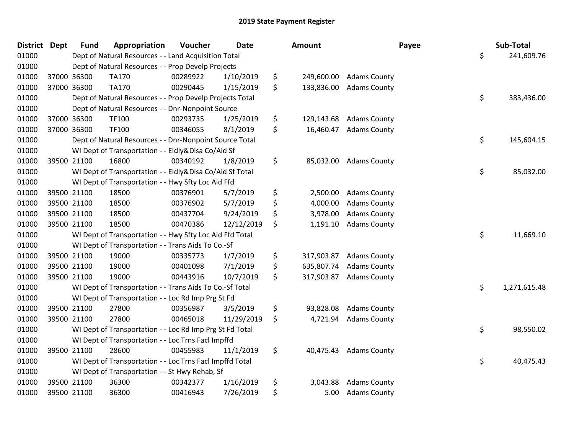| <b>District Dept</b> |             | <b>Fund</b> | Appropriation                                            | Voucher  | <b>Date</b> | Amount           |                     | Payee | Sub-Total    |
|----------------------|-------------|-------------|----------------------------------------------------------|----------|-------------|------------------|---------------------|-------|--------------|
| 01000                |             |             | Dept of Natural Resources - - Land Acquisition Total     |          |             |                  |                     | \$    | 241,609.76   |
| 01000                |             |             | Dept of Natural Resources - - Prop Develp Projects       |          |             |                  |                     |       |              |
| 01000                | 37000 36300 |             | TA170                                                    | 00289922 | 1/10/2019   | \$<br>249,600.00 | <b>Adams County</b> |       |              |
| 01000                | 37000 36300 |             | TA170                                                    | 00290445 | 1/15/2019   | \$<br>133,836.00 | <b>Adams County</b> |       |              |
| 01000                |             |             | Dept of Natural Resources - - Prop Develp Projects Total |          |             |                  |                     | \$    | 383,436.00   |
| 01000                |             |             | Dept of Natural Resources - - Dnr-Nonpoint Source        |          |             |                  |                     |       |              |
| 01000                | 37000 36300 |             | TF100                                                    | 00293735 | 1/25/2019   | \$<br>129,143.68 | <b>Adams County</b> |       |              |
| 01000                | 37000 36300 |             | TF100                                                    | 00346055 | 8/1/2019    | \$<br>16,460.47  | <b>Adams County</b> |       |              |
| 01000                |             |             | Dept of Natural Resources - - Dnr-Nonpoint Source Total  |          |             |                  |                     | \$    | 145,604.15   |
| 01000                |             |             | WI Dept of Transportation - - Eldly&Disa Co/Aid Sf       |          |             |                  |                     |       |              |
| 01000                | 39500 21100 |             | 16800                                                    | 00340192 | 1/8/2019    | \$<br>85,032.00  | <b>Adams County</b> |       |              |
| 01000                |             |             | WI Dept of Transportation - - Eldly&Disa Co/Aid Sf Total |          |             |                  |                     | \$    | 85,032.00    |
| 01000                |             |             | WI Dept of Transportation - - Hwy Sfty Loc Aid Ffd       |          |             |                  |                     |       |              |
| 01000                | 39500 21100 |             | 18500                                                    | 00376901 | 5/7/2019    | \$<br>2,500.00   | <b>Adams County</b> |       |              |
| 01000                | 39500 21100 |             | 18500                                                    | 00376902 | 5/7/2019    | \$<br>4,000.00   | <b>Adams County</b> |       |              |
| 01000                | 39500 21100 |             | 18500                                                    | 00437704 | 9/24/2019   | \$<br>3,978.00   | <b>Adams County</b> |       |              |
| 01000                | 39500 21100 |             | 18500                                                    | 00470386 | 12/12/2019  | \$<br>1,191.10   | <b>Adams County</b> |       |              |
| 01000                |             |             | WI Dept of Transportation - - Hwy Sfty Loc Aid Ffd Total |          |             |                  |                     | \$    | 11,669.10    |
| 01000                |             |             | WI Dept of Transportation - - Trans Aids To Co.-Sf       |          |             |                  |                     |       |              |
| 01000                | 39500 21100 |             | 19000                                                    | 00335773 | 1/7/2019    | \$<br>317,903.87 | <b>Adams County</b> |       |              |
| 01000                | 39500 21100 |             | 19000                                                    | 00401098 | 7/1/2019    | \$<br>635,807.74 | <b>Adams County</b> |       |              |
| 01000                | 39500 21100 |             | 19000                                                    | 00443916 | 10/7/2019   | \$<br>317,903.87 | <b>Adams County</b> |       |              |
| 01000                |             |             | WI Dept of Transportation - - Trans Aids To Co.-Sf Total |          |             |                  |                     | \$    | 1,271,615.48 |
| 01000                |             |             | WI Dept of Transportation - - Loc Rd Imp Prg St Fd       |          |             |                  |                     |       |              |
| 01000                | 39500 21100 |             | 27800                                                    | 00356987 | 3/5/2019    | \$<br>93,828.08  | <b>Adams County</b> |       |              |
| 01000                | 39500 21100 |             | 27800                                                    | 00465018 | 11/29/2019  | \$<br>4,721.94   | <b>Adams County</b> |       |              |
| 01000                |             |             | WI Dept of Transportation - - Loc Rd Imp Prg St Fd Total |          |             |                  |                     | \$    | 98,550.02    |
| 01000                |             |             | WI Dept of Transportation - - Loc Trns Facl Impffd       |          |             |                  |                     |       |              |
| 01000                | 39500 21100 |             | 28600                                                    | 00455983 | 11/1/2019   | \$<br>40,475.43  | <b>Adams County</b> |       |              |
| 01000                |             |             | WI Dept of Transportation - - Loc Trns Facl Impffd Total |          |             |                  |                     | \$    | 40,475.43    |
| 01000                |             |             | WI Dept of Transportation - - St Hwy Rehab, Sf           |          |             |                  |                     |       |              |
| 01000                | 39500 21100 |             | 36300                                                    | 00342377 | 1/16/2019   | \$<br>3,043.88   | <b>Adams County</b> |       |              |
| 01000                | 39500 21100 |             | 36300                                                    | 00416943 | 7/26/2019   | \$<br>5.00       | <b>Adams County</b> |       |              |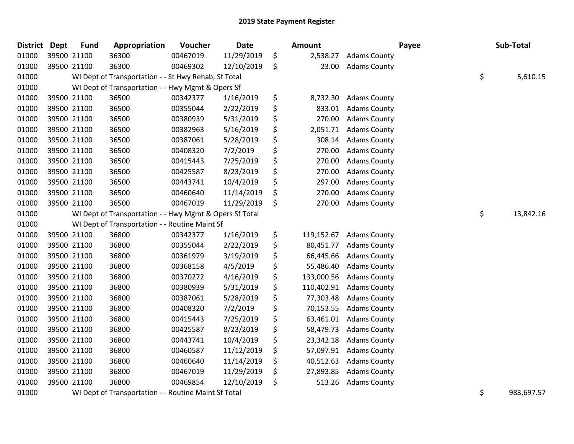| District | Dept | <b>Fund</b> | Appropriation                                           | Voucher                                                                                | <b>Date</b> |     | <b>Amount</b> |                     | Payee |    | Sub-Total  |
|----------|------|-------------|---------------------------------------------------------|----------------------------------------------------------------------------------------|-------------|-----|---------------|---------------------|-------|----|------------|
| 01000    |      | 39500 21100 | 36300                                                   | 00467019                                                                               | 11/29/2019  | \$  | 2,538.27      | <b>Adams County</b> |       |    |            |
| 01000    |      | 39500 21100 | 36300                                                   | 00469302                                                                               | 12/10/2019  | \$  | 23.00         | <b>Adams County</b> |       |    |            |
| 01000    |      |             | WI Dept of Transportation - - St Hwy Rehab, Sf Total    |                                                                                        |             |     |               |                     |       | \$ | 5,610.15   |
| 01000    |      |             | WI Dept of Transportation - - Hwy Mgmt & Opers Sf       |                                                                                        |             |     |               |                     |       |    |            |
| 01000    |      | 39500 21100 | 36500                                                   | 00342377                                                                               | 1/16/2019   | \$  | 8,732.30      | <b>Adams County</b> |       |    |            |
| 01000    |      | 39500 21100 | 36500                                                   | 00355044                                                                               | 2/22/2019   | \$  | 833.01        | <b>Adams County</b> |       |    |            |
| 01000    |      | 39500 21100 | 36500                                                   | 00380939                                                                               | 5/31/2019   | \$  | 270.00        | <b>Adams County</b> |       |    |            |
| 01000    |      | 39500 21100 | 36500                                                   | 00382963                                                                               | 5/16/2019   | \$  | 2,051.71      | <b>Adams County</b> |       |    |            |
| 01000    |      | 39500 21100 | 36500                                                   | 00387061                                                                               | 5/28/2019   | \$  | 308.14        | <b>Adams County</b> |       |    |            |
| 01000    |      | 39500 21100 | 36500                                                   | 00408320                                                                               | 7/2/2019    | \$  | 270.00        | <b>Adams County</b> |       |    |            |
| 01000    |      | 39500 21100 | 36500                                                   | 00415443                                                                               | 7/25/2019   | \$  | 270.00        | <b>Adams County</b> |       |    |            |
| 01000    |      | 39500 21100 | 36500                                                   | 00425587                                                                               | 8/23/2019   | \$  | 270.00        | <b>Adams County</b> |       |    |            |
| 01000    |      | 39500 21100 | 36500                                                   | 00443741                                                                               | 10/4/2019   | \$  | 297.00        | <b>Adams County</b> |       |    |            |
| 01000    |      | 39500 21100 | 36500                                                   | 00460640                                                                               | 11/14/2019  | \$  | 270.00        | <b>Adams County</b> |       |    |            |
| 01000    |      | 39500 21100 | 36500                                                   | 00467019                                                                               | 11/29/2019  | \$  | 270.00        | <b>Adams County</b> |       |    |            |
| 01000    |      |             | WI Dept of Transportation - - Hwy Mgmt & Opers Sf Total |                                                                                        |             |     |               |                     |       | \$ | 13,842.16  |
| 01000    |      |             | WI Dept of Transportation - - Routine Maint Sf          |                                                                                        |             |     |               |                     |       |    |            |
| 01000    |      | 39500 21100 | 36800                                                   | 00342377                                                                               | 1/16/2019   | \$  | 119,152.67    | <b>Adams County</b> |       |    |            |
| 01000    |      | 39500 21100 | 36800                                                   | 00355044                                                                               | 2/22/2019   | \$  | 80,451.77     | <b>Adams County</b> |       |    |            |
| 01000    |      | 39500 21100 | 36800                                                   | 00361979                                                                               | 3/19/2019   | \$  | 66,445.66     | <b>Adams County</b> |       |    |            |
| 01000    |      | 39500 21100 | 36800                                                   | 00368158                                                                               | 4/5/2019    | \$  | 55,486.40     | <b>Adams County</b> |       |    |            |
| 01000    |      | 39500 21100 | 36800                                                   | 00370272                                                                               | 4/16/2019   | \$  | 133,000.56    | <b>Adams County</b> |       |    |            |
| 01000    |      | 39500 21100 | 36800                                                   | 00380939                                                                               | 5/31/2019   | \$  | 110,402.91    | <b>Adams County</b> |       |    |            |
| 01000    |      | 39500 21100 | 36800                                                   | 00387061                                                                               | 5/28/2019   | \$  | 77,303.48     | <b>Adams County</b> |       |    |            |
| 01000    |      | 39500 21100 | 36800                                                   | 00408320                                                                               | 7/2/2019    | \$  | 70,153.55     | <b>Adams County</b> |       |    |            |
| 01000    |      | 39500 21100 | 36800                                                   | 00415443                                                                               | 7/25/2019   | \$  | 63,461.01     | <b>Adams County</b> |       |    |            |
| 01000    |      | 39500 21100 | 36800                                                   | 00425587                                                                               | 8/23/2019   | \$  | 58,479.73     | <b>Adams County</b> |       |    |            |
| 01000    |      | 39500 21100 | 36800                                                   | 00443741                                                                               | 10/4/2019   | \$  | 23,342.18     | <b>Adams County</b> |       |    |            |
| 01000    |      | 39500 21100 | 36800                                                   | 00460587                                                                               | 11/12/2019  | \$  | 57,097.91     | <b>Adams County</b> |       |    |            |
| 01000    |      | 39500 21100 | 36800                                                   | 00460640                                                                               | 11/14/2019  | \$. | 40,512.63     | <b>Adams County</b> |       |    |            |
| 01000    |      | 39500 21100 | 36800                                                   | 00467019                                                                               | 11/29/2019  | \$. | 27,893.85     | <b>Adams County</b> |       |    |            |
| 01000    |      | 39500 21100 | 36800                                                   | 00469854                                                                               | 12/10/2019  | \$  | 513.26        | <b>Adams County</b> |       |    |            |
| 01000    |      |             | $1111224 + 257$                                         | $D_{\text{c}}$ $L_{\text{c}}$ and $L_{\text{c}}$ and $L_{\text{c}}$ and $L_{\text{c}}$ |             |     |               |                     |       | ∼  | רח דממ רממ |

01000 MI Dept of Transportation - - Routine Maint Sf Total **State State State State State State State State State S**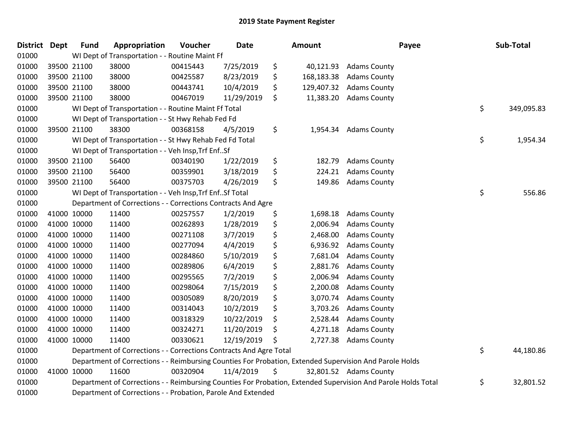| District Dept |             | <b>Fund</b> | Appropriation                                                                                                 | Voucher  | <b>Date</b> | <b>Amount</b>    |                        | Payee | Sub-Total  |
|---------------|-------------|-------------|---------------------------------------------------------------------------------------------------------------|----------|-------------|------------------|------------------------|-------|------------|
| 01000         |             |             | WI Dept of Transportation - - Routine Maint Ff                                                                |          |             |                  |                        |       |            |
| 01000         | 39500 21100 |             | 38000                                                                                                         | 00415443 | 7/25/2019   | \$<br>40,121.93  | <b>Adams County</b>    |       |            |
| 01000         | 39500 21100 |             | 38000                                                                                                         | 00425587 | 8/23/2019   | \$<br>168,183.38 | <b>Adams County</b>    |       |            |
| 01000         |             | 39500 21100 | 38000                                                                                                         | 00443741 | 10/4/2019   | \$<br>129,407.32 | <b>Adams County</b>    |       |            |
| 01000         |             | 39500 21100 | 38000                                                                                                         | 00467019 | 11/29/2019  | \$<br>11,383.20  | <b>Adams County</b>    |       |            |
| 01000         |             |             | WI Dept of Transportation - - Routine Maint Ff Total                                                          |          |             |                  |                        | \$    | 349,095.83 |
| 01000         |             |             | WI Dept of Transportation - - St Hwy Rehab Fed Fd                                                             |          |             |                  |                        |       |            |
| 01000         | 39500 21100 |             | 38300                                                                                                         | 00368158 | 4/5/2019    | \$<br>1,954.34   | <b>Adams County</b>    |       |            |
| 01000         |             |             | WI Dept of Transportation - - St Hwy Rehab Fed Fd Total                                                       |          |             |                  |                        | \$    | 1,954.34   |
| 01000         |             |             | WI Dept of Transportation - - Veh Insp, Trf EnfSf                                                             |          |             |                  |                        |       |            |
| 01000         |             | 39500 21100 | 56400                                                                                                         | 00340190 | 1/22/2019   | \$<br>182.79     | <b>Adams County</b>    |       |            |
| 01000         | 39500 21100 |             | 56400                                                                                                         | 00359901 | 3/18/2019   | \$<br>224.21     | <b>Adams County</b>    |       |            |
| 01000         |             | 39500 21100 | 56400                                                                                                         | 00375703 | 4/26/2019   | \$<br>149.86     | <b>Adams County</b>    |       |            |
| 01000         |             |             | WI Dept of Transportation - - Veh Insp, Trf EnfSf Total                                                       |          |             |                  |                        | \$    | 556.86     |
| 01000         |             |             | Department of Corrections - - Corrections Contracts And Agre                                                  |          |             |                  |                        |       |            |
| 01000         | 41000 10000 |             | 11400                                                                                                         | 00257557 | 1/2/2019    | \$<br>1,698.18   | <b>Adams County</b>    |       |            |
| 01000         | 41000 10000 |             | 11400                                                                                                         | 00262893 | 1/28/2019   | \$<br>2,006.94   | <b>Adams County</b>    |       |            |
| 01000         | 41000 10000 |             | 11400                                                                                                         | 00271108 | 3/7/2019    | \$<br>2,468.00   | <b>Adams County</b>    |       |            |
| 01000         | 41000 10000 |             | 11400                                                                                                         | 00277094 | 4/4/2019    | \$<br>6,936.92   | <b>Adams County</b>    |       |            |
| 01000         | 41000 10000 |             | 11400                                                                                                         | 00284860 | 5/10/2019   | \$<br>7,681.04   | <b>Adams County</b>    |       |            |
| 01000         | 41000 10000 |             | 11400                                                                                                         | 00289806 | 6/4/2019    | \$<br>2,881.76   | <b>Adams County</b>    |       |            |
| 01000         | 41000 10000 |             | 11400                                                                                                         | 00295565 | 7/2/2019    | \$<br>2,006.94   | <b>Adams County</b>    |       |            |
| 01000         | 41000 10000 |             | 11400                                                                                                         | 00298064 | 7/15/2019   | \$<br>2,200.08   | <b>Adams County</b>    |       |            |
| 01000         | 41000 10000 |             | 11400                                                                                                         | 00305089 | 8/20/2019   | \$<br>3,070.74   | <b>Adams County</b>    |       |            |
| 01000         | 41000 10000 |             | 11400                                                                                                         | 00314043 | 10/2/2019   | \$<br>3,703.26   | <b>Adams County</b>    |       |            |
| 01000         | 41000 10000 |             | 11400                                                                                                         | 00318329 | 10/22/2019  | \$<br>2,528.44   | <b>Adams County</b>    |       |            |
| 01000         | 41000 10000 |             | 11400                                                                                                         | 00324271 | 11/20/2019  | \$<br>4,271.18   | <b>Adams County</b>    |       |            |
| 01000         | 41000 10000 |             | 11400                                                                                                         | 00330621 | 12/19/2019  | \$<br>2,727.38   | <b>Adams County</b>    |       |            |
| 01000         |             |             | Department of Corrections - - Corrections Contracts And Agre Total                                            |          |             |                  |                        | \$    | 44,180.86  |
| 01000         |             |             | Department of Corrections - - Reimbursing Counties For Probation, Extended Supervision And Parole Holds       |          |             |                  |                        |       |            |
| 01000         | 41000 10000 |             | 11600                                                                                                         | 00320904 | 11/4/2019   | \$               | 32,801.52 Adams County |       |            |
| 01000         |             |             | Department of Corrections - - Reimbursing Counties For Probation, Extended Supervision And Parole Holds Total |          |             |                  |                        | \$    | 32,801.52  |
| 01000         |             |             | Department of Corrections - - Probation, Parole And Extended                                                  |          |             |                  |                        |       |            |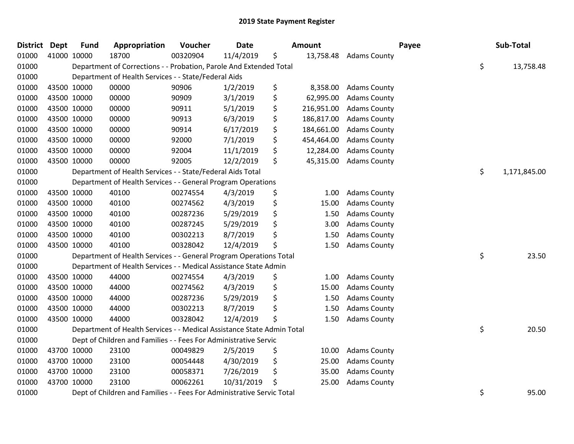| <b>District Dept</b> | <b>Fund</b> | Appropriation                                                          | Voucher  | <b>Date</b> |    | Amount     |                     | Payee | Sub-Total    |
|----------------------|-------------|------------------------------------------------------------------------|----------|-------------|----|------------|---------------------|-------|--------------|
| 01000                | 41000 10000 | 18700                                                                  | 00320904 | 11/4/2019   | \$ | 13,758.48  | <b>Adams County</b> |       |              |
| 01000                |             | Department of Corrections - - Probation, Parole And Extended Total     |          |             |    |            |                     | \$    | 13,758.48    |
| 01000                |             | Department of Health Services - - State/Federal Aids                   |          |             |    |            |                     |       |              |
| 01000                | 43500 10000 | 00000                                                                  | 90906    | 1/2/2019    | \$ | 8,358.00   | <b>Adams County</b> |       |              |
| 01000                | 43500 10000 | 00000                                                                  | 90909    | 3/1/2019    | \$ | 62,995.00  | <b>Adams County</b> |       |              |
| 01000                | 43500 10000 | 00000                                                                  | 90911    | 5/1/2019    | \$ | 216,951.00 | <b>Adams County</b> |       |              |
| 01000                | 43500 10000 | 00000                                                                  | 90913    | 6/3/2019    | \$ | 186,817.00 | <b>Adams County</b> |       |              |
| 01000                | 43500 10000 | 00000                                                                  | 90914    | 6/17/2019   | \$ | 184,661.00 | <b>Adams County</b> |       |              |
| 01000                | 43500 10000 | 00000                                                                  | 92000    | 7/1/2019    | \$ | 454,464.00 | <b>Adams County</b> |       |              |
| 01000                | 43500 10000 | 00000                                                                  | 92004    | 11/1/2019   | \$ | 12,284.00  | <b>Adams County</b> |       |              |
| 01000                | 43500 10000 | 00000                                                                  | 92005    | 12/2/2019   | \$ | 45,315.00  | <b>Adams County</b> |       |              |
| 01000                |             | Department of Health Services - - State/Federal Aids Total             |          |             |    |            |                     | \$    | 1,171,845.00 |
| 01000                |             | Department of Health Services - - General Program Operations           |          |             |    |            |                     |       |              |
| 01000                | 43500 10000 | 40100                                                                  | 00274554 | 4/3/2019    | \$ | 1.00       | <b>Adams County</b> |       |              |
| 01000                | 43500 10000 | 40100                                                                  | 00274562 | 4/3/2019    | \$ | 15.00      | <b>Adams County</b> |       |              |
| 01000                | 43500 10000 | 40100                                                                  | 00287236 | 5/29/2019   | \$ | 1.50       | <b>Adams County</b> |       |              |
| 01000                | 43500 10000 | 40100                                                                  | 00287245 | 5/29/2019   | \$ | 3.00       | <b>Adams County</b> |       |              |
| 01000                | 43500 10000 | 40100                                                                  | 00302213 | 8/7/2019    | \$ | 1.50       | <b>Adams County</b> |       |              |
| 01000                | 43500 10000 | 40100                                                                  | 00328042 | 12/4/2019   | \$ | 1.50       | <b>Adams County</b> |       |              |
| 01000                |             | Department of Health Services - - General Program Operations Total     |          |             |    |            |                     | \$    | 23.50        |
| 01000                |             | Department of Health Services - - Medical Assistance State Admin       |          |             |    |            |                     |       |              |
| 01000                | 43500 10000 | 44000                                                                  | 00274554 | 4/3/2019    | \$ | 1.00       | <b>Adams County</b> |       |              |
| 01000                | 43500 10000 | 44000                                                                  | 00274562 | 4/3/2019    | \$ | 15.00      | <b>Adams County</b> |       |              |
| 01000                | 43500 10000 | 44000                                                                  | 00287236 | 5/29/2019   | \$ | 1.50       | <b>Adams County</b> |       |              |
| 01000                | 43500 10000 | 44000                                                                  | 00302213 | 8/7/2019    | \$ | 1.50       | <b>Adams County</b> |       |              |
| 01000                | 43500 10000 | 44000                                                                  | 00328042 | 12/4/2019   | Ś  | 1.50       | <b>Adams County</b> |       |              |
| 01000                |             | Department of Health Services - - Medical Assistance State Admin Total |          |             |    |            |                     | \$    | 20.50        |
| 01000                |             | Dept of Children and Families - - Fees For Administrative Servic       |          |             |    |            |                     |       |              |
| 01000                | 43700 10000 | 23100                                                                  | 00049829 | 2/5/2019    | \$ | 10.00      | <b>Adams County</b> |       |              |
| 01000                | 43700 10000 | 23100                                                                  | 00054448 | 4/30/2019   | \$ | 25.00      | <b>Adams County</b> |       |              |
| 01000                | 43700 10000 | 23100                                                                  | 00058371 | 7/26/2019   | \$ | 35.00      | <b>Adams County</b> |       |              |
| 01000                | 43700 10000 | 23100                                                                  | 00062261 | 10/31/2019  | \$ | 25.00      | <b>Adams County</b> |       |              |
| 01000                |             | Dept of Children and Families - - Fees For Administrative Servic Total |          |             |    |            |                     | \$    | 95.00        |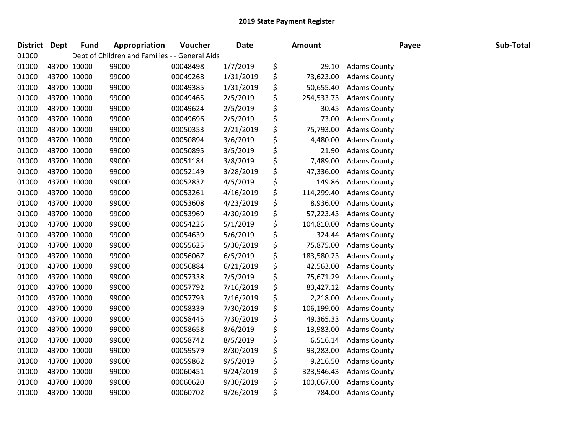| District | <b>Dept</b> | <b>Fund</b> | Appropriation                                  | Voucher  | Date      | <b>Amount</b>    |                     | Payee | Sub-Total |
|----------|-------------|-------------|------------------------------------------------|----------|-----------|------------------|---------------------|-------|-----------|
| 01000    |             |             | Dept of Children and Families - - General Aids |          |           |                  |                     |       |           |
| 01000    | 43700 10000 |             | 99000                                          | 00048498 | 1/7/2019  | \$<br>29.10      | <b>Adams County</b> |       |           |
| 01000    | 43700 10000 |             | 99000                                          | 00049268 | 1/31/2019 | \$<br>73,623.00  | <b>Adams County</b> |       |           |
| 01000    | 43700 10000 |             | 99000                                          | 00049385 | 1/31/2019 | \$<br>50,655.40  | <b>Adams County</b> |       |           |
| 01000    | 43700 10000 |             | 99000                                          | 00049465 | 2/5/2019  | \$<br>254,533.73 | <b>Adams County</b> |       |           |
| 01000    | 43700 10000 |             | 99000                                          | 00049624 | 2/5/2019  | \$<br>30.45      | <b>Adams County</b> |       |           |
| 01000    | 43700 10000 |             | 99000                                          | 00049696 | 2/5/2019  | \$<br>73.00      | <b>Adams County</b> |       |           |
| 01000    | 43700 10000 |             | 99000                                          | 00050353 | 2/21/2019 | \$<br>75,793.00  | <b>Adams County</b> |       |           |
| 01000    | 43700 10000 |             | 99000                                          | 00050894 | 3/6/2019  | \$<br>4,480.00   | <b>Adams County</b> |       |           |
| 01000    | 43700 10000 |             | 99000                                          | 00050895 | 3/5/2019  | \$<br>21.90      | <b>Adams County</b> |       |           |
| 01000    | 43700 10000 |             | 99000                                          | 00051184 | 3/8/2019  | \$<br>7,489.00   | <b>Adams County</b> |       |           |
| 01000    | 43700 10000 |             | 99000                                          | 00052149 | 3/28/2019 | \$<br>47,336.00  | <b>Adams County</b> |       |           |
| 01000    | 43700 10000 |             | 99000                                          | 00052832 | 4/5/2019  | \$<br>149.86     | <b>Adams County</b> |       |           |
| 01000    | 43700 10000 |             | 99000                                          | 00053261 | 4/16/2019 | \$<br>114,299.40 | <b>Adams County</b> |       |           |
| 01000    | 43700 10000 |             | 99000                                          | 00053608 | 4/23/2019 | \$<br>8,936.00   | <b>Adams County</b> |       |           |
| 01000    | 43700 10000 |             | 99000                                          | 00053969 | 4/30/2019 | \$<br>57,223.43  | <b>Adams County</b> |       |           |
| 01000    | 43700 10000 |             | 99000                                          | 00054226 | 5/1/2019  | \$<br>104,810.00 | <b>Adams County</b> |       |           |
| 01000    | 43700 10000 |             | 99000                                          | 00054639 | 5/6/2019  | \$<br>324.44     | <b>Adams County</b> |       |           |
| 01000    | 43700 10000 |             | 99000                                          | 00055625 | 5/30/2019 | \$<br>75,875.00  | <b>Adams County</b> |       |           |
| 01000    | 43700 10000 |             | 99000                                          | 00056067 | 6/5/2019  | \$<br>183,580.23 | <b>Adams County</b> |       |           |
| 01000    | 43700 10000 |             | 99000                                          | 00056884 | 6/21/2019 | \$<br>42,563.00  | <b>Adams County</b> |       |           |
| 01000    | 43700 10000 |             | 99000                                          | 00057338 | 7/5/2019  | \$<br>75,671.29  | <b>Adams County</b> |       |           |
| 01000    | 43700 10000 |             | 99000                                          | 00057792 | 7/16/2019 | \$<br>83,427.12  | <b>Adams County</b> |       |           |
| 01000    | 43700 10000 |             | 99000                                          | 00057793 | 7/16/2019 | \$<br>2,218.00   | <b>Adams County</b> |       |           |
| 01000    | 43700 10000 |             | 99000                                          | 00058339 | 7/30/2019 | \$<br>106,199.00 | <b>Adams County</b> |       |           |
| 01000    | 43700 10000 |             | 99000                                          | 00058445 | 7/30/2019 | \$<br>49,365.33  | <b>Adams County</b> |       |           |
| 01000    | 43700 10000 |             | 99000                                          | 00058658 | 8/6/2019  | \$<br>13,983.00  | <b>Adams County</b> |       |           |
| 01000    | 43700 10000 |             | 99000                                          | 00058742 | 8/5/2019  | \$<br>6,516.14   | <b>Adams County</b> |       |           |
| 01000    | 43700 10000 |             | 99000                                          | 00059579 | 8/30/2019 | \$<br>93,283.00  | <b>Adams County</b> |       |           |
| 01000    | 43700 10000 |             | 99000                                          | 00059862 | 9/5/2019  | \$<br>9,216.50   | <b>Adams County</b> |       |           |
| 01000    | 43700 10000 |             | 99000                                          | 00060451 | 9/24/2019 | \$<br>323,946.43 | <b>Adams County</b> |       |           |
| 01000    | 43700 10000 |             | 99000                                          | 00060620 | 9/30/2019 | \$<br>100,067.00 | <b>Adams County</b> |       |           |
| 01000    | 43700 10000 |             | 99000                                          | 00060702 | 9/26/2019 | \$<br>784.00     | <b>Adams County</b> |       |           |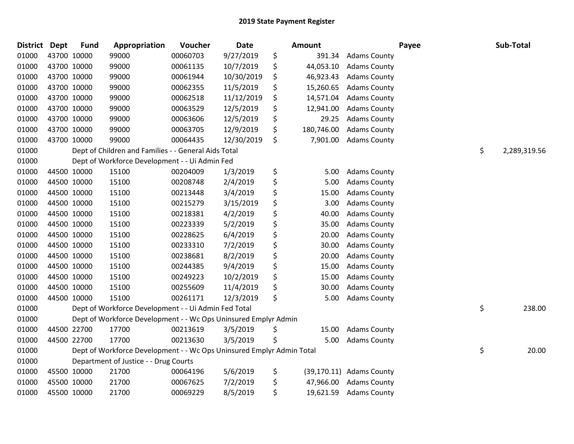| <b>District Dept</b> |             | <b>Fund</b> | Appropriation                                                         | Voucher  | Date       | <b>Amount</b>    |                          | Payee | Sub-Total          |
|----------------------|-------------|-------------|-----------------------------------------------------------------------|----------|------------|------------------|--------------------------|-------|--------------------|
| 01000                |             | 43700 10000 | 99000                                                                 | 00060703 | 9/27/2019  | \$<br>391.34     | <b>Adams County</b>      |       |                    |
| 01000                |             | 43700 10000 | 99000                                                                 | 00061135 | 10/7/2019  | \$<br>44,053.10  | <b>Adams County</b>      |       |                    |
| 01000                |             | 43700 10000 | 99000                                                                 | 00061944 | 10/30/2019 | \$<br>46,923.43  | <b>Adams County</b>      |       |                    |
| 01000                |             | 43700 10000 | 99000                                                                 | 00062355 | 11/5/2019  | \$<br>15,260.65  | <b>Adams County</b>      |       |                    |
| 01000                |             | 43700 10000 | 99000                                                                 | 00062518 | 11/12/2019 | \$<br>14,571.04  | <b>Adams County</b>      |       |                    |
| 01000                |             | 43700 10000 | 99000                                                                 | 00063529 | 12/5/2019  | \$<br>12,941.00  | <b>Adams County</b>      |       |                    |
| 01000                |             | 43700 10000 | 99000                                                                 | 00063606 | 12/5/2019  | \$<br>29.25      | <b>Adams County</b>      |       |                    |
| 01000                |             | 43700 10000 | 99000                                                                 | 00063705 | 12/9/2019  | \$<br>180,746.00 | <b>Adams County</b>      |       |                    |
| 01000                |             | 43700 10000 | 99000                                                                 | 00064435 | 12/30/2019 | \$<br>7,901.00   | <b>Adams County</b>      |       |                    |
| 01000                |             |             | Dept of Children and Families - - General Aids Total                  |          |            |                  |                          |       | \$<br>2,289,319.56 |
| 01000                |             |             | Dept of Workforce Development - - Ui Admin Fed                        |          |            |                  |                          |       |                    |
| 01000                |             | 44500 10000 | 15100                                                                 | 00204009 | 1/3/2019   | \$<br>5.00       | <b>Adams County</b>      |       |                    |
| 01000                |             | 44500 10000 | 15100                                                                 | 00208748 | 2/4/2019   | \$<br>5.00       | <b>Adams County</b>      |       |                    |
| 01000                |             | 44500 10000 | 15100                                                                 | 00213448 | 3/4/2019   | \$<br>15.00      | <b>Adams County</b>      |       |                    |
| 01000                |             | 44500 10000 | 15100                                                                 | 00215279 | 3/15/2019  | \$<br>3.00       | <b>Adams County</b>      |       |                    |
| 01000                |             | 44500 10000 | 15100                                                                 | 00218381 | 4/2/2019   | \$<br>40.00      | <b>Adams County</b>      |       |                    |
| 01000                |             | 44500 10000 | 15100                                                                 | 00223339 | 5/2/2019   | \$<br>35.00      | <b>Adams County</b>      |       |                    |
| 01000                |             | 44500 10000 | 15100                                                                 | 00228625 | 6/4/2019   | \$<br>20.00      | <b>Adams County</b>      |       |                    |
| 01000                |             | 44500 10000 | 15100                                                                 | 00233310 | 7/2/2019   | \$<br>30.00      | <b>Adams County</b>      |       |                    |
| 01000                |             | 44500 10000 | 15100                                                                 | 00238681 | 8/2/2019   | \$<br>20.00      | <b>Adams County</b>      |       |                    |
| 01000                |             | 44500 10000 | 15100                                                                 | 00244385 | 9/4/2019   | \$<br>15.00      | <b>Adams County</b>      |       |                    |
| 01000                |             | 44500 10000 | 15100                                                                 | 00249223 | 10/2/2019  | \$<br>15.00      | <b>Adams County</b>      |       |                    |
| 01000                |             | 44500 10000 | 15100                                                                 | 00255609 | 11/4/2019  | \$<br>30.00      | <b>Adams County</b>      |       |                    |
| 01000                | 44500 10000 |             | 15100                                                                 | 00261171 | 12/3/2019  | \$<br>5.00       | <b>Adams County</b>      |       |                    |
| 01000                |             |             | Dept of Workforce Development - - Ui Admin Fed Total                  |          |            |                  |                          |       | \$<br>238.00       |
| 01000                |             |             | Dept of Workforce Development - - Wc Ops Uninsured Emplyr Admin       |          |            |                  |                          |       |                    |
| 01000                |             | 44500 22700 | 17700                                                                 | 00213619 | 3/5/2019   | \$<br>15.00      | <b>Adams County</b>      |       |                    |
| 01000                |             | 44500 22700 | 17700                                                                 | 00213630 | 3/5/2019   | \$<br>5.00       | <b>Adams County</b>      |       |                    |
| 01000                |             |             | Dept of Workforce Development - - Wc Ops Uninsured Emplyr Admin Total |          |            |                  |                          |       | \$<br>20.00        |
| 01000                |             |             | Department of Justice - - Drug Courts                                 |          |            |                  |                          |       |                    |
| 01000                |             | 45500 10000 | 21700                                                                 | 00064196 | 5/6/2019   | \$               | (39,170.11) Adams County |       |                    |
| 01000                |             | 45500 10000 | 21700                                                                 | 00067625 | 7/2/2019   | \$<br>47,966.00  | <b>Adams County</b>      |       |                    |
| 01000                |             | 45500 10000 | 21700                                                                 | 00069229 | 8/5/2019   | \$<br>19,621.59  | <b>Adams County</b>      |       |                    |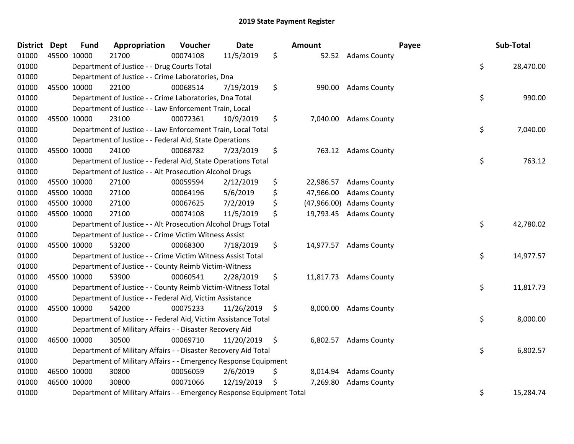| <b>District</b> | <b>Dept</b> | <b>Fund</b> | Appropriation                                                         | Voucher  | <b>Date</b> |                    | Amount      |                        | Payee | Sub-Total |
|-----------------|-------------|-------------|-----------------------------------------------------------------------|----------|-------------|--------------------|-------------|------------------------|-------|-----------|
| 01000           | 45500 10000 |             | 21700                                                                 | 00074108 | 11/5/2019   | \$                 |             | 52.52 Adams County     |       |           |
| 01000           |             |             | Department of Justice - - Drug Courts Total                           |          |             |                    |             |                        | \$    | 28,470.00 |
| 01000           |             |             | Department of Justice - - Crime Laboratories, Dna                     |          |             |                    |             |                        |       |           |
| 01000           |             | 45500 10000 | 22100                                                                 | 00068514 | 7/19/2019   | \$                 | 990.00      | <b>Adams County</b>    |       |           |
| 01000           |             |             | Department of Justice - - Crime Laboratories, Dna Total               |          |             |                    |             |                        | \$    | 990.00    |
| 01000           |             |             | Department of Justice - - Law Enforcement Train, Local                |          |             |                    |             |                        |       |           |
| 01000           |             | 45500 10000 | 23100                                                                 | 00072361 | 10/9/2019   | \$                 | 7,040.00    | <b>Adams County</b>    |       |           |
| 01000           |             |             | Department of Justice - - Law Enforcement Train, Local Total          |          |             |                    |             |                        | \$    | 7,040.00  |
| 01000           |             |             | Department of Justice - - Federal Aid, State Operations               |          |             |                    |             |                        |       |           |
| 01000           |             | 45500 10000 | 24100                                                                 | 00068782 | 7/23/2019   | \$                 | 763.12      | <b>Adams County</b>    |       |           |
| 01000           |             |             | Department of Justice - - Federal Aid, State Operations Total         |          |             |                    |             |                        | \$    | 763.12    |
| 01000           |             |             | Department of Justice - - Alt Prosecution Alcohol Drugs               |          |             |                    |             |                        |       |           |
| 01000           |             | 45500 10000 | 27100                                                                 | 00059594 | 2/12/2019   | \$                 | 22,986.57   | <b>Adams County</b>    |       |           |
| 01000           |             | 45500 10000 | 27100                                                                 | 00064196 | 5/6/2019    | \$                 | 47,966.00   | <b>Adams County</b>    |       |           |
| 01000           |             | 45500 10000 | 27100                                                                 | 00067625 | 7/2/2019    | \$                 | (47,966.00) | <b>Adams County</b>    |       |           |
| 01000           |             | 45500 10000 | 27100                                                                 | 00074108 | 11/5/2019   | \$                 | 19,793.45   | <b>Adams County</b>    |       |           |
| 01000           |             |             | Department of Justice - - Alt Prosecution Alcohol Drugs Total         |          |             |                    |             |                        | \$    | 42,780.02 |
| 01000           |             |             | Department of Justice - - Crime Victim Witness Assist                 |          |             |                    |             |                        |       |           |
| 01000           |             | 45500 10000 | 53200                                                                 | 00068300 | 7/18/2019   | \$                 | 14,977.57   | <b>Adams County</b>    |       |           |
| 01000           |             |             | Department of Justice - - Crime Victim Witness Assist Total           |          |             |                    |             |                        | \$    | 14,977.57 |
| 01000           |             |             | Department of Justice - - County Reimb Victim-Witness                 |          |             |                    |             |                        |       |           |
| 01000           |             | 45500 10000 | 53900                                                                 | 00060541 | 2/28/2019   | \$                 |             | 11,817.73 Adams County |       |           |
| 01000           |             |             | Department of Justice - - County Reimb Victim-Witness Total           |          |             |                    |             |                        | \$    | 11,817.73 |
| 01000           |             |             | Department of Justice - - Federal Aid, Victim Assistance              |          |             |                    |             |                        |       |           |
| 01000           |             | 45500 10000 | 54200                                                                 | 00075233 | 11/26/2019  | $\ddot{\varsigma}$ | 8,000.00    | <b>Adams County</b>    |       |           |
| 01000           |             |             | Department of Justice - - Federal Aid, Victim Assistance Total        |          |             |                    |             |                        | \$    | 8,000.00  |
| 01000           |             |             | Department of Military Affairs - - Disaster Recovery Aid              |          |             |                    |             |                        |       |           |
| 01000           |             | 46500 10000 | 30500                                                                 | 00069710 | 11/20/2019  | \$                 | 6,802.57    | <b>Adams County</b>    |       |           |
| 01000           |             |             | Department of Military Affairs - - Disaster Recovery Aid Total        |          |             |                    |             |                        | \$    | 6,802.57  |
| 01000           |             |             | Department of Military Affairs - - Emergency Response Equipment       |          |             |                    |             |                        |       |           |
| 01000           |             | 46500 10000 | 30800                                                                 | 00056059 | 2/6/2019    | \$                 | 8,014.94    | <b>Adams County</b>    |       |           |
| 01000           |             | 46500 10000 | 30800                                                                 | 00071066 | 12/19/2019  | \$                 | 7,269.80    | <b>Adams County</b>    |       |           |
| 01000           |             |             | Department of Military Affairs - - Emergency Response Equipment Total |          |             |                    |             |                        | \$    | 15,284.74 |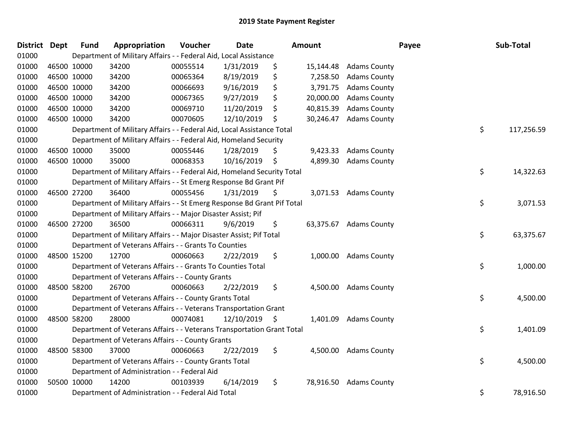| District Dept |             | <b>Fund</b> | Appropriation                                                           | Voucher  | <b>Date</b> |    | <b>Amount</b> |                       | Payee | Sub-Total  |
|---------------|-------------|-------------|-------------------------------------------------------------------------|----------|-------------|----|---------------|-----------------------|-------|------------|
| 01000         |             |             | Department of Military Affairs - - Federal Aid, Local Assistance        |          |             |    |               |                       |       |            |
| 01000         |             | 46500 10000 | 34200                                                                   | 00055514 | 1/31/2019   | \$ | 15,144.48     | <b>Adams County</b>   |       |            |
| 01000         |             | 46500 10000 | 34200                                                                   | 00065364 | 8/19/2019   | \$ | 7,258.50      | <b>Adams County</b>   |       |            |
| 01000         |             | 46500 10000 | 34200                                                                   | 00066693 | 9/16/2019   | \$ | 3,791.75      | <b>Adams County</b>   |       |            |
| 01000         |             | 46500 10000 | 34200                                                                   | 00067365 | 9/27/2019   | \$ | 20,000.00     | <b>Adams County</b>   |       |            |
| 01000         |             | 46500 10000 | 34200                                                                   | 00069710 | 11/20/2019  | S  | 40,815.39     | <b>Adams County</b>   |       |            |
| 01000         |             | 46500 10000 | 34200                                                                   | 00070605 | 12/10/2019  | \$ | 30,246.47     | <b>Adams County</b>   |       |            |
| 01000         |             |             | Department of Military Affairs - - Federal Aid, Local Assistance Total  |          |             |    |               |                       | \$    | 117,256.59 |
| 01000         |             |             | Department of Military Affairs - - Federal Aid, Homeland Security       |          |             |    |               |                       |       |            |
| 01000         | 46500 10000 |             | 35000                                                                   | 00055446 | 1/28/2019   | S  | 9,423.33      | <b>Adams County</b>   |       |            |
| 01000         |             | 46500 10000 | 35000                                                                   | 00068353 | 10/16/2019  | \$ | 4,899.30      | <b>Adams County</b>   |       |            |
| 01000         |             |             | Department of Military Affairs - - Federal Aid, Homeland Security Total |          |             |    |               |                       | \$    | 14,322.63  |
| 01000         |             |             | Department of Military Affairs - - St Emerg Response Bd Grant Pif       |          |             |    |               |                       |       |            |
| 01000         |             | 46500 27200 | 36400                                                                   | 00055456 | 1/31/2019   | \$ |               | 3,071.53 Adams County |       |            |
| 01000         |             |             | Department of Military Affairs - - St Emerg Response Bd Grant Pif Total |          |             |    |               |                       | \$    | 3,071.53   |
| 01000         |             |             | Department of Military Affairs - - Major Disaster Assist; Pif           |          |             |    |               |                       |       |            |
| 01000         |             | 46500 27200 | 36500                                                                   | 00066311 | 9/6/2019    | \$ | 63,375.67     | <b>Adams County</b>   |       |            |
| 01000         |             |             | Department of Military Affairs - - Major Disaster Assist; Pif Total     |          |             |    |               |                       | \$    | 63,375.67  |
| 01000         |             |             | Department of Veterans Affairs - - Grants To Counties                   |          |             |    |               |                       |       |            |
| 01000         |             | 48500 15200 | 12700                                                                   | 00060663 | 2/22/2019   | \$ | 1,000.00      | <b>Adams County</b>   |       |            |
| 01000         |             |             | Department of Veterans Affairs - - Grants To Counties Total             |          |             |    |               |                       | \$    | 1,000.00   |
| 01000         |             |             | Department of Veterans Affairs - - County Grants                        |          |             |    |               |                       |       |            |
| 01000         |             | 48500 58200 | 26700                                                                   | 00060663 | 2/22/2019   | \$ |               | 4,500.00 Adams County |       |            |
| 01000         |             |             | Department of Veterans Affairs - - County Grants Total                  |          |             |    |               |                       | \$    | 4,500.00   |
| 01000         |             |             | Department of Veterans Affairs - - Veterans Transportation Grant        |          |             |    |               |                       |       |            |
| 01000         |             | 48500 58200 | 28000                                                                   | 00074081 | 12/10/2019  | \$ | 1,401.09      | <b>Adams County</b>   |       |            |
| 01000         |             |             | Department of Veterans Affairs - - Veterans Transportation Grant Total  |          |             |    |               |                       | \$    | 1,401.09   |
| 01000         |             |             | Department of Veterans Affairs - - County Grants                        |          |             |    |               |                       |       |            |
| 01000         |             | 48500 58300 | 37000                                                                   | 00060663 | 2/22/2019   | \$ |               | 4,500.00 Adams County |       |            |
| 01000         |             |             | Department of Veterans Affairs - - County Grants Total                  |          |             |    |               |                       | \$    | 4,500.00   |
| 01000         |             |             | Department of Administration - - Federal Aid                            |          |             |    |               |                       |       |            |
| 01000         |             | 50500 10000 | 14200                                                                   | 00103939 | 6/14/2019   | \$ | 78,916.50     | <b>Adams County</b>   |       |            |
| 01000         |             |             | Department of Administration - - Federal Aid Total                      |          |             |    |               |                       | \$    | 78,916.50  |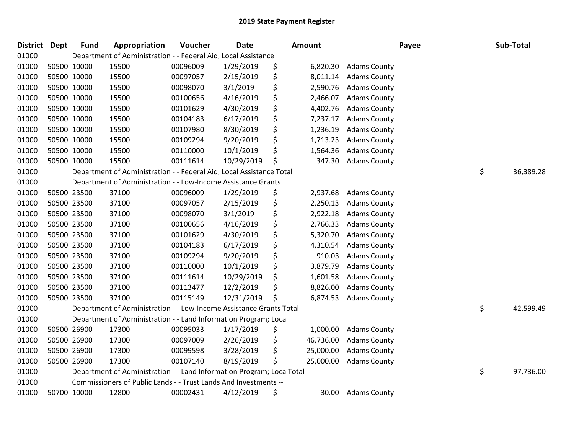| District Dept | <b>Fund</b> | Appropriation                                                         | Voucher  | <b>Date</b> |    | <b>Amount</b> |                     | Payee | Sub-Total |  |
|---------------|-------------|-----------------------------------------------------------------------|----------|-------------|----|---------------|---------------------|-------|-----------|--|
| 01000         |             | Department of Administration - - Federal Aid, Local Assistance        |          |             |    |               |                     |       |           |  |
| 01000         | 50500 10000 | 15500                                                                 | 00096009 | 1/29/2019   | \$ | 6,820.30      | <b>Adams County</b> |       |           |  |
| 01000         | 50500 10000 | 15500                                                                 | 00097057 | 2/15/2019   | \$ | 8,011.14      | <b>Adams County</b> |       |           |  |
| 01000         | 50500 10000 | 15500                                                                 | 00098070 | 3/1/2019    | \$ | 2,590.76      | <b>Adams County</b> |       |           |  |
| 01000         | 50500 10000 | 15500                                                                 | 00100656 | 4/16/2019   | \$ | 2,466.07      | <b>Adams County</b> |       |           |  |
| 01000         | 50500 10000 | 15500                                                                 | 00101629 | 4/30/2019   | \$ | 4,402.76      | <b>Adams County</b> |       |           |  |
| 01000         | 50500 10000 | 15500                                                                 | 00104183 | 6/17/2019   | \$ | 7,237.17      | <b>Adams County</b> |       |           |  |
| 01000         | 50500 10000 | 15500                                                                 | 00107980 | 8/30/2019   | \$ | 1,236.19      | <b>Adams County</b> |       |           |  |
| 01000         | 50500 10000 | 15500                                                                 | 00109294 | 9/20/2019   | \$ | 1,713.23      | <b>Adams County</b> |       |           |  |
| 01000         | 50500 10000 | 15500                                                                 | 00110000 | 10/1/2019   | \$ | 1,564.36      | <b>Adams County</b> |       |           |  |
| 01000         | 50500 10000 | 15500                                                                 | 00111614 | 10/29/2019  | Ś  | 347.30        | <b>Adams County</b> |       |           |  |
| 01000         |             | Department of Administration - - Federal Aid, Local Assistance Total  |          |             |    |               |                     | \$    | 36,389.28 |  |
| 01000         |             | Department of Administration - - Low-Income Assistance Grants         |          |             |    |               |                     |       |           |  |
| 01000         | 50500 23500 | 37100                                                                 | 00096009 | 1/29/2019   | \$ | 2,937.68      | <b>Adams County</b> |       |           |  |
| 01000         | 50500 23500 | 37100                                                                 | 00097057 | 2/15/2019   | \$ | 2,250.13      | <b>Adams County</b> |       |           |  |
| 01000         | 50500 23500 | 37100                                                                 | 00098070 | 3/1/2019    | \$ | 2,922.18      | <b>Adams County</b> |       |           |  |
| 01000         | 50500 23500 | 37100                                                                 | 00100656 | 4/16/2019   | \$ | 2,766.33      | <b>Adams County</b> |       |           |  |
| 01000         | 50500 23500 | 37100                                                                 | 00101629 | 4/30/2019   | \$ | 5,320.70      | <b>Adams County</b> |       |           |  |
| 01000         | 50500 23500 | 37100                                                                 | 00104183 | 6/17/2019   | \$ | 4,310.54      | <b>Adams County</b> |       |           |  |
| 01000         | 50500 23500 | 37100                                                                 | 00109294 | 9/20/2019   | \$ | 910.03        | <b>Adams County</b> |       |           |  |
| 01000         | 50500 23500 | 37100                                                                 | 00110000 | 10/1/2019   | \$ | 3,879.79      | <b>Adams County</b> |       |           |  |
| 01000         | 50500 23500 | 37100                                                                 | 00111614 | 10/29/2019  | \$ | 1,601.58      | <b>Adams County</b> |       |           |  |
| 01000         | 50500 23500 | 37100                                                                 | 00113477 | 12/2/2019   | \$ | 8,826.00      | <b>Adams County</b> |       |           |  |
| 01000         | 50500 23500 | 37100                                                                 | 00115149 | 12/31/2019  | \$ | 6,874.53      | <b>Adams County</b> |       |           |  |
| 01000         |             | Department of Administration - - Low-Income Assistance Grants Total   |          |             |    |               |                     | \$    | 42,599.49 |  |
| 01000         |             | Department of Administration - - Land Information Program; Loca       |          |             |    |               |                     |       |           |  |
| 01000         | 50500 26900 | 17300                                                                 | 00095033 | 1/17/2019   | \$ | 1,000.00      | <b>Adams County</b> |       |           |  |
| 01000         | 50500 26900 | 17300                                                                 | 00097009 | 2/26/2019   | \$ | 46,736.00     | <b>Adams County</b> |       |           |  |
| 01000         | 50500 26900 | 17300                                                                 | 00099598 | 3/28/2019   | \$ | 25,000.00     | <b>Adams County</b> |       |           |  |
| 01000         | 50500 26900 | 17300                                                                 | 00107140 | 8/19/2019   | \$ | 25,000.00     | <b>Adams County</b> |       |           |  |
| 01000         |             | Department of Administration - - Land Information Program; Loca Total |          |             |    |               |                     | \$    | 97,736.00 |  |
| 01000         |             | Commissioners of Public Lands - - Trust Lands And Investments --      |          |             |    |               |                     |       |           |  |
| 01000         | 50700 10000 | 12800                                                                 | 00002431 | 4/12/2019   | \$ | 30.00         | <b>Adams County</b> |       |           |  |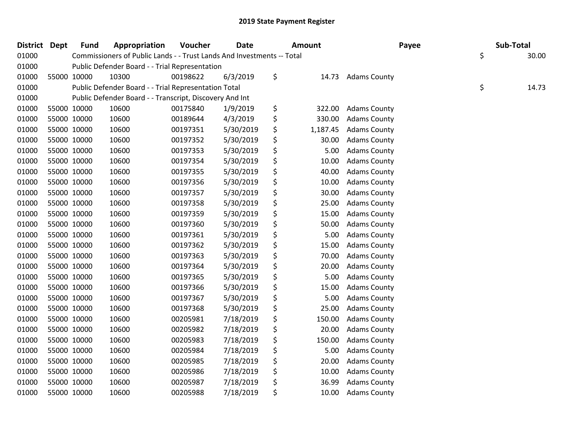| <b>District Dept</b> | <b>Fund</b> | Appropriation                                                          | Voucher  | <b>Date</b> | <b>Amount</b>  | Payee               | Sub-Total   |  |
|----------------------|-------------|------------------------------------------------------------------------|----------|-------------|----------------|---------------------|-------------|--|
| 01000                |             | Commissioners of Public Lands - - Trust Lands And Investments -- Total |          |             |                |                     | \$<br>30.00 |  |
| 01000                |             | Public Defender Board - - Trial Representation                         |          |             |                |                     |             |  |
| 01000                | 55000 10000 | 10300                                                                  | 00198622 | 6/3/2019    | \$<br>14.73    | <b>Adams County</b> |             |  |
| 01000                |             | Public Defender Board - - Trial Representation Total                   |          |             |                |                     | \$<br>14.73 |  |
| 01000                |             | Public Defender Board - - Transcript, Discovery And Int                |          |             |                |                     |             |  |
| 01000                | 55000 10000 | 10600                                                                  | 00175840 | 1/9/2019    | \$<br>322.00   | <b>Adams County</b> |             |  |
| 01000                | 55000 10000 | 10600                                                                  | 00189644 | 4/3/2019    | \$<br>330.00   | <b>Adams County</b> |             |  |
| 01000                | 55000 10000 | 10600                                                                  | 00197351 | 5/30/2019   | \$<br>1,187.45 | <b>Adams County</b> |             |  |
| 01000                | 55000 10000 | 10600                                                                  | 00197352 | 5/30/2019   | \$<br>30.00    | <b>Adams County</b> |             |  |
| 01000                | 55000 10000 | 10600                                                                  | 00197353 | 5/30/2019   | \$<br>5.00     | <b>Adams County</b> |             |  |
| 01000                | 55000 10000 | 10600                                                                  | 00197354 | 5/30/2019   | \$<br>10.00    | <b>Adams County</b> |             |  |
| 01000                | 55000 10000 | 10600                                                                  | 00197355 | 5/30/2019   | \$<br>40.00    | <b>Adams County</b> |             |  |
| 01000                | 55000 10000 | 10600                                                                  | 00197356 | 5/30/2019   | \$<br>10.00    | <b>Adams County</b> |             |  |
| 01000                | 55000 10000 | 10600                                                                  | 00197357 | 5/30/2019   | \$<br>30.00    | <b>Adams County</b> |             |  |
| 01000                | 55000 10000 | 10600                                                                  | 00197358 | 5/30/2019   | \$<br>25.00    | <b>Adams County</b> |             |  |
| 01000                | 55000 10000 | 10600                                                                  | 00197359 | 5/30/2019   | \$<br>15.00    | <b>Adams County</b> |             |  |
| 01000                | 55000 10000 | 10600                                                                  | 00197360 | 5/30/2019   | \$<br>50.00    | <b>Adams County</b> |             |  |
| 01000                | 55000 10000 | 10600                                                                  | 00197361 | 5/30/2019   | \$<br>5.00     | <b>Adams County</b> |             |  |
| 01000                | 55000 10000 | 10600                                                                  | 00197362 | 5/30/2019   | \$<br>15.00    | <b>Adams County</b> |             |  |
| 01000                | 55000 10000 | 10600                                                                  | 00197363 | 5/30/2019   | \$<br>70.00    | <b>Adams County</b> |             |  |
| 01000                | 55000 10000 | 10600                                                                  | 00197364 | 5/30/2019   | \$<br>20.00    | <b>Adams County</b> |             |  |
| 01000                | 55000 10000 | 10600                                                                  | 00197365 | 5/30/2019   | \$<br>5.00     | <b>Adams County</b> |             |  |
| 01000                | 55000 10000 | 10600                                                                  | 00197366 | 5/30/2019   | \$<br>15.00    | <b>Adams County</b> |             |  |
| 01000                | 55000 10000 | 10600                                                                  | 00197367 | 5/30/2019   | \$<br>5.00     | <b>Adams County</b> |             |  |
| 01000                | 55000 10000 | 10600                                                                  | 00197368 | 5/30/2019   | \$<br>25.00    | <b>Adams County</b> |             |  |
| 01000                | 55000 10000 | 10600                                                                  | 00205981 | 7/18/2019   | \$<br>150.00   | <b>Adams County</b> |             |  |
| 01000                | 55000 10000 | 10600                                                                  | 00205982 | 7/18/2019   | \$<br>20.00    | <b>Adams County</b> |             |  |
| 01000                | 55000 10000 | 10600                                                                  | 00205983 | 7/18/2019   | \$<br>150.00   | <b>Adams County</b> |             |  |
| 01000                | 55000 10000 | 10600                                                                  | 00205984 | 7/18/2019   | \$<br>5.00     | <b>Adams County</b> |             |  |
| 01000                | 55000 10000 | 10600                                                                  | 00205985 | 7/18/2019   | \$<br>20.00    | <b>Adams County</b> |             |  |
| 01000                | 55000 10000 | 10600                                                                  | 00205986 | 7/18/2019   | \$<br>10.00    | <b>Adams County</b> |             |  |
| 01000                | 55000 10000 | 10600                                                                  | 00205987 | 7/18/2019   | \$<br>36.99    | <b>Adams County</b> |             |  |
| 01000                | 55000 10000 | 10600                                                                  | 00205988 | 7/18/2019   | \$<br>10.00    | <b>Adams County</b> |             |  |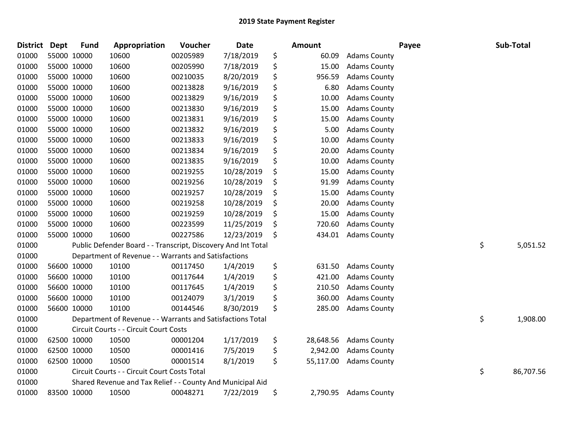| <b>District</b> | Dept        | <b>Fund</b> | Appropriation                                                 | Voucher  | Date       | Amount          |                     | Payee | Sub-Total       |
|-----------------|-------------|-------------|---------------------------------------------------------------|----------|------------|-----------------|---------------------|-------|-----------------|
| 01000           |             | 55000 10000 | 10600                                                         | 00205989 | 7/18/2019  | \$<br>60.09     | <b>Adams County</b> |       |                 |
| 01000           |             | 55000 10000 | 10600                                                         | 00205990 | 7/18/2019  | \$<br>15.00     | <b>Adams County</b> |       |                 |
| 01000           | 55000 10000 |             | 10600                                                         | 00210035 | 8/20/2019  | \$<br>956.59    | <b>Adams County</b> |       |                 |
| 01000           | 55000 10000 |             | 10600                                                         | 00213828 | 9/16/2019  | \$<br>6.80      | <b>Adams County</b> |       |                 |
| 01000           |             | 55000 10000 | 10600                                                         | 00213829 | 9/16/2019  | \$<br>10.00     | <b>Adams County</b> |       |                 |
| 01000           |             | 55000 10000 | 10600                                                         | 00213830 | 9/16/2019  | \$<br>15.00     | <b>Adams County</b> |       |                 |
| 01000           |             | 55000 10000 | 10600                                                         | 00213831 | 9/16/2019  | \$<br>15.00     | <b>Adams County</b> |       |                 |
| 01000           |             | 55000 10000 | 10600                                                         | 00213832 | 9/16/2019  | \$<br>5.00      | <b>Adams County</b> |       |                 |
| 01000           |             | 55000 10000 | 10600                                                         | 00213833 | 9/16/2019  | \$<br>10.00     | <b>Adams County</b> |       |                 |
| 01000           |             | 55000 10000 | 10600                                                         | 00213834 | 9/16/2019  | \$<br>20.00     | <b>Adams County</b> |       |                 |
| 01000           |             | 55000 10000 | 10600                                                         | 00213835 | 9/16/2019  | \$<br>10.00     | <b>Adams County</b> |       |                 |
| 01000           |             | 55000 10000 | 10600                                                         | 00219255 | 10/28/2019 | \$<br>15.00     | <b>Adams County</b> |       |                 |
| 01000           | 55000 10000 |             | 10600                                                         | 00219256 | 10/28/2019 | \$<br>91.99     | <b>Adams County</b> |       |                 |
| 01000           |             | 55000 10000 | 10600                                                         | 00219257 | 10/28/2019 | \$<br>15.00     | <b>Adams County</b> |       |                 |
| 01000           |             | 55000 10000 | 10600                                                         | 00219258 | 10/28/2019 | \$<br>20.00     | <b>Adams County</b> |       |                 |
| 01000           |             | 55000 10000 | 10600                                                         | 00219259 | 10/28/2019 | \$<br>15.00     | <b>Adams County</b> |       |                 |
| 01000           | 55000 10000 |             | 10600                                                         | 00223599 | 11/25/2019 | \$<br>720.60    | <b>Adams County</b> |       |                 |
| 01000           | 55000 10000 |             | 10600                                                         | 00227586 | 12/23/2019 | \$<br>434.01    | <b>Adams County</b> |       |                 |
| 01000           |             |             | Public Defender Board - - Transcript, Discovery And Int Total |          |            |                 |                     |       | \$<br>5,051.52  |
| 01000           |             |             | Department of Revenue - - Warrants and Satisfactions          |          |            |                 |                     |       |                 |
| 01000           |             | 56600 10000 | 10100                                                         | 00117450 | 1/4/2019   | \$<br>631.50    | <b>Adams County</b> |       |                 |
| 01000           |             | 56600 10000 | 10100                                                         | 00117644 | 1/4/2019   | \$<br>421.00    | <b>Adams County</b> |       |                 |
| 01000           |             | 56600 10000 | 10100                                                         | 00117645 | 1/4/2019   | \$<br>210.50    | <b>Adams County</b> |       |                 |
| 01000           |             | 56600 10000 | 10100                                                         | 00124079 | 3/1/2019   | \$<br>360.00    | <b>Adams County</b> |       |                 |
| 01000           |             | 56600 10000 | 10100                                                         | 00144546 | 8/30/2019  | \$<br>285.00    | <b>Adams County</b> |       |                 |
| 01000           |             |             | Department of Revenue - - Warrants and Satisfactions Total    |          |            |                 |                     |       | \$<br>1,908.00  |
| 01000           |             |             | Circuit Courts - - Circuit Court Costs                        |          |            |                 |                     |       |                 |
| 01000           |             | 62500 10000 | 10500                                                         | 00001204 | 1/17/2019  | \$<br>28,648.56 | <b>Adams County</b> |       |                 |
| 01000           |             | 62500 10000 | 10500                                                         | 00001416 | 7/5/2019   | \$<br>2,942.00  | <b>Adams County</b> |       |                 |
| 01000           |             | 62500 10000 | 10500                                                         | 00001514 | 8/1/2019   | \$<br>55,117.00 | <b>Adams County</b> |       |                 |
| 01000           |             |             | Circuit Courts - - Circuit Court Costs Total                  |          |            |                 |                     |       | \$<br>86,707.56 |
| 01000           |             |             | Shared Revenue and Tax Relief - - County And Municipal Aid    |          |            |                 |                     |       |                 |
| 01000           |             | 83500 10000 | 10500                                                         | 00048271 | 7/22/2019  | \$<br>2,790.95  | <b>Adams County</b> |       |                 |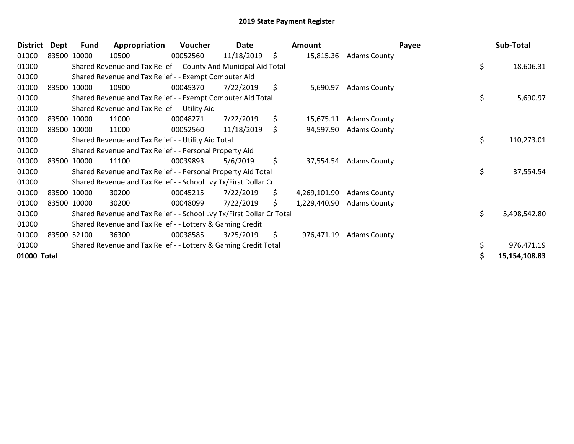| <b>District</b> | Dept        | Fund        | Appropriation                                                         | Voucher  | Date       |     | Amount       |                        | Payee | Sub-Total     |
|-----------------|-------------|-------------|-----------------------------------------------------------------------|----------|------------|-----|--------------|------------------------|-------|---------------|
| 01000           | 83500 10000 |             | 10500                                                                 | 00052560 | 11/18/2019 | \$  |              | 15,815.36 Adams County |       |               |
| 01000           |             |             | Shared Revenue and Tax Relief - - County And Municipal Aid Total      |          |            |     |              |                        | \$    | 18,606.31     |
| 01000           |             |             | Shared Revenue and Tax Relief - - Exempt Computer Aid                 |          |            |     |              |                        |       |               |
| 01000           |             | 83500 10000 | 10900                                                                 | 00045370 | 7/22/2019  | \$  | 5,690.97     | <b>Adams County</b>    |       |               |
| 01000           |             |             | Shared Revenue and Tax Relief - - Exempt Computer Aid Total           |          |            |     |              |                        | \$    | 5,690.97      |
| 01000           |             |             | Shared Revenue and Tax Relief - - Utility Aid                         |          |            |     |              |                        |       |               |
| 01000           |             | 83500 10000 | 11000                                                                 | 00048271 | 7/22/2019  | \$  | 15,675.11    | <b>Adams County</b>    |       |               |
| 01000           |             | 83500 10000 | 11000                                                                 | 00052560 | 11/18/2019 | \$  | 94,597.90    | <b>Adams County</b>    |       |               |
| 01000           |             |             | Shared Revenue and Tax Relief - - Utility Aid Total                   |          |            |     |              |                        | \$    | 110,273.01    |
| 01000           |             |             | Shared Revenue and Tax Relief - - Personal Property Aid               |          |            |     |              |                        |       |               |
| 01000           |             | 83500 10000 | 11100                                                                 | 00039893 | 5/6/2019   | \$  | 37,554.54    | <b>Adams County</b>    |       |               |
| 01000           |             |             | Shared Revenue and Tax Relief - - Personal Property Aid Total         |          |            |     |              |                        | \$    | 37,554.54     |
| 01000           |             |             | Shared Revenue and Tax Relief - - School Lvy Tx/First Dollar Cr       |          |            |     |              |                        |       |               |
| 01000           |             | 83500 10000 | 30200                                                                 | 00045215 | 7/22/2019  | \$  | 4,269,101.90 | <b>Adams County</b>    |       |               |
| 01000           |             | 83500 10000 | 30200                                                                 | 00048099 | 7/22/2019  | \$. | 1,229,440.90 | <b>Adams County</b>    |       |               |
| 01000           |             |             | Shared Revenue and Tax Relief - - School Lvy Tx/First Dollar Cr Total |          |            |     |              |                        | \$    | 5,498,542.80  |
| 01000           |             |             | Shared Revenue and Tax Relief - - Lottery & Gaming Credit             |          |            |     |              |                        |       |               |
| 01000           |             | 83500 52100 | 36300                                                                 | 00038585 | 3/25/2019  | \$  | 976,471.19   | <b>Adams County</b>    |       |               |
| 01000           |             |             | Shared Revenue and Tax Relief - - Lottery & Gaming Credit Total       |          |            |     |              |                        |       | 976,471.19    |
| 01000 Total     |             |             |                                                                       |          |            |     |              |                        |       | 15,154,108.83 |
|                 |             |             |                                                                       |          |            |     |              |                        |       |               |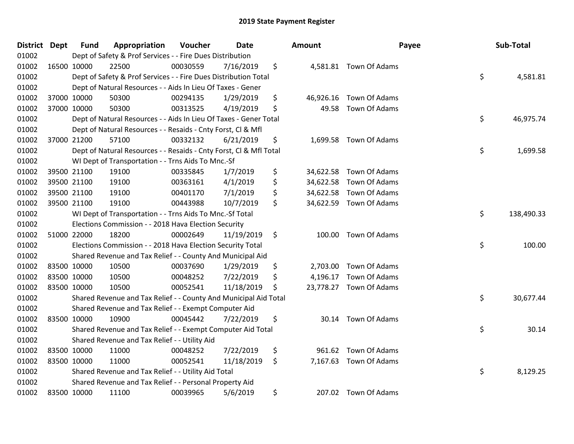| District Dept |             | <b>Fund</b> | Appropriation                                                      | Voucher  | <b>Date</b> | <b>Amount</b>   | Payee                   | Sub-Total        |
|---------------|-------------|-------------|--------------------------------------------------------------------|----------|-------------|-----------------|-------------------------|------------------|
| 01002         |             |             | Dept of Safety & Prof Services - - Fire Dues Distribution          |          |             |                 |                         |                  |
| 01002         | 16500 10000 |             | 22500                                                              | 00030559 | 7/16/2019   | \$              | 4,581.81 Town Of Adams  |                  |
| 01002         |             |             | Dept of Safety & Prof Services - - Fire Dues Distribution Total    |          |             |                 |                         | \$<br>4,581.81   |
| 01002         |             |             | Dept of Natural Resources - - Aids In Lieu Of Taxes - Gener        |          |             |                 |                         |                  |
| 01002         | 37000 10000 |             | 50300                                                              | 00294135 | 1/29/2019   | \$<br>46,926.16 | Town Of Adams           |                  |
| 01002         |             | 37000 10000 | 50300                                                              | 00313525 | 4/19/2019   | \$<br>49.58     | Town Of Adams           |                  |
| 01002         |             |             | Dept of Natural Resources - - Aids In Lieu Of Taxes - Gener Total  |          |             |                 |                         | \$<br>46,975.74  |
| 01002         |             |             | Dept of Natural Resources - - Resaids - Cnty Forst, Cl & Mfl       |          |             |                 |                         |                  |
| 01002         |             | 37000 21200 | 57100                                                              | 00332132 | 6/21/2019   | \$              | 1,699.58 Town Of Adams  |                  |
| 01002         |             |             | Dept of Natural Resources - - Resaids - Cnty Forst, Cl & Mfl Total |          |             |                 |                         | \$<br>1,699.58   |
| 01002         |             |             | WI Dept of Transportation - - Trns Aids To Mnc.-Sf                 |          |             |                 |                         |                  |
| 01002         |             | 39500 21100 | 19100                                                              | 00335845 | 1/7/2019    | \$<br>34,622.58 | Town Of Adams           |                  |
| 01002         |             | 39500 21100 | 19100                                                              | 00363161 | 4/1/2019    | \$<br>34,622.58 | Town Of Adams           |                  |
| 01002         | 39500 21100 |             | 19100                                                              | 00401170 | 7/1/2019    | \$<br>34,622.58 | Town Of Adams           |                  |
| 01002         | 39500 21100 |             | 19100                                                              | 00443988 | 10/7/2019   | \$              | 34,622.59 Town Of Adams |                  |
| 01002         |             |             | WI Dept of Transportation - - Trns Aids To Mnc.-Sf Total           |          |             |                 |                         | \$<br>138,490.33 |
| 01002         |             |             | Elections Commission - - 2018 Hava Election Security               |          |             |                 |                         |                  |
| 01002         |             | 51000 22000 | 18200                                                              | 00002649 | 11/19/2019  | \$<br>100.00    | Town Of Adams           |                  |
| 01002         |             |             | Elections Commission - - 2018 Hava Election Security Total         |          |             |                 |                         | \$<br>100.00     |
| 01002         |             |             | Shared Revenue and Tax Relief - - County And Municipal Aid         |          |             |                 |                         |                  |
| 01002         |             | 83500 10000 | 10500                                                              | 00037690 | 1/29/2019   | \$<br>2,703.00  | Town Of Adams           |                  |
| 01002         |             | 83500 10000 | 10500                                                              | 00048252 | 7/22/2019   | \$<br>4,196.17  | Town Of Adams           |                  |
| 01002         |             | 83500 10000 | 10500                                                              | 00052541 | 11/18/2019  | \$              | 23,778.27 Town Of Adams |                  |
| 01002         |             |             | Shared Revenue and Tax Relief - - County And Municipal Aid Total   |          |             |                 |                         | \$<br>30,677.44  |
| 01002         |             |             | Shared Revenue and Tax Relief - - Exempt Computer Aid              |          |             |                 |                         |                  |
| 01002         | 83500 10000 |             | 10900                                                              | 00045442 | 7/22/2019   | \$<br>30.14     | Town Of Adams           |                  |
| 01002         |             |             | Shared Revenue and Tax Relief - - Exempt Computer Aid Total        |          |             |                 |                         | \$<br>30.14      |
| 01002         |             |             | Shared Revenue and Tax Relief - - Utility Aid                      |          |             |                 |                         |                  |
| 01002         | 83500 10000 |             | 11000                                                              | 00048252 | 7/22/2019   | \$<br>961.62    | Town Of Adams           |                  |
| 01002         | 83500 10000 |             | 11000                                                              | 00052541 | 11/18/2019  | \$              | 7,167.63 Town Of Adams  |                  |
| 01002         |             |             | Shared Revenue and Tax Relief - - Utility Aid Total                |          |             |                 |                         | \$<br>8,129.25   |
| 01002         |             |             | Shared Revenue and Tax Relief - - Personal Property Aid            |          |             |                 |                         |                  |
| 01002         | 83500 10000 |             | 11100                                                              | 00039965 | 5/6/2019    | \$              | 207.02 Town Of Adams    |                  |
|               |             |             |                                                                    |          |             |                 |                         |                  |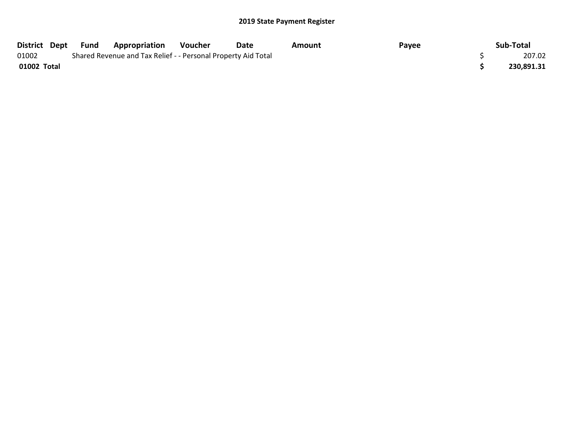| District Dept | Fund | <b>Appropriation</b>                                          | Voucher | Date | Amount | Payee | Sub-Total  |
|---------------|------|---------------------------------------------------------------|---------|------|--------|-------|------------|
| 01002         |      | Shared Revenue and Tax Relief - - Personal Property Aid Total |         |      |        |       | 207.02     |
| 01002 Total   |      |                                                               |         |      |        |       | 230,891.31 |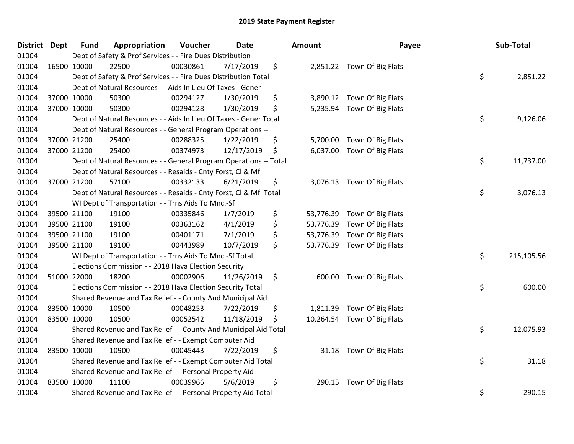| District | <b>Dept</b> | <b>Fund</b> | Appropriation                                                      | Voucher  | <b>Date</b> | <b>Amount</b>   | Payee                       | Sub-Total        |
|----------|-------------|-------------|--------------------------------------------------------------------|----------|-------------|-----------------|-----------------------------|------------------|
| 01004    |             |             | Dept of Safety & Prof Services - - Fire Dues Distribution          |          |             |                 |                             |                  |
| 01004    |             | 16500 10000 | 22500                                                              | 00030861 | 7/17/2019   | \$              | 2,851.22 Town Of Big Flats  |                  |
| 01004    |             |             | Dept of Safety & Prof Services - - Fire Dues Distribution Total    |          |             |                 |                             | \$<br>2,851.22   |
| 01004    |             |             | Dept of Natural Resources - - Aids In Lieu Of Taxes - Gener        |          |             |                 |                             |                  |
| 01004    |             | 37000 10000 | 50300                                                              | 00294127 | 1/30/2019   | \$              | 3,890.12 Town Of Big Flats  |                  |
| 01004    |             | 37000 10000 | 50300                                                              | 00294128 | 1/30/2019   | \$              | 5,235.94 Town Of Big Flats  |                  |
| 01004    |             |             | Dept of Natural Resources - - Aids In Lieu Of Taxes - Gener Total  |          |             |                 |                             | \$<br>9,126.06   |
| 01004    |             |             | Dept of Natural Resources - - General Program Operations --        |          |             |                 |                             |                  |
| 01004    |             | 37000 21200 | 25400                                                              | 00288325 | 1/22/2019   | \$              | 5,700.00 Town Of Big Flats  |                  |
| 01004    |             | 37000 21200 | 25400                                                              | 00374973 | 12/17/2019  | \$              | 6,037.00 Town Of Big Flats  |                  |
| 01004    |             |             | Dept of Natural Resources - - General Program Operations -- Total  |          |             |                 |                             | \$<br>11,737.00  |
| 01004    |             |             | Dept of Natural Resources - - Resaids - Cnty Forst, Cl & Mfl       |          |             |                 |                             |                  |
| 01004    |             | 37000 21200 | 57100                                                              | 00332133 | 6/21/2019   | \$              | 3,076.13 Town Of Big Flats  |                  |
| 01004    |             |             | Dept of Natural Resources - - Resaids - Cnty Forst, CI & Mfl Total |          |             |                 |                             | \$<br>3,076.13   |
| 01004    |             |             | WI Dept of Transportation - - Trns Aids To Mnc.-Sf                 |          |             |                 |                             |                  |
| 01004    |             | 39500 21100 | 19100                                                              | 00335846 | 1/7/2019    | \$<br>53,776.39 | Town Of Big Flats           |                  |
| 01004    |             | 39500 21100 | 19100                                                              | 00363162 | 4/1/2019    | \$<br>53,776.39 | Town Of Big Flats           |                  |
| 01004    |             | 39500 21100 | 19100                                                              | 00401171 | 7/1/2019    | \$              | 53,776.39 Town Of Big Flats |                  |
| 01004    |             | 39500 21100 | 19100                                                              | 00443989 | 10/7/2019   | \$              | 53,776.39 Town Of Big Flats |                  |
| 01004    |             |             | WI Dept of Transportation - - Trns Aids To Mnc.-Sf Total           |          |             |                 |                             | \$<br>215,105.56 |
| 01004    |             |             | Elections Commission - - 2018 Hava Election Security               |          |             |                 |                             |                  |
| 01004    |             | 51000 22000 | 18200                                                              | 00002906 | 11/26/2019  | \$              | 600.00 Town Of Big Flats    |                  |
| 01004    |             |             | Elections Commission - - 2018 Hava Election Security Total         |          |             |                 |                             | \$<br>600.00     |
| 01004    |             |             | Shared Revenue and Tax Relief - - County And Municipal Aid         |          |             |                 |                             |                  |
| 01004    |             | 83500 10000 | 10500                                                              | 00048253 | 7/22/2019   | \$<br>1,811.39  | Town Of Big Flats           |                  |
| 01004    |             | 83500 10000 | 10500                                                              | 00052542 | 11/18/2019  | \$              | 10,264.54 Town Of Big Flats |                  |
| 01004    |             |             | Shared Revenue and Tax Relief - - County And Municipal Aid Total   |          |             |                 |                             | \$<br>12,075.93  |
| 01004    |             |             | Shared Revenue and Tax Relief - - Exempt Computer Aid              |          |             |                 |                             |                  |
| 01004    | 83500 10000 |             | 10900                                                              | 00045443 | 7/22/2019   | \$              | 31.18 Town Of Big Flats     |                  |
| 01004    |             |             | Shared Revenue and Tax Relief - - Exempt Computer Aid Total        |          |             |                 |                             | \$<br>31.18      |
| 01004    |             |             | Shared Revenue and Tax Relief - - Personal Property Aid            |          |             |                 |                             |                  |
| 01004    |             | 83500 10000 | 11100                                                              | 00039966 | 5/6/2019    | \$<br>290.15    | Town Of Big Flats           |                  |
| 01004    |             |             | Shared Revenue and Tax Relief - - Personal Property Aid Total      |          |             |                 |                             | \$<br>290.15     |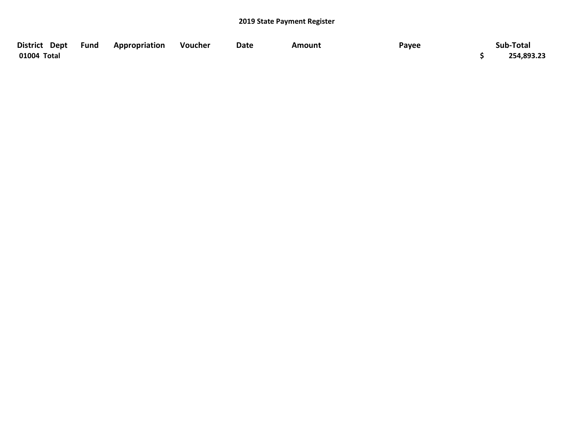| District Dept Fund | Appropriation | <b>Voucher</b> | <b>Date</b> | Amount | Payee | Sub-Total  |
|--------------------|---------------|----------------|-------------|--------|-------|------------|
| 01004 Total        |               |                |             |        |       | 254,893.23 |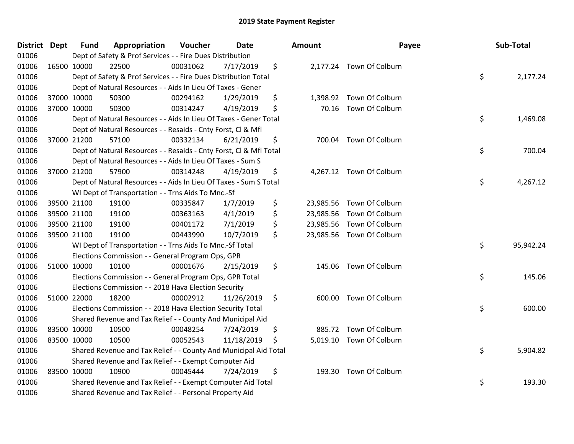| District Dept | <b>Fund</b> | Appropriation                                                      | Voucher  | <b>Date</b> | Amount          | Payee                     | Sub-Total       |
|---------------|-------------|--------------------------------------------------------------------|----------|-------------|-----------------|---------------------------|-----------------|
| 01006         |             | Dept of Safety & Prof Services - - Fire Dues Distribution          |          |             |                 |                           |                 |
| 01006         | 16500 10000 | 22500                                                              | 00031062 | 7/17/2019   | \$              | 2,177.24 Town Of Colburn  |                 |
| 01006         |             | Dept of Safety & Prof Services - - Fire Dues Distribution Total    |          |             |                 |                           | \$<br>2,177.24  |
| 01006         |             | Dept of Natural Resources - - Aids In Lieu Of Taxes - Gener        |          |             |                 |                           |                 |
| 01006         | 37000 10000 | 50300                                                              | 00294162 | 1/29/2019   | \$<br>1,398.92  | Town Of Colburn           |                 |
| 01006         | 37000 10000 | 50300                                                              | 00314247 | 4/19/2019   | \$<br>70.16     | Town Of Colburn           |                 |
| 01006         |             | Dept of Natural Resources - - Aids In Lieu Of Taxes - Gener Total  |          |             |                 |                           | \$<br>1,469.08  |
| 01006         |             | Dept of Natural Resources - - Resaids - Cnty Forst, Cl & Mfl       |          |             |                 |                           |                 |
| 01006         | 37000 21200 | 57100                                                              | 00332134 | 6/21/2019   | \$<br>700.04    | Town Of Colburn           |                 |
| 01006         |             | Dept of Natural Resources - - Resaids - Cnty Forst, Cl & Mfl Total |          |             |                 |                           | \$<br>700.04    |
| 01006         |             | Dept of Natural Resources - - Aids In Lieu Of Taxes - Sum S        |          |             |                 |                           |                 |
| 01006         | 37000 21200 | 57900                                                              | 00314248 | 4/19/2019   | \$              | 4,267.12 Town Of Colburn  |                 |
| 01006         |             | Dept of Natural Resources - - Aids In Lieu Of Taxes - Sum S Total  |          |             |                 |                           | \$<br>4,267.12  |
| 01006         |             | WI Dept of Transportation - - Trns Aids To Mnc.-Sf                 |          |             |                 |                           |                 |
| 01006         | 39500 21100 | 19100                                                              | 00335847 | 1/7/2019    | \$<br>23,985.56 | Town Of Colburn           |                 |
| 01006         | 39500 21100 | 19100                                                              | 00363163 | 4/1/2019    | \$<br>23,985.56 | Town Of Colburn           |                 |
| 01006         | 39500 21100 | 19100                                                              | 00401172 | 7/1/2019    | \$<br>23,985.56 | Town Of Colburn           |                 |
| 01006         | 39500 21100 | 19100                                                              | 00443990 | 10/7/2019   | \$              | 23,985.56 Town Of Colburn |                 |
| 01006         |             | WI Dept of Transportation - - Trns Aids To Mnc.-Sf Total           |          |             |                 |                           | \$<br>95,942.24 |
| 01006         |             | Elections Commission - - General Program Ops, GPR                  |          |             |                 |                           |                 |
| 01006         | 51000 10000 | 10100                                                              | 00001676 | 2/15/2019   | \$<br>145.06    | Town Of Colburn           |                 |
| 01006         |             | Elections Commission - - General Program Ops, GPR Total            |          |             |                 |                           | \$<br>145.06    |
| 01006         |             | Elections Commission - - 2018 Hava Election Security               |          |             |                 |                           |                 |
| 01006         | 51000 22000 | 18200                                                              | 00002912 | 11/26/2019  | \$<br>600.00    | Town Of Colburn           |                 |
| 01006         |             | Elections Commission - - 2018 Hava Election Security Total         |          |             |                 |                           | \$<br>600.00    |
| 01006         |             | Shared Revenue and Tax Relief - - County And Municipal Aid         |          |             |                 |                           |                 |
| 01006         | 83500 10000 | 10500                                                              | 00048254 | 7/24/2019   | \$<br>885.72    | Town Of Colburn           |                 |
| 01006         | 83500 10000 | 10500                                                              | 00052543 | 11/18/2019  | \$              | 5,019.10 Town Of Colburn  |                 |
| 01006         |             | Shared Revenue and Tax Relief - - County And Municipal Aid Total   |          |             |                 |                           | \$<br>5,904.82  |
| 01006         |             | Shared Revenue and Tax Relief - - Exempt Computer Aid              |          |             |                 |                           |                 |
| 01006         | 83500 10000 | 10900                                                              | 00045444 | 7/24/2019   | \$<br>193.30    | Town Of Colburn           |                 |
| 01006         |             | Shared Revenue and Tax Relief - - Exempt Computer Aid Total        |          |             |                 |                           | \$<br>193.30    |
| 01006         |             | Shared Revenue and Tax Relief - - Personal Property Aid            |          |             |                 |                           |                 |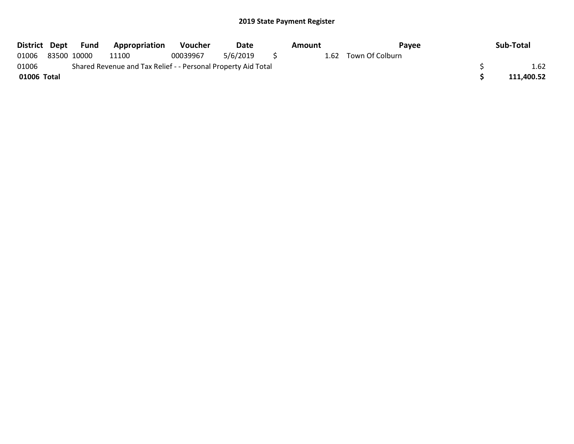| District Dept | Fund        | <b>Appropriation</b>                                          | <b>Voucher</b> | Date     |     | Amount | Pavee                | Sub-Total  |
|---------------|-------------|---------------------------------------------------------------|----------------|----------|-----|--------|----------------------|------------|
| 01006         | 83500 10000 | 11100                                                         | 00039967       | 5/6/2019 | S S |        | 1.62 Town Of Colburn |            |
| 01006         |             | Shared Revenue and Tax Relief - - Personal Property Aid Total |                |          |     |        |                      | 1.62       |
| 01006 Total   |             |                                                               |                |          |     |        |                      | 111.400.52 |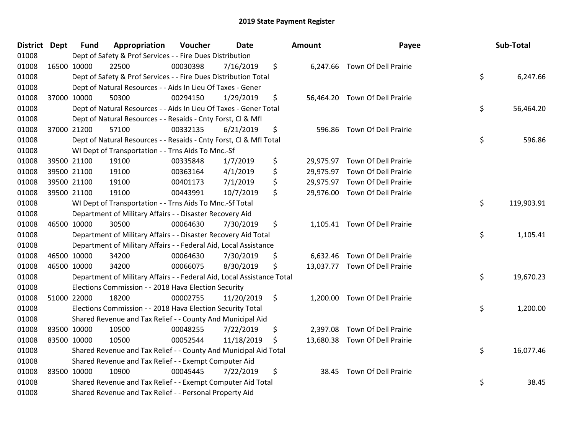| District Dept |             | <b>Fund</b> | Appropriation                                                          | Voucher  | <b>Date</b> |                | Amount | Payee                          | Sub-Total        |
|---------------|-------------|-------------|------------------------------------------------------------------------|----------|-------------|----------------|--------|--------------------------------|------------------|
| 01008         |             |             | Dept of Safety & Prof Services - - Fire Dues Distribution              |          |             |                |        |                                |                  |
| 01008         | 16500 10000 |             | 22500                                                                  | 00030398 | 7/16/2019   | \$             |        | 6,247.66 Town Of Dell Prairie  |                  |
| 01008         |             |             | Dept of Safety & Prof Services - - Fire Dues Distribution Total        |          |             |                |        |                                | \$<br>6,247.66   |
| 01008         |             |             | Dept of Natural Resources - - Aids In Lieu Of Taxes - Gener            |          |             |                |        |                                |                  |
| 01008         |             | 37000 10000 | 50300                                                                  | 00294150 | 1/29/2019   | \$             |        | 56,464.20 Town Of Dell Prairie |                  |
| 01008         |             |             | Dept of Natural Resources - - Aids In Lieu Of Taxes - Gener Total      |          |             |                |        |                                | \$<br>56,464.20  |
| 01008         |             |             | Dept of Natural Resources - - Resaids - Cnty Forst, Cl & Mfl           |          |             |                |        |                                |                  |
| 01008         |             | 37000 21200 | 57100                                                                  | 00332135 | 6/21/2019   | \$             |        | 596.86 Town Of Dell Prairie    |                  |
| 01008         |             |             | Dept of Natural Resources - - Resaids - Cnty Forst, CI & Mfl Total     |          |             |                |        |                                | \$<br>596.86     |
| 01008         |             |             | WI Dept of Transportation - - Trns Aids To Mnc.-Sf                     |          |             |                |        |                                |                  |
| 01008         |             | 39500 21100 | 19100                                                                  | 00335848 | 1/7/2019    | \$             |        | 29,975.97 Town Of Dell Prairie |                  |
| 01008         |             | 39500 21100 | 19100                                                                  | 00363164 | 4/1/2019    | \$             |        | 29,975.97 Town Of Dell Prairie |                  |
| 01008         |             | 39500 21100 | 19100                                                                  | 00401173 | 7/1/2019    | \$             |        | 29,975.97 Town Of Dell Prairie |                  |
| 01008         |             | 39500 21100 | 19100                                                                  | 00443991 | 10/7/2019   | \$             |        | 29,976.00 Town Of Dell Prairie |                  |
| 01008         |             |             | WI Dept of Transportation - - Trns Aids To Mnc.-Sf Total               |          |             |                |        |                                | \$<br>119,903.91 |
| 01008         |             |             | Department of Military Affairs - - Disaster Recovery Aid               |          |             |                |        |                                |                  |
| 01008         |             | 46500 10000 | 30500                                                                  | 00064630 | 7/30/2019   | \$             |        | 1,105.41 Town Of Dell Prairie  |                  |
| 01008         |             |             | Department of Military Affairs - - Disaster Recovery Aid Total         |          |             |                |        |                                | \$<br>1,105.41   |
| 01008         |             |             | Department of Military Affairs - - Federal Aid, Local Assistance       |          |             |                |        |                                |                  |
| 01008         |             | 46500 10000 | 34200                                                                  | 00064630 | 7/30/2019   | \$             |        | 6,632.46 Town Of Dell Prairie  |                  |
| 01008         |             | 46500 10000 | 34200                                                                  | 00066075 | 8/30/2019   | \$             |        | 13,037.77 Town Of Dell Prairie |                  |
| 01008         |             |             | Department of Military Affairs - - Federal Aid, Local Assistance Total |          |             |                |        |                                | \$<br>19,670.23  |
| 01008         |             |             | Elections Commission - - 2018 Hava Election Security                   |          |             |                |        |                                |                  |
| 01008         |             | 51000 22000 | 18200                                                                  | 00002755 | 11/20/2019  | $\ddot{\zeta}$ |        | 1,200.00 Town Of Dell Prairie  |                  |
| 01008         |             |             | Elections Commission - - 2018 Hava Election Security Total             |          |             |                |        |                                | \$<br>1,200.00   |
| 01008         |             |             | Shared Revenue and Tax Relief - - County And Municipal Aid             |          |             |                |        |                                |                  |
| 01008         |             | 83500 10000 | 10500                                                                  | 00048255 | 7/22/2019   | \$             |        | 2,397.08 Town Of Dell Prairie  |                  |
| 01008         |             | 83500 10000 | 10500                                                                  | 00052544 | 11/18/2019  | \$             |        | 13,680.38 Town Of Dell Prairie |                  |
| 01008         |             |             | Shared Revenue and Tax Relief - - County And Municipal Aid Total       |          |             |                |        |                                | \$<br>16,077.46  |
| 01008         |             |             | Shared Revenue and Tax Relief - - Exempt Computer Aid                  |          |             |                |        |                                |                  |
| 01008         |             | 83500 10000 | 10900                                                                  | 00045445 | 7/22/2019   | \$             |        | 38.45 Town Of Dell Prairie     |                  |
| 01008         |             |             | Shared Revenue and Tax Relief - - Exempt Computer Aid Total            |          |             |                |        |                                | \$<br>38.45      |
| 01008         |             |             | Shared Revenue and Tax Relief - - Personal Property Aid                |          |             |                |        |                                |                  |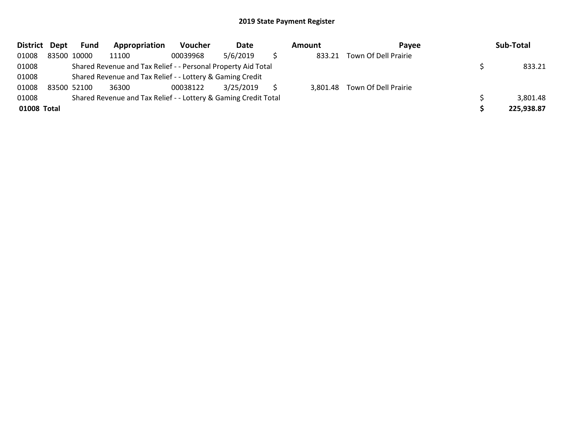| <b>District</b> | Dept | Fund        | Appropriation                                                   | <b>Voucher</b> | Date      | Amount | Pavee                         | Sub-Total  |
|-----------------|------|-------------|-----------------------------------------------------------------|----------------|-----------|--------|-------------------------------|------------|
| 01008           |      | 83500 10000 | 11100                                                           | 00039968       | 5/6/2019  | 833.21 | Town Of Dell Prairie          |            |
| 01008           |      |             | Shared Revenue and Tax Relief - - Personal Property Aid Total   |                |           |        |                               | 833.21     |
| 01008           |      |             | Shared Revenue and Tax Relief - - Lottery & Gaming Credit       |                |           |        |                               |            |
| 01008           |      | 83500 52100 | 36300                                                           | 00038122       | 3/25/2019 |        | 3,801.48 Town Of Dell Prairie |            |
| 01008           |      |             | Shared Revenue and Tax Relief - - Lottery & Gaming Credit Total |                |           |        |                               | 3,801.48   |
| 01008 Total     |      |             |                                                                 |                |           |        |                               | 225,938.87 |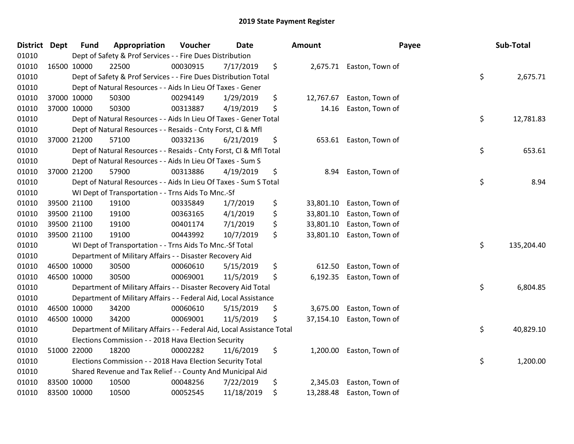| District Dept |             | <b>Fund</b> | Appropriation                                                          | Voucher  | <b>Date</b> | <b>Amount</b>   | Payee                    | Sub-Total        |
|---------------|-------------|-------------|------------------------------------------------------------------------|----------|-------------|-----------------|--------------------------|------------------|
| 01010         |             |             | Dept of Safety & Prof Services - - Fire Dues Distribution              |          |             |                 |                          |                  |
| 01010         | 16500 10000 |             | 22500                                                                  | 00030915 | 7/17/2019   | \$              | 2,675.71 Easton, Town of |                  |
| 01010         |             |             | Dept of Safety & Prof Services - - Fire Dues Distribution Total        |          |             |                 |                          | \$<br>2,675.71   |
| 01010         |             |             | Dept of Natural Resources - - Aids In Lieu Of Taxes - Gener            |          |             |                 |                          |                  |
| 01010         | 37000 10000 |             | 50300                                                                  | 00294149 | 1/29/2019   | \$<br>12,767.67 | Easton, Town of          |                  |
| 01010         | 37000 10000 |             | 50300                                                                  | 00313887 | 4/19/2019   | \$<br>14.16     | Easton, Town of          |                  |
| 01010         |             |             | Dept of Natural Resources - - Aids In Lieu Of Taxes - Gener Total      |          |             |                 |                          | \$<br>12,781.83  |
| 01010         |             |             | Dept of Natural Resources - - Resaids - Cnty Forst, Cl & Mfl           |          |             |                 |                          |                  |
| 01010         | 37000 21200 |             | 57100                                                                  | 00332136 | 6/21/2019   | \$              | 653.61 Easton, Town of   |                  |
| 01010         |             |             | Dept of Natural Resources - - Resaids - Cnty Forst, CI & Mfl Total     |          |             |                 |                          | \$<br>653.61     |
| 01010         |             |             | Dept of Natural Resources - - Aids In Lieu Of Taxes - Sum S            |          |             |                 |                          |                  |
| 01010         | 37000 21200 |             | 57900                                                                  | 00313886 | 4/19/2019   | \$<br>8.94      | Easton, Town of          |                  |
| 01010         |             |             | Dept of Natural Resources - - Aids In Lieu Of Taxes - Sum S Total      |          |             |                 |                          | \$<br>8.94       |
| 01010         |             |             | WI Dept of Transportation - - Trns Aids To Mnc.-Sf                     |          |             |                 |                          |                  |
| 01010         | 39500 21100 |             | 19100                                                                  | 00335849 | 1/7/2019    | \$<br>33,801.10 | Easton, Town of          |                  |
| 01010         | 39500 21100 |             | 19100                                                                  | 00363165 | 4/1/2019    | \$<br>33,801.10 | Easton, Town of          |                  |
| 01010         | 39500 21100 |             | 19100                                                                  | 00401174 | 7/1/2019    | \$<br>33,801.10 | Easton, Town of          |                  |
| 01010         | 39500 21100 |             | 19100                                                                  | 00443992 | 10/7/2019   | \$<br>33,801.10 | Easton, Town of          |                  |
| 01010         |             |             | WI Dept of Transportation - - Trns Aids To Mnc.-Sf Total               |          |             |                 |                          | \$<br>135,204.40 |
| 01010         |             |             | Department of Military Affairs - - Disaster Recovery Aid               |          |             |                 |                          |                  |
| 01010         | 46500 10000 |             | 30500                                                                  | 00060610 | 5/15/2019   | \$<br>612.50    | Easton, Town of          |                  |
| 01010         | 46500 10000 |             | 30500                                                                  | 00069001 | 11/5/2019   | \$<br>6,192.35  | Easton, Town of          |                  |
| 01010         |             |             | Department of Military Affairs - - Disaster Recovery Aid Total         |          |             |                 |                          | \$<br>6,804.85   |
| 01010         |             |             | Department of Military Affairs - - Federal Aid, Local Assistance       |          |             |                 |                          |                  |
| 01010         | 46500 10000 |             | 34200                                                                  | 00060610 | 5/15/2019   | \$<br>3,675.00  | Easton, Town of          |                  |
| 01010         | 46500 10000 |             | 34200                                                                  | 00069001 | 11/5/2019   | \$<br>37,154.10 | Easton, Town of          |                  |
| 01010         |             |             | Department of Military Affairs - - Federal Aid, Local Assistance Total |          |             |                 |                          | \$<br>40,829.10  |
| 01010         |             |             | Elections Commission - - 2018 Hava Election Security                   |          |             |                 |                          |                  |
| 01010         | 51000 22000 |             | 18200                                                                  | 00002282 | 11/6/2019   | \$<br>1,200.00  | Easton, Town of          |                  |
| 01010         |             |             | Elections Commission - - 2018 Hava Election Security Total             |          |             |                 |                          | \$<br>1,200.00   |
| 01010         |             |             | Shared Revenue and Tax Relief - - County And Municipal Aid             |          |             |                 |                          |                  |
| 01010         | 83500 10000 |             | 10500                                                                  | 00048256 | 7/22/2019   | \$<br>2,345.03  | Easton, Town of          |                  |
| 01010         | 83500 10000 |             | 10500                                                                  | 00052545 | 11/18/2019  | \$<br>13,288.48 | Easton, Town of          |                  |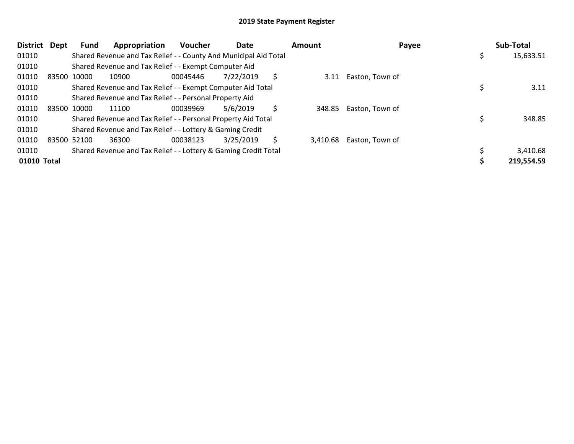| <b>District</b> | <b>Dept</b> | Fund        | Appropriation                                                    | <b>Voucher</b> | Date      |   | Amount   | Payee           | Sub-Total  |
|-----------------|-------------|-------------|------------------------------------------------------------------|----------------|-----------|---|----------|-----------------|------------|
| 01010           |             |             | Shared Revenue and Tax Relief - - County And Municipal Aid Total |                |           |   |          |                 | 15,633.51  |
| 01010           |             |             | Shared Revenue and Tax Relief - - Exempt Computer Aid            |                |           |   |          |                 |            |
| 01010           | 83500 10000 |             | 10900                                                            | 00045446       | 7/22/2019 | S | 3.11     | Easton, Town of |            |
| 01010           |             |             | Shared Revenue and Tax Relief - - Exempt Computer Aid Total      |                |           |   |          |                 | 3.11       |
| 01010           |             |             | Shared Revenue and Tax Relief - - Personal Property Aid          |                |           |   |          |                 |            |
| 01010           |             | 83500 10000 | 11100                                                            | 00039969       | 5/6/2019  | S | 348.85   | Easton, Town of |            |
| 01010           |             |             | Shared Revenue and Tax Relief - - Personal Property Aid Total    |                |           |   |          |                 | 348.85     |
| 01010           |             |             | Shared Revenue and Tax Relief - - Lottery & Gaming Credit        |                |           |   |          |                 |            |
| 01010           |             | 83500 52100 | 36300                                                            | 00038123       | 3/25/2019 | S | 3,410.68 | Easton, Town of |            |
| 01010           |             |             | Shared Revenue and Tax Relief - - Lottery & Gaming Credit Total  |                |           |   |          |                 | 3,410.68   |
| 01010 Total     |             |             |                                                                  |                |           |   |          |                 | 219,554.59 |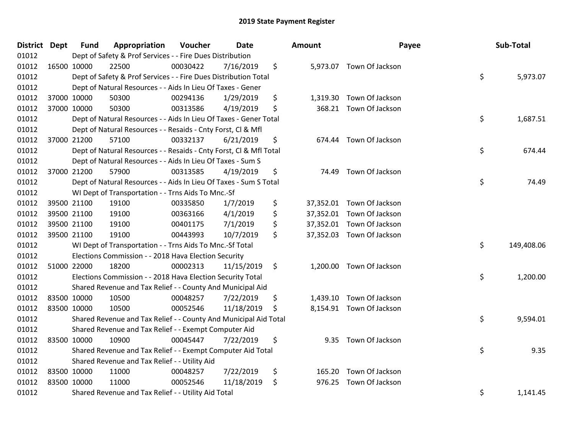| District Dept |             | <b>Fund</b> | Appropriation                                                      | Voucher  | <b>Date</b> | <b>Amount</b> | Payee                     | Sub-Total        |
|---------------|-------------|-------------|--------------------------------------------------------------------|----------|-------------|---------------|---------------------------|------------------|
| 01012         |             |             | Dept of Safety & Prof Services - - Fire Dues Distribution          |          |             |               |                           |                  |
| 01012         | 16500 10000 |             | 22500                                                              | 00030422 | 7/16/2019   | \$            | 5,973.07 Town Of Jackson  |                  |
| 01012         |             |             | Dept of Safety & Prof Services - - Fire Dues Distribution Total    |          |             |               |                           | \$<br>5,973.07   |
| 01012         |             |             | Dept of Natural Resources - - Aids In Lieu Of Taxes - Gener        |          |             |               |                           |                  |
| 01012         |             | 37000 10000 | 50300                                                              | 00294136 | 1/29/2019   | \$            | 1,319.30 Town Of Jackson  |                  |
| 01012         |             | 37000 10000 | 50300                                                              | 00313586 | 4/19/2019   | \$            | 368.21 Town Of Jackson    |                  |
| 01012         |             |             | Dept of Natural Resources - - Aids In Lieu Of Taxes - Gener Total  |          |             |               |                           | \$<br>1,687.51   |
| 01012         |             |             | Dept of Natural Resources - - Resaids - Cnty Forst, Cl & Mfl       |          |             |               |                           |                  |
| 01012         | 37000 21200 |             | 57100                                                              | 00332137 | 6/21/2019   | \$            | 674.44 Town Of Jackson    |                  |
| 01012         |             |             | Dept of Natural Resources - - Resaids - Cnty Forst, Cl & Mfl Total |          |             |               |                           | \$<br>674.44     |
| 01012         |             |             | Dept of Natural Resources - - Aids In Lieu Of Taxes - Sum S        |          |             |               |                           |                  |
| 01012         | 37000 21200 |             | 57900                                                              | 00313585 | 4/19/2019   | \$            | 74.49 Town Of Jackson     |                  |
| 01012         |             |             | Dept of Natural Resources - - Aids In Lieu Of Taxes - Sum S Total  |          |             |               |                           | \$<br>74.49      |
| 01012         |             |             | WI Dept of Transportation - - Trns Aids To Mnc.-Sf                 |          |             |               |                           |                  |
| 01012         | 39500 21100 |             | 19100                                                              | 00335850 | 1/7/2019    | \$            | 37,352.01 Town Of Jackson |                  |
| 01012         |             | 39500 21100 | 19100                                                              | 00363166 | 4/1/2019    | \$            | 37,352.01 Town Of Jackson |                  |
| 01012         |             | 39500 21100 | 19100                                                              | 00401175 | 7/1/2019    | \$            | 37,352.01 Town Of Jackson |                  |
| 01012         | 39500 21100 |             | 19100                                                              | 00443993 | 10/7/2019   | \$            | 37,352.03 Town Of Jackson |                  |
| 01012         |             |             | WI Dept of Transportation - - Trns Aids To Mnc.-Sf Total           |          |             |               |                           | \$<br>149,408.06 |
| 01012         |             |             | Elections Commission - - 2018 Hava Election Security               |          |             |               |                           |                  |
| 01012         |             | 51000 22000 | 18200                                                              | 00002313 | 11/15/2019  | \$            | 1,200.00 Town Of Jackson  |                  |
| 01012         |             |             | Elections Commission - - 2018 Hava Election Security Total         |          |             |               |                           | \$<br>1,200.00   |
| 01012         |             |             | Shared Revenue and Tax Relief - - County And Municipal Aid         |          |             |               |                           |                  |
| 01012         | 83500 10000 |             | 10500                                                              | 00048257 | 7/22/2019   | \$            | 1,439.10 Town Of Jackson  |                  |
| 01012         | 83500 10000 |             | 10500                                                              | 00052546 | 11/18/2019  | \$            | 8,154.91 Town Of Jackson  |                  |
| 01012         |             |             | Shared Revenue and Tax Relief - - County And Municipal Aid Total   |          |             |               |                           | \$<br>9,594.01   |
| 01012         |             |             | Shared Revenue and Tax Relief - - Exempt Computer Aid              |          |             |               |                           |                  |
| 01012         | 83500 10000 |             | 10900                                                              | 00045447 | 7/22/2019   | \$            | 9.35 Town Of Jackson      |                  |
| 01012         |             |             | Shared Revenue and Tax Relief - - Exempt Computer Aid Total        |          |             |               |                           | \$<br>9.35       |
| 01012         |             |             | Shared Revenue and Tax Relief - - Utility Aid                      |          |             |               |                           |                  |
| 01012         | 83500 10000 |             | 11000                                                              | 00048257 | 7/22/2019   | \$            | 165.20 Town Of Jackson    |                  |
| 01012         | 83500 10000 |             | 11000                                                              | 00052546 | 11/18/2019  | \$<br>976.25  | Town Of Jackson           |                  |
| 01012         |             |             | Shared Revenue and Tax Relief - - Utility Aid Total                |          |             |               |                           | \$<br>1,141.45   |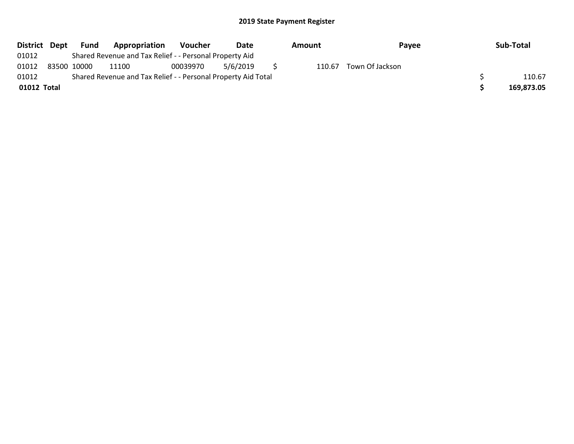| District Dept | Fund        | Appropriation                                                 | Voucher  | Date     | Amount | Payee           | Sub-Total  |
|---------------|-------------|---------------------------------------------------------------|----------|----------|--------|-----------------|------------|
| 01012         |             | Shared Revenue and Tax Relief - - Personal Property Aid       |          |          |        |                 |            |
| 01012         | 83500 10000 | 11100                                                         | 00039970 | 5/6/2019 | 110.67 | Town Of Jackson |            |
| 01012         |             | Shared Revenue and Tax Relief - - Personal Property Aid Total |          |          |        |                 | 110.67     |
| 01012 Total   |             |                                                               |          |          |        |                 | 169,873.05 |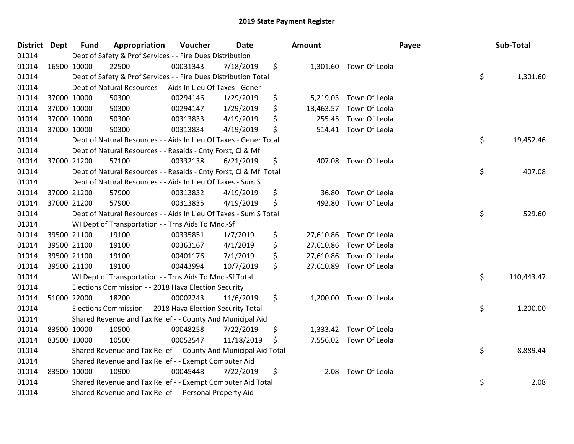| District Dept |             | <b>Fund</b> | Appropriation                                                      | Voucher  | Date       | <b>Amount</b>   |                         | Payee | Sub-Total  |
|---------------|-------------|-------------|--------------------------------------------------------------------|----------|------------|-----------------|-------------------------|-------|------------|
| 01014         |             |             | Dept of Safety & Prof Services - - Fire Dues Distribution          |          |            |                 |                         |       |            |
| 01014         |             | 16500 10000 | 22500                                                              | 00031343 | 7/18/2019  | \$              | 1,301.60 Town Of Leola  |       |            |
| 01014         |             |             | Dept of Safety & Prof Services - - Fire Dues Distribution Total    |          |            |                 |                         | \$    | 1,301.60   |
| 01014         |             |             | Dept of Natural Resources - - Aids In Lieu Of Taxes - Gener        |          |            |                 |                         |       |            |
| 01014         |             | 37000 10000 | 50300                                                              | 00294146 | 1/29/2019  | \$<br>5,219.03  | Town Of Leola           |       |            |
| 01014         |             | 37000 10000 | 50300                                                              | 00294147 | 1/29/2019  | \$<br>13,463.57 | Town Of Leola           |       |            |
| 01014         |             | 37000 10000 | 50300                                                              | 00313833 | 4/19/2019  | \$<br>255.45    | Town Of Leola           |       |            |
| 01014         |             | 37000 10000 | 50300                                                              | 00313834 | 4/19/2019  | \$<br>514.41    | Town Of Leola           |       |            |
| 01014         |             |             | Dept of Natural Resources - - Aids In Lieu Of Taxes - Gener Total  |          |            |                 |                         | \$    | 19,452.46  |
| 01014         |             |             | Dept of Natural Resources - - Resaids - Cnty Forst, Cl & Mfl       |          |            |                 |                         |       |            |
| 01014         |             | 37000 21200 | 57100                                                              | 00332138 | 6/21/2019  | \$              | 407.08 Town Of Leola    |       |            |
| 01014         |             |             | Dept of Natural Resources - - Resaids - Cnty Forst, CI & Mfl Total |          |            |                 |                         | \$    | 407.08     |
| 01014         |             |             | Dept of Natural Resources - - Aids In Lieu Of Taxes - Sum S        |          |            |                 |                         |       |            |
| 01014         |             | 37000 21200 | 57900                                                              | 00313832 | 4/19/2019  | \$<br>36.80     | Town Of Leola           |       |            |
| 01014         |             | 37000 21200 | 57900                                                              | 00313835 | 4/19/2019  | \$<br>492.80    | Town Of Leola           |       |            |
| 01014         |             |             | Dept of Natural Resources - - Aids In Lieu Of Taxes - Sum S Total  |          |            |                 |                         | \$    | 529.60     |
| 01014         |             |             | WI Dept of Transportation - - Trns Aids To Mnc.-Sf                 |          |            |                 |                         |       |            |
| 01014         |             | 39500 21100 | 19100                                                              | 00335851 | 1/7/2019   | \$<br>27,610.86 | Town Of Leola           |       |            |
| 01014         |             | 39500 21100 | 19100                                                              | 00363167 | 4/1/2019   | \$<br>27,610.86 | Town Of Leola           |       |            |
| 01014         |             | 39500 21100 | 19100                                                              | 00401176 | 7/1/2019   | \$<br>27,610.86 | Town Of Leola           |       |            |
| 01014         |             | 39500 21100 | 19100                                                              | 00443994 | 10/7/2019  | \$              | 27,610.89 Town Of Leola |       |            |
| 01014         |             |             | WI Dept of Transportation - - Trns Aids To Mnc.-Sf Total           |          |            |                 |                         | \$    | 110,443.47 |
| 01014         |             |             | Elections Commission - - 2018 Hava Election Security               |          |            |                 |                         |       |            |
| 01014         |             | 51000 22000 | 18200                                                              | 00002243 | 11/6/2019  | \$<br>1,200.00  | Town Of Leola           |       |            |
| 01014         |             |             | Elections Commission - - 2018 Hava Election Security Total         |          |            |                 |                         | \$    | 1,200.00   |
| 01014         |             |             | Shared Revenue and Tax Relief - - County And Municipal Aid         |          |            |                 |                         |       |            |
| 01014         |             | 83500 10000 | 10500                                                              | 00048258 | 7/22/2019  | \$<br>1,333.42  | Town Of Leola           |       |            |
| 01014         | 83500 10000 |             | 10500                                                              | 00052547 | 11/18/2019 | \$              | 7,556.02 Town Of Leola  |       |            |
| 01014         |             |             | Shared Revenue and Tax Relief - - County And Municipal Aid Total   |          |            |                 |                         | \$    | 8,889.44   |
| 01014         |             |             | Shared Revenue and Tax Relief - - Exempt Computer Aid              |          |            |                 |                         |       |            |
| 01014         |             | 83500 10000 | 10900                                                              | 00045448 | 7/22/2019  | \$<br>2.08      | Town Of Leola           |       |            |
| 01014         |             |             | Shared Revenue and Tax Relief - - Exempt Computer Aid Total        |          |            |                 |                         | \$    | 2.08       |
| 01014         |             |             | Shared Revenue and Tax Relief - - Personal Property Aid            |          |            |                 |                         |       |            |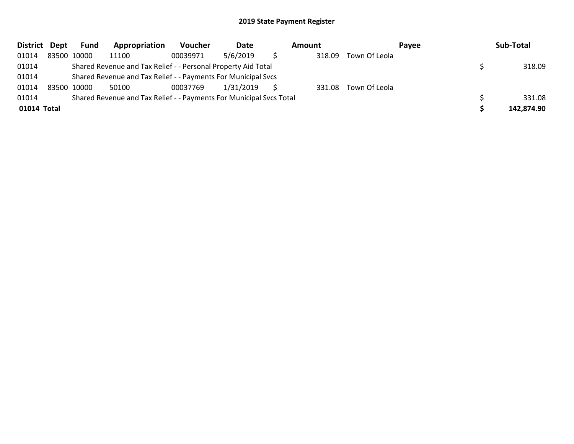| <b>District</b> | Dept | Fund        | Appropriation                                                       | <b>Voucher</b> | Date      | Amount |               | Payee | Sub-Total  |
|-----------------|------|-------------|---------------------------------------------------------------------|----------------|-----------|--------|---------------|-------|------------|
| 01014           |      | 83500 10000 | 11100                                                               | 00039971       | 5/6/2019  | 318.09 | Town Of Leola |       |            |
| 01014           |      |             | Shared Revenue and Tax Relief - - Personal Property Aid Total       |                |           |        |               |       | 318.09     |
| 01014           |      |             | Shared Revenue and Tax Relief - - Payments For Municipal Svcs       |                |           |        |               |       |            |
| 01014           |      | 83500 10000 | 50100                                                               | 00037769       | 1/31/2019 | 331.08 | Town Of Leola |       |            |
| 01014           |      |             | Shared Revenue and Tax Relief - - Payments For Municipal Svcs Total |                |           |        |               |       | 331.08     |
| 01014 Total     |      |             |                                                                     |                |           |        |               |       | 142,874.90 |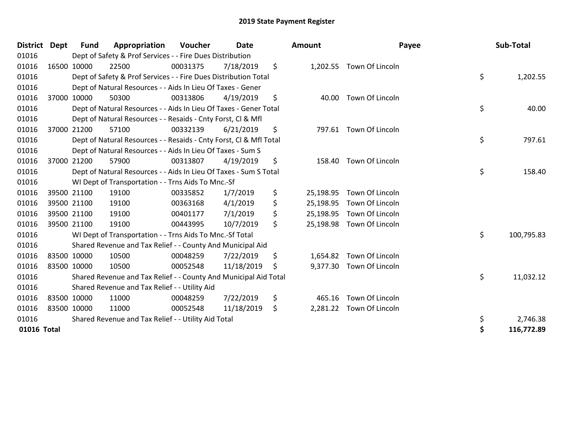| District Dept | <b>Fund</b> | Appropriation                                                      | <b>Voucher</b> | <b>Date</b> | <b>Amount</b>   | Payee                     | Sub-Total        |
|---------------|-------------|--------------------------------------------------------------------|----------------|-------------|-----------------|---------------------------|------------------|
| 01016         |             | Dept of Safety & Prof Services - - Fire Dues Distribution          |                |             |                 |                           |                  |
| 01016         | 16500 10000 | 22500                                                              | 00031375       | 7/18/2019   | \$              | 1,202.55 Town Of Lincoln  |                  |
| 01016         |             | Dept of Safety & Prof Services - - Fire Dues Distribution Total    |                |             |                 |                           | \$<br>1,202.55   |
| 01016         |             | Dept of Natural Resources - - Aids In Lieu Of Taxes - Gener        |                |             |                 |                           |                  |
| 01016         | 37000 10000 | 50300                                                              | 00313806       | 4/19/2019   | \$<br>40.00     | Town Of Lincoln           |                  |
| 01016         |             | Dept of Natural Resources - - Aids In Lieu Of Taxes - Gener Total  |                |             |                 |                           | \$<br>40.00      |
| 01016         |             | Dept of Natural Resources - - Resaids - Cnty Forst, CI & Mfl       |                |             |                 |                           |                  |
| 01016         | 37000 21200 | 57100                                                              | 00332139       | 6/21/2019   | \$<br>797.61    | Town Of Lincoln           |                  |
| 01016         |             | Dept of Natural Resources - - Resaids - Cnty Forst, Cl & Mfl Total |                |             |                 |                           | \$<br>797.61     |
| 01016         |             | Dept of Natural Resources - - Aids In Lieu Of Taxes - Sum S        |                |             |                 |                           |                  |
| 01016         | 37000 21200 | 57900                                                              | 00313807       | 4/19/2019   | \$<br>158.40    | Town Of Lincoln           |                  |
| 01016         |             | Dept of Natural Resources - - Aids In Lieu Of Taxes - Sum S Total  |                |             |                 |                           | \$<br>158.40     |
| 01016         |             | WI Dept of Transportation - - Trns Aids To Mnc.-Sf                 |                |             |                 |                           |                  |
| 01016         | 39500 21100 | 19100                                                              | 00335852       | 1/7/2019    | \$<br>25,198.95 | Town Of Lincoln           |                  |
| 01016         | 39500 21100 | 19100                                                              | 00363168       | 4/1/2019    | \$<br>25,198.95 | Town Of Lincoln           |                  |
| 01016         | 39500 21100 | 19100                                                              | 00401177       | 7/1/2019    | \$<br>25,198.95 | Town Of Lincoln           |                  |
| 01016         | 39500 21100 | 19100                                                              | 00443995       | 10/7/2019   | \$              | 25,198.98 Town Of Lincoln |                  |
| 01016         |             | WI Dept of Transportation - - Trns Aids To Mnc.-Sf Total           |                |             |                 |                           | \$<br>100,795.83 |
| 01016         |             | Shared Revenue and Tax Relief - - County And Municipal Aid         |                |             |                 |                           |                  |
| 01016         | 83500 10000 | 10500                                                              | 00048259       | 7/22/2019   | \$<br>1,654.82  | Town Of Lincoln           |                  |
| 01016         | 83500 10000 | 10500                                                              | 00052548       | 11/18/2019  | \$              | 9,377.30 Town Of Lincoln  |                  |
| 01016         |             | Shared Revenue and Tax Relief - - County And Municipal Aid Total   |                |             |                 |                           | \$<br>11,032.12  |
| 01016         |             | Shared Revenue and Tax Relief - - Utility Aid                      |                |             |                 |                           |                  |
| 01016         | 83500 10000 | 11000                                                              | 00048259       | 7/22/2019   | \$<br>465.16    | Town Of Lincoln           |                  |
| 01016         | 83500 10000 | 11000                                                              | 00052548       | 11/18/2019  | \$<br>2,281.22  | Town Of Lincoln           |                  |
| 01016         |             | Shared Revenue and Tax Relief - - Utility Aid Total                |                |             |                 |                           | \$<br>2,746.38   |
| 01016 Total   |             |                                                                    |                |             |                 |                           | \$<br>116,772.89 |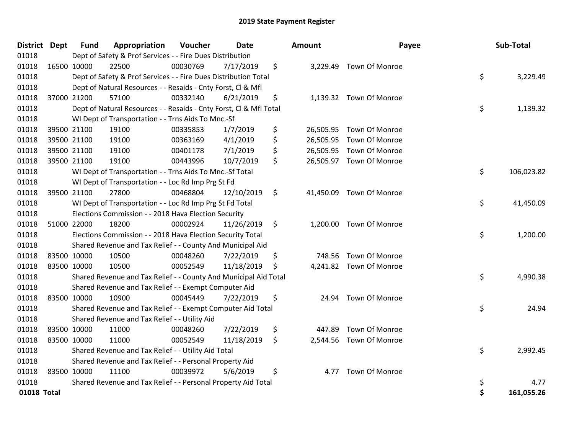| District Dept |             | <b>Fund</b> | Appropriation                                                      | Voucher  | Date       | <b>Amount</b>   | Payee                    | Sub-Total        |
|---------------|-------------|-------------|--------------------------------------------------------------------|----------|------------|-----------------|--------------------------|------------------|
| 01018         |             |             | Dept of Safety & Prof Services - - Fire Dues Distribution          |          |            |                 |                          |                  |
| 01018         | 16500 10000 |             | 22500                                                              | 00030769 | 7/17/2019  | \$              | 3,229.49 Town Of Monroe  |                  |
| 01018         |             |             | Dept of Safety & Prof Services - - Fire Dues Distribution Total    |          |            |                 |                          | \$<br>3,229.49   |
| 01018         |             |             | Dept of Natural Resources - - Resaids - Cnty Forst, Cl & Mfl       |          |            |                 |                          |                  |
| 01018         |             | 37000 21200 | 57100                                                              | 00332140 | 6/21/2019  | \$              | 1,139.32 Town Of Monroe  |                  |
| 01018         |             |             | Dept of Natural Resources - - Resaids - Cnty Forst, Cl & Mfl Total |          |            |                 |                          | \$<br>1,139.32   |
| 01018         |             |             | WI Dept of Transportation - - Trns Aids To Mnc.-Sf                 |          |            |                 |                          |                  |
| 01018         |             | 39500 21100 | 19100                                                              | 00335853 | 1/7/2019   | \$<br>26,505.95 | <b>Town Of Monroe</b>    |                  |
| 01018         |             | 39500 21100 | 19100                                                              | 00363169 | 4/1/2019   | \$<br>26,505.95 | Town Of Monroe           |                  |
| 01018         |             | 39500 21100 | 19100                                                              | 00401178 | 7/1/2019   | \$              | 26,505.95 Town Of Monroe |                  |
| 01018         |             | 39500 21100 | 19100                                                              | 00443996 | 10/7/2019  | \$              | 26,505.97 Town Of Monroe |                  |
| 01018         |             |             | WI Dept of Transportation - - Trns Aids To Mnc.-Sf Total           |          |            |                 |                          | \$<br>106,023.82 |
| 01018         |             |             | WI Dept of Transportation - - Loc Rd Imp Prg St Fd                 |          |            |                 |                          |                  |
| 01018         |             | 39500 21100 | 27800                                                              | 00468804 | 12/10/2019 | \$              | 41,450.09 Town Of Monroe |                  |
| 01018         |             |             | WI Dept of Transportation - - Loc Rd Imp Prg St Fd Total           |          |            |                 |                          | \$<br>41,450.09  |
| 01018         |             |             | Elections Commission - - 2018 Hava Election Security               |          |            |                 |                          |                  |
| 01018         |             | 51000 22000 | 18200                                                              | 00002924 | 11/26/2019 | \$              | 1,200.00 Town Of Monroe  |                  |
| 01018         |             |             | Elections Commission - - 2018 Hava Election Security Total         |          |            |                 |                          | \$<br>1,200.00   |
| 01018         |             |             | Shared Revenue and Tax Relief - - County And Municipal Aid         |          |            |                 |                          |                  |
| 01018         |             | 83500 10000 | 10500                                                              | 00048260 | 7/22/2019  | \$              | 748.56 Town Of Monroe    |                  |
| 01018         | 83500 10000 |             | 10500                                                              | 00052549 | 11/18/2019 | \$              | 4,241.82 Town Of Monroe  |                  |
| 01018         |             |             | Shared Revenue and Tax Relief - - County And Municipal Aid Total   |          |            |                 |                          | \$<br>4,990.38   |
| 01018         |             |             | Shared Revenue and Tax Relief - - Exempt Computer Aid              |          |            |                 |                          |                  |
| 01018         |             | 83500 10000 | 10900                                                              | 00045449 | 7/22/2019  | \$<br>24.94     | Town Of Monroe           |                  |
| 01018         |             |             | Shared Revenue and Tax Relief - - Exempt Computer Aid Total        |          |            |                 |                          | \$<br>24.94      |
| 01018         |             |             | Shared Revenue and Tax Relief - - Utility Aid                      |          |            |                 |                          |                  |
| 01018         |             | 83500 10000 | 11000                                                              | 00048260 | 7/22/2019  | \$<br>447.89    | Town Of Monroe           |                  |
| 01018         | 83500 10000 |             | 11000                                                              | 00052549 | 11/18/2019 | \$              | 2,544.56 Town Of Monroe  |                  |
| 01018         |             |             | Shared Revenue and Tax Relief - - Utility Aid Total                |          |            |                 |                          | \$<br>2,992.45   |
| 01018         |             |             | Shared Revenue and Tax Relief - - Personal Property Aid            |          |            |                 |                          |                  |
| 01018         | 83500 10000 |             | 11100                                                              | 00039972 | 5/6/2019   | \$<br>4.77      | Town Of Monroe           |                  |
| 01018         |             |             | Shared Revenue and Tax Relief - - Personal Property Aid Total      |          |            |                 |                          | \$<br>4.77       |
| 01018 Total   |             |             |                                                                    |          |            |                 |                          | \$<br>161,055.26 |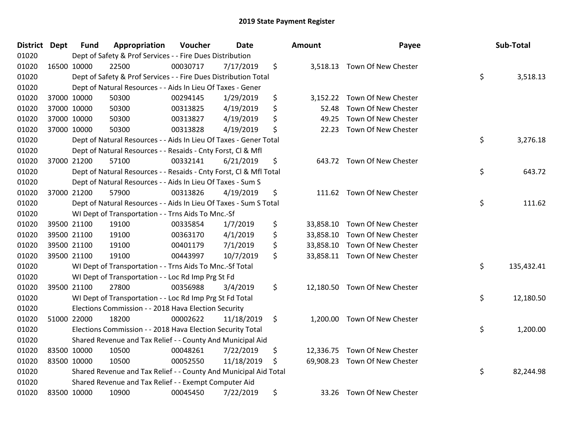| District Dept | <b>Fund</b> | Appropriation                                                      | Voucher  | <b>Date</b> | <b>Amount</b>   | Payee                         | Sub-Total        |
|---------------|-------------|--------------------------------------------------------------------|----------|-------------|-----------------|-------------------------------|------------------|
| 01020         |             | Dept of Safety & Prof Services - - Fire Dues Distribution          |          |             |                 |                               |                  |
| 01020         | 16500 10000 | 22500                                                              | 00030717 | 7/17/2019   | \$              | 3,518.13 Town Of New Chester  |                  |
| 01020         |             | Dept of Safety & Prof Services - - Fire Dues Distribution Total    |          |             |                 |                               | \$<br>3,518.13   |
| 01020         |             | Dept of Natural Resources - - Aids In Lieu Of Taxes - Gener        |          |             |                 |                               |                  |
| 01020         | 37000 10000 | 50300                                                              | 00294145 | 1/29/2019   | \$<br>3,152.22  | Town Of New Chester           |                  |
| 01020         | 37000 10000 | 50300                                                              | 00313825 | 4/19/2019   | \$<br>52.48     | Town Of New Chester           |                  |
| 01020         | 37000 10000 | 50300                                                              | 00313827 | 4/19/2019   | \$<br>49.25     | Town Of New Chester           |                  |
| 01020         | 37000 10000 | 50300                                                              | 00313828 | 4/19/2019   | \$<br>22.23     | Town Of New Chester           |                  |
| 01020         |             | Dept of Natural Resources - - Aids In Lieu Of Taxes - Gener Total  |          |             |                 |                               | \$<br>3,276.18   |
| 01020         |             | Dept of Natural Resources - - Resaids - Cnty Forst, Cl & Mfl       |          |             |                 |                               |                  |
| 01020         | 37000 21200 | 57100                                                              | 00332141 | 6/21/2019   | \$              | 643.72 Town Of New Chester    |                  |
| 01020         |             | Dept of Natural Resources - - Resaids - Cnty Forst, Cl & Mfl Total |          |             |                 |                               | \$<br>643.72     |
| 01020         |             | Dept of Natural Resources - - Aids In Lieu Of Taxes - Sum S        |          |             |                 |                               |                  |
| 01020         | 37000 21200 | 57900                                                              | 00313826 | 4/19/2019   | \$              | 111.62 Town Of New Chester    |                  |
| 01020         |             | Dept of Natural Resources - - Aids In Lieu Of Taxes - Sum S Total  |          |             |                 |                               | \$<br>111.62     |
| 01020         |             | WI Dept of Transportation - - Trns Aids To Mnc.-Sf                 |          |             |                 |                               |                  |
| 01020         | 39500 21100 | 19100                                                              | 00335854 | 1/7/2019    | \$<br>33,858.10 | Town Of New Chester           |                  |
| 01020         | 39500 21100 | 19100                                                              | 00363170 | 4/1/2019    | \$<br>33,858.10 | Town Of New Chester           |                  |
| 01020         | 39500 21100 | 19100                                                              | 00401179 | 7/1/2019    | \$<br>33,858.10 | Town Of New Chester           |                  |
| 01020         | 39500 21100 | 19100                                                              | 00443997 | 10/7/2019   | \$              | 33,858.11 Town Of New Chester |                  |
| 01020         |             | WI Dept of Transportation - - Trns Aids To Mnc.-Sf Total           |          |             |                 |                               | \$<br>135,432.41 |
| 01020         |             | WI Dept of Transportation - - Loc Rd Imp Prg St Fd                 |          |             |                 |                               |                  |
| 01020         | 39500 21100 | 27800                                                              | 00356988 | 3/4/2019    | \$              | 12,180.50 Town Of New Chester |                  |
| 01020         |             | WI Dept of Transportation - - Loc Rd Imp Prg St Fd Total           |          |             |                 |                               | \$<br>12,180.50  |
| 01020         |             | Elections Commission - - 2018 Hava Election Security               |          |             |                 |                               |                  |
| 01020         | 51000 22000 | 18200                                                              | 00002622 | 11/18/2019  | \$<br>1,200.00  | Town Of New Chester           |                  |
| 01020         |             | Elections Commission - - 2018 Hava Election Security Total         |          |             |                 |                               | \$<br>1,200.00   |
| 01020         |             | Shared Revenue and Tax Relief - - County And Municipal Aid         |          |             |                 |                               |                  |
| 01020         | 83500 10000 | 10500                                                              | 00048261 | 7/22/2019   | \$              | 12,336.75 Town Of New Chester |                  |
| 01020         | 83500 10000 | 10500                                                              | 00052550 | 11/18/2019  | \$<br>69,908.23 | Town Of New Chester           |                  |
| 01020         |             | Shared Revenue and Tax Relief - - County And Municipal Aid Total   |          |             |                 |                               | \$<br>82,244.98  |
| 01020         |             | Shared Revenue and Tax Relief - - Exempt Computer Aid              |          |             |                 |                               |                  |
| 01020         | 83500 10000 | 10900                                                              | 00045450 | 7/22/2019   | \$              | 33.26 Town Of New Chester     |                  |

| າount     | Payee               | Sub-Total        |
|-----------|---------------------|------------------|
| 3,518.13  | Town Of New Chester | \$<br>3,518.13   |
| 3,152.22  | Town Of New Chester |                  |
| 52.48     | Town Of New Chester |                  |
| 49.25     | Town Of New Chester |                  |
| 22.23     | Town Of New Chester |                  |
|           |                     | \$<br>3,276.18   |
| 643.72    | Town Of New Chester |                  |
|           |                     | \$<br>643.72     |
| 111.62    | Town Of New Chester | \$<br>111.62     |
| 33,858.10 | Town Of New Chester |                  |
| 33,858.10 | Town Of New Chester |                  |
| 33,858.10 | Town Of New Chester |                  |
| 33,858.11 | Town Of New Chester |                  |
|           |                     | \$<br>135,432.41 |
| 12,180.50 | Town Of New Chester | \$<br>12,180.50  |
| 1,200.00  | Town Of New Chester | \$<br>1,200.00   |
| 12,336.75 | Town Of New Chester |                  |
| 69,908.23 | Town Of New Chester | \$<br>82,244.98  |
| 33.26     | Town Of New Chester |                  |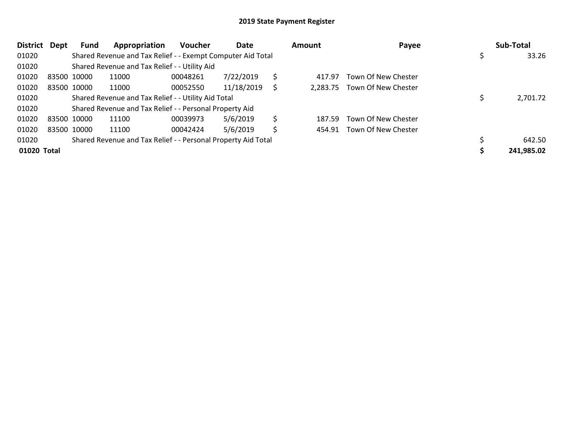| <b>District</b> | Dept | Fund        | Appropriation                                                 | <b>Voucher</b> | Date       |    | Amount | Payee                        | Sub-Total  |
|-----------------|------|-------------|---------------------------------------------------------------|----------------|------------|----|--------|------------------------------|------------|
| 01020           |      |             | Shared Revenue and Tax Relief - - Exempt Computer Aid Total   |                |            |    |        |                              | 33.26      |
| 01020           |      |             | Shared Revenue and Tax Relief - - Utility Aid                 |                |            |    |        |                              |            |
| 01020           |      | 83500 10000 | 11000                                                         | 00048261       | 7/22/2019  | \$ | 417.97 | Town Of New Chester          |            |
| 01020           |      | 83500 10000 | 11000                                                         | 00052550       | 11/18/2019 | S  |        | 2,283.75 Town Of New Chester |            |
| 01020           |      |             | Shared Revenue and Tax Relief - - Utility Aid Total           |                |            |    |        |                              | 2,701.72   |
| 01020           |      |             | Shared Revenue and Tax Relief - - Personal Property Aid       |                |            |    |        |                              |            |
| 01020           |      | 83500 10000 | 11100                                                         | 00039973       | 5/6/2019   | Ś  | 187.59 | Town Of New Chester          |            |
| 01020           |      | 83500 10000 | 11100                                                         | 00042424       | 5/6/2019   | \$ | 454.91 | Town Of New Chester          |            |
| 01020           |      |             | Shared Revenue and Tax Relief - - Personal Property Aid Total |                |            |    |        |                              | 642.50     |
| 01020 Total     |      |             |                                                               |                |            |    |        |                              | 241,985.02 |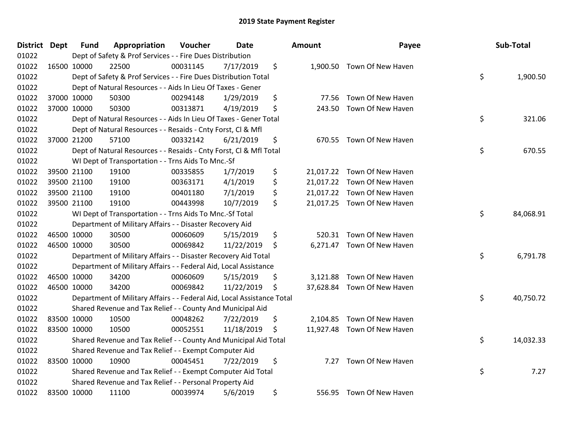| <b>District Dept</b> | <b>Fund</b> | Appropriation                                                          | Voucher  | <b>Date</b> | Amount          | Payee                       | Sub-Total       |
|----------------------|-------------|------------------------------------------------------------------------|----------|-------------|-----------------|-----------------------------|-----------------|
| 01022                |             | Dept of Safety & Prof Services - - Fire Dues Distribution              |          |             |                 |                             |                 |
| 01022                | 16500 10000 | 22500                                                                  | 00031145 | 7/17/2019   | \$<br>1,900.50  | Town Of New Haven           |                 |
| 01022                |             | Dept of Safety & Prof Services - - Fire Dues Distribution Total        |          |             |                 |                             | \$<br>1,900.50  |
| 01022                |             | Dept of Natural Resources - - Aids In Lieu Of Taxes - Gener            |          |             |                 |                             |                 |
| 01022                | 37000 10000 | 50300                                                                  | 00294148 | 1/29/2019   | \$<br>77.56     | Town Of New Haven           |                 |
| 01022                | 37000 10000 | 50300                                                                  | 00313871 | 4/19/2019   | \$<br>243.50    | Town Of New Haven           |                 |
| 01022                |             | Dept of Natural Resources - - Aids In Lieu Of Taxes - Gener Total      |          |             |                 |                             | \$<br>321.06    |
| 01022                |             | Dept of Natural Resources - - Resaids - Cnty Forst, Cl & Mfl           |          |             |                 |                             |                 |
| 01022                | 37000 21200 | 57100                                                                  | 00332142 | 6/21/2019   | \$<br>670.55    | Town Of New Haven           |                 |
| 01022                |             | Dept of Natural Resources - - Resaids - Cnty Forst, Cl & Mfl Total     |          |             |                 |                             | \$<br>670.55    |
| 01022                |             | WI Dept of Transportation - - Trns Aids To Mnc.-Sf                     |          |             |                 |                             |                 |
| 01022                | 39500 21100 | 19100                                                                  | 00335855 | 1/7/2019    | \$              | 21,017.22 Town Of New Haven |                 |
| 01022                | 39500 21100 | 19100                                                                  | 00363171 | 4/1/2019    | \$<br>21,017.22 | Town Of New Haven           |                 |
| 01022                | 39500 21100 | 19100                                                                  | 00401180 | 7/1/2019    | \$<br>21,017.22 | Town Of New Haven           |                 |
| 01022                | 39500 21100 | 19100                                                                  | 00443998 | 10/7/2019   | \$              | 21,017.25 Town Of New Haven |                 |
| 01022                |             | WI Dept of Transportation - - Trns Aids To Mnc.-Sf Total               |          |             |                 |                             | \$<br>84,068.91 |
| 01022                |             | Department of Military Affairs - - Disaster Recovery Aid               |          |             |                 |                             |                 |
| 01022                | 46500 10000 | 30500                                                                  | 00060609 | 5/15/2019   | \$<br>520.31    | Town Of New Haven           |                 |
| 01022                | 46500 10000 | 30500                                                                  | 00069842 | 11/22/2019  | \$              | 6,271.47 Town Of New Haven  |                 |
| 01022                |             | Department of Military Affairs - - Disaster Recovery Aid Total         |          |             |                 |                             | \$<br>6,791.78  |
| 01022                |             | Department of Military Affairs - - Federal Aid, Local Assistance       |          |             |                 |                             |                 |
| 01022                | 46500 10000 | 34200                                                                  | 00060609 | 5/15/2019   | \$<br>3,121.88  | Town Of New Haven           |                 |
| 01022                | 46500 10000 | 34200                                                                  | 00069842 | 11/22/2019  | \$<br>37,628.84 | Town Of New Haven           |                 |
| 01022                |             | Department of Military Affairs - - Federal Aid, Local Assistance Total |          |             |                 |                             | \$<br>40,750.72 |
| 01022                |             | Shared Revenue and Tax Relief - - County And Municipal Aid             |          |             |                 |                             |                 |
| 01022                | 83500 10000 | 10500                                                                  | 00048262 | 7/22/2019   | \$<br>2,104.85  | Town Of New Haven           |                 |
| 01022                | 83500 10000 | 10500                                                                  | 00052551 | 11/18/2019  | \$              | 11,927.48 Town Of New Haven |                 |
| 01022                |             | Shared Revenue and Tax Relief - - County And Municipal Aid Total       |          |             |                 |                             | \$<br>14,032.33 |
| 01022                |             | Shared Revenue and Tax Relief - - Exempt Computer Aid                  |          |             |                 |                             |                 |
| 01022                | 83500 10000 | 10900                                                                  | 00045451 | 7/22/2019   | \$<br>7.27      | Town Of New Haven           |                 |
| 01022                |             | Shared Revenue and Tax Relief - - Exempt Computer Aid Total            |          |             |                 |                             | \$<br>7.27      |
| 01022                |             | Shared Revenue and Tax Relief - - Personal Property Aid                |          |             |                 |                             |                 |
| 01022                | 83500 10000 | 11100                                                                  | 00039974 | 5/6/2019    | \$<br>556.95    | Town Of New Haven           |                 |

| Payee                    | Sub-Total       |
|--------------------------|-----------------|
| 00.50 Town Of New Haven  | \$<br>1,900.50  |
| 77.56 Town Of New Haven  |                 |
| 43.50 Town Of New Haven  |                 |
|                          | \$<br>321.06    |
| 70.55 Town Of New Haven  |                 |
|                          | \$<br>670.55    |
| 17.22 Town Of New Haven  |                 |
| 17.22 Town Of New Haven  |                 |
| 17.22 Town Of New Haven  |                 |
| 17.25 Town Of New Haven  |                 |
|                          | \$<br>84,068.91 |
| 20.31 Town Of New Haven  |                 |
| 71.47 Town Of New Haven  |                 |
|                          | \$<br>6,791.78  |
| 21.88 Town Of New Haven  |                 |
| 28.84 Town Of New Haven  |                 |
|                          | \$<br>40,750.72 |
| .04.85 Town Of New Haven |                 |
| 27.48 Town Of New Haven  |                 |
|                          | \$<br>14,032.33 |
| 7.27 Town Of New Haven   |                 |
|                          | \$<br>7.27      |
| 56.95 Town Of New Haven  |                 |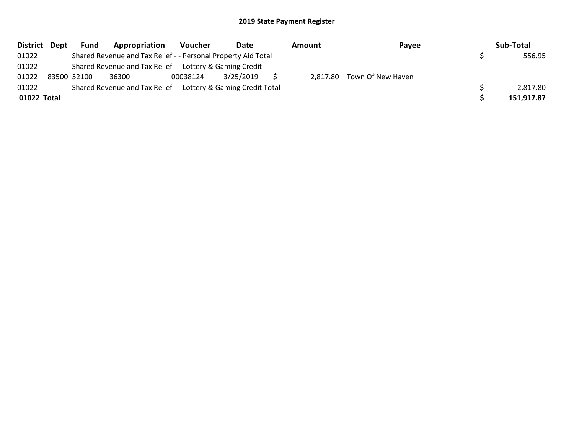|             | District Dept | <b>Fund</b> | Appropriation                                                   | Voucher  | Date      | Amount | Payee                      | Sub-Total  |
|-------------|---------------|-------------|-----------------------------------------------------------------|----------|-----------|--------|----------------------------|------------|
| 01022       |               |             | Shared Revenue and Tax Relief - - Personal Property Aid Total   |          |           |        |                            | 556.95     |
| 01022       |               |             | Shared Revenue and Tax Relief - - Lottery & Gaming Credit       |          |           |        |                            |            |
| 01022       |               | 83500 52100 | 36300                                                           | 00038124 | 3/25/2019 |        | 2,817.80 Town Of New Haven |            |
| 01022       |               |             | Shared Revenue and Tax Relief - - Lottery & Gaming Credit Total |          |           |        |                            | 2,817.80   |
| 01022 Total |               |             |                                                                 |          |           |        |                            | 151,917.87 |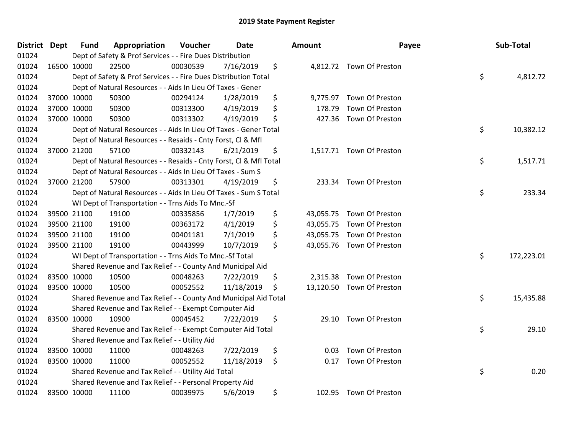| District Dept |             | <b>Fund</b> | Appropriation                                                      | Voucher  | <b>Date</b> | Amount                  | Payee                     | Sub-Total        |
|---------------|-------------|-------------|--------------------------------------------------------------------|----------|-------------|-------------------------|---------------------------|------------------|
| 01024         |             |             | Dept of Safety & Prof Services - - Fire Dues Distribution          |          |             |                         |                           |                  |
| 01024         | 16500 10000 |             | 22500                                                              | 00030539 | 7/16/2019   | \$                      | 4,812.72 Town Of Preston  |                  |
| 01024         |             |             | Dept of Safety & Prof Services - - Fire Dues Distribution Total    |          |             |                         |                           | \$<br>4,812.72   |
| 01024         |             |             | Dept of Natural Resources - - Aids In Lieu Of Taxes - Gener        |          |             |                         |                           |                  |
| 01024         |             | 37000 10000 | 50300                                                              | 00294124 | 1/28/2019   | \$<br>9,775.97          | Town Of Preston           |                  |
| 01024         |             | 37000 10000 | 50300                                                              | 00313300 | 4/19/2019   | \$<br>178.79            | Town Of Preston           |                  |
| 01024         |             | 37000 10000 | 50300                                                              | 00313302 | 4/19/2019   | \$<br>427.36            | Town Of Preston           |                  |
| 01024         |             |             | Dept of Natural Resources - - Aids In Lieu Of Taxes - Gener Total  |          |             |                         |                           | \$<br>10,382.12  |
| 01024         |             |             | Dept of Natural Resources - - Resaids - Cnty Forst, Cl & Mfl       |          |             |                         |                           |                  |
| 01024         |             | 37000 21200 | 57100                                                              | 00332143 | 6/21/2019   | \$                      | 1,517.71 Town Of Preston  |                  |
| 01024         |             |             | Dept of Natural Resources - - Resaids - Cnty Forst, Cl & Mfl Total |          |             |                         |                           | \$<br>1,517.71   |
| 01024         |             |             | Dept of Natural Resources - - Aids In Lieu Of Taxes - Sum S        |          |             |                         |                           |                  |
| 01024         |             | 37000 21200 | 57900                                                              | 00313301 | 4/19/2019   | \$<br>233.34            | Town Of Preston           |                  |
| 01024         |             |             | Dept of Natural Resources - - Aids In Lieu Of Taxes - Sum S Total  |          |             |                         |                           | \$<br>233.34     |
| 01024         |             |             | WI Dept of Transportation - - Trns Aids To Mnc.-Sf                 |          |             |                         |                           |                  |
| 01024         |             | 39500 21100 | 19100                                                              | 00335856 | 1/7/2019    | \$<br>43,055.75         | Town Of Preston           |                  |
| 01024         |             | 39500 21100 | 19100                                                              | 00363172 | 4/1/2019    | \$<br>43,055.75         | Town Of Preston           |                  |
| 01024         | 39500 21100 |             | 19100                                                              | 00401181 | 7/1/2019    | \$<br>43,055.75         | Town Of Preston           |                  |
| 01024         | 39500 21100 |             | 19100                                                              | 00443999 | 10/7/2019   | \$                      | 43,055.76 Town Of Preston |                  |
| 01024         |             |             | WI Dept of Transportation - - Trns Aids To Mnc.-Sf Total           |          |             |                         |                           | \$<br>172,223.01 |
| 01024         |             |             | Shared Revenue and Tax Relief - - County And Municipal Aid         |          |             |                         |                           |                  |
| 01024         | 83500 10000 |             | 10500                                                              | 00048263 | 7/22/2019   | \$<br>2,315.38          | Town Of Preston           |                  |
| 01024         | 83500 10000 |             | 10500                                                              | 00052552 | 11/18/2019  | \$                      | 13,120.50 Town Of Preston |                  |
| 01024         |             |             | Shared Revenue and Tax Relief - - County And Municipal Aid Total   |          |             |                         |                           | \$<br>15,435.88  |
| 01024         |             |             | Shared Revenue and Tax Relief - - Exempt Computer Aid              |          |             |                         |                           |                  |
| 01024         | 83500 10000 |             | 10900                                                              | 00045452 | 7/22/2019   | \$<br>29.10             | Town Of Preston           |                  |
| 01024         |             |             | Shared Revenue and Tax Relief - - Exempt Computer Aid Total        |          |             |                         |                           | \$<br>29.10      |
| 01024         |             |             | Shared Revenue and Tax Relief - - Utility Aid                      |          |             |                         |                           |                  |
| 01024         | 83500 10000 |             | 11000                                                              | 00048263 | 7/22/2019   | \$<br>0.03 <sub>1</sub> | Town Of Preston           |                  |
| 01024         | 83500 10000 |             | 11000                                                              | 00052552 | 11/18/2019  | \$<br>0.17              | Town Of Preston           |                  |
| 01024         |             |             | Shared Revenue and Tax Relief - - Utility Aid Total                |          |             |                         |                           | \$<br>0.20       |
| 01024         |             |             | Shared Revenue and Tax Relief - - Personal Property Aid            |          |             |                         |                           |                  |
| 01024         | 83500 10000 |             | 11100                                                              | 00039975 | 5/6/2019    | \$                      | 102.95 Town Of Preston    |                  |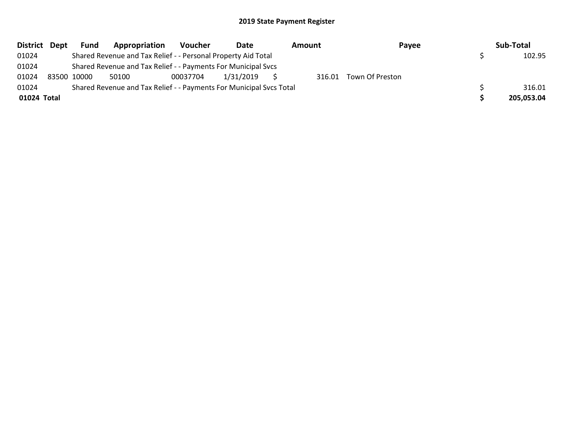| <b>District</b> | Dept | Fund        | Appropriation                                                       | Voucher  | Date      | Amount | Payee                  | Sub-Total  |
|-----------------|------|-------------|---------------------------------------------------------------------|----------|-----------|--------|------------------------|------------|
| 01024           |      |             | Shared Revenue and Tax Relief - - Personal Property Aid Total       |          |           |        |                        | 102.95     |
| 01024           |      |             | Shared Revenue and Tax Relief - - Payments For Municipal Svcs       |          |           |        |                        |            |
| 01024           |      | 83500 10000 | 50100                                                               | 00037704 | 1/31/2019 |        | 316.01 Town Of Preston |            |
| 01024           |      |             | Shared Revenue and Tax Relief - - Payments For Municipal Svcs Total |          |           |        |                        | 316.01     |
| 01024 Total     |      |             |                                                                     |          |           |        |                        | 205,053.04 |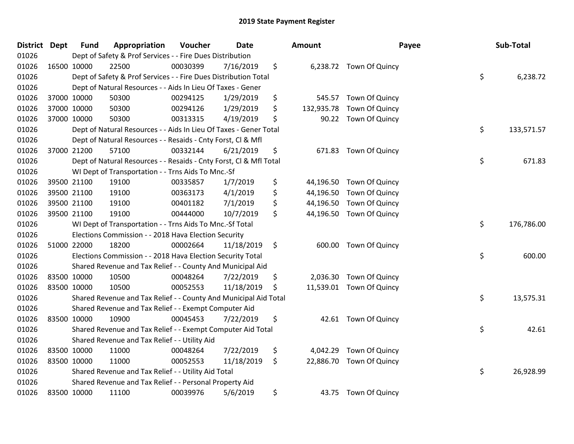| District Dept | <b>Fund</b> | Appropriation                                                      | Voucher  | <b>Date</b> | <b>Amount</b>    | Payee                   | Sub-Total        |
|---------------|-------------|--------------------------------------------------------------------|----------|-------------|------------------|-------------------------|------------------|
| 01026         |             | Dept of Safety & Prof Services - - Fire Dues Distribution          |          |             |                  |                         |                  |
| 01026         | 16500 10000 | 22500                                                              | 00030399 | 7/16/2019   | \$               | 6,238.72 Town Of Quincy |                  |
| 01026         |             | Dept of Safety & Prof Services - - Fire Dues Distribution Total    |          |             |                  |                         | \$<br>6,238.72   |
| 01026         |             | Dept of Natural Resources - - Aids In Lieu Of Taxes - Gener        |          |             |                  |                         |                  |
| 01026         | 37000 10000 | 50300                                                              | 00294125 | 1/29/2019   | \$<br>545.57     | Town Of Quincy          |                  |
| 01026         | 37000 10000 | 50300                                                              | 00294126 | 1/29/2019   | \$<br>132,935.78 | Town Of Quincy          |                  |
| 01026         | 37000 10000 | 50300                                                              | 00313315 | 4/19/2019   | \$<br>90.22      | Town Of Quincy          |                  |
| 01026         |             | Dept of Natural Resources - - Aids In Lieu Of Taxes - Gener Total  |          |             |                  |                         | \$<br>133,571.57 |
| 01026         |             | Dept of Natural Resources - - Resaids - Cnty Forst, Cl & Mfl       |          |             |                  |                         |                  |
| 01026         | 37000 21200 | 57100                                                              | 00332144 | 6/21/2019   | \$<br>671.83     | Town Of Quincy          |                  |
| 01026         |             | Dept of Natural Resources - - Resaids - Cnty Forst, Cl & Mfl Total |          |             |                  |                         | \$<br>671.83     |
| 01026         |             | WI Dept of Transportation - - Trns Aids To Mnc.-Sf                 |          |             |                  |                         |                  |
| 01026         | 39500 21100 | 19100                                                              | 00335857 | 1/7/2019    | \$<br>44,196.50  | Town Of Quincy          |                  |
| 01026         | 39500 21100 | 19100                                                              | 00363173 | 4/1/2019    | \$<br>44,196.50  | Town Of Quincy          |                  |
| 01026         | 39500 21100 | 19100                                                              | 00401182 | 7/1/2019    | \$<br>44,196.50  | Town Of Quincy          |                  |
| 01026         | 39500 21100 | 19100                                                              | 00444000 | 10/7/2019   | \$<br>44,196.50  | Town Of Quincy          |                  |
| 01026         |             | WI Dept of Transportation - - Trns Aids To Mnc.-Sf Total           |          |             |                  |                         | \$<br>176,786.00 |
| 01026         |             | Elections Commission - - 2018 Hava Election Security               |          |             |                  |                         |                  |
| 01026         | 51000 22000 | 18200                                                              | 00002664 | 11/18/2019  | \$               | 600.00 Town Of Quincy   |                  |
| 01026         |             | Elections Commission - - 2018 Hava Election Security Total         |          |             |                  |                         | \$<br>600.00     |
| 01026         |             | Shared Revenue and Tax Relief - - County And Municipal Aid         |          |             |                  |                         |                  |
| 01026         | 83500 10000 | 10500                                                              | 00048264 | 7/22/2019   | \$<br>2,036.30   | Town Of Quincy          |                  |
| 01026         | 83500 10000 | 10500                                                              | 00052553 | 11/18/2019  | \$<br>11,539.01  | Town Of Quincy          |                  |
| 01026         |             | Shared Revenue and Tax Relief - - County And Municipal Aid Total   |          |             |                  |                         | \$<br>13,575.31  |
| 01026         |             | Shared Revenue and Tax Relief - - Exempt Computer Aid              |          |             |                  |                         |                  |
| 01026         | 83500 10000 | 10900                                                              | 00045453 | 7/22/2019   | \$<br>42.61      | Town Of Quincy          |                  |
| 01026         |             | Shared Revenue and Tax Relief - - Exempt Computer Aid Total        |          |             |                  |                         | \$<br>42.61      |
| 01026         |             | Shared Revenue and Tax Relief - - Utility Aid                      |          |             |                  |                         |                  |
| 01026         | 83500 10000 | 11000                                                              | 00048264 | 7/22/2019   | \$<br>4,042.29   | Town Of Quincy          |                  |
| 01026         | 83500 10000 | 11000                                                              | 00052553 | 11/18/2019  | \$<br>22,886.70  | Town Of Quincy          |                  |
| 01026         |             | Shared Revenue and Tax Relief - - Utility Aid Total                |          |             |                  |                         | \$<br>26,928.99  |
| 01026         |             | Shared Revenue and Tax Relief - - Personal Property Aid            |          |             |                  |                         |                  |
| 01026         | 83500 10000 | 11100                                                              | 00039976 | 5/6/2019    | \$               | 43.75 Town Of Quincy    |                  |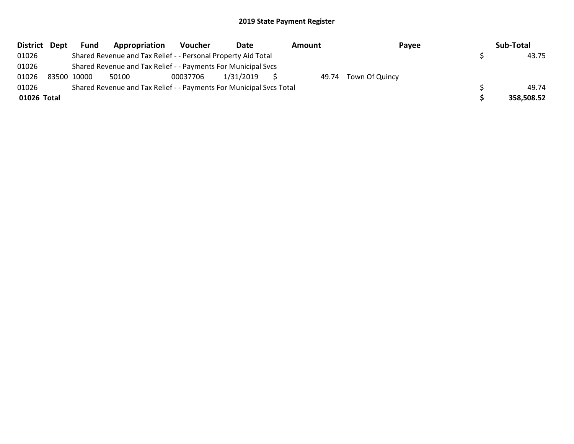|             | District Dept | <b>Fund</b> | Appropriation                                                       | Voucher  | Date      | Amount | Payee                | Sub-Total  |
|-------------|---------------|-------------|---------------------------------------------------------------------|----------|-----------|--------|----------------------|------------|
| 01026       |               |             | Shared Revenue and Tax Relief - - Personal Property Aid Total       |          |           |        |                      | 43.75      |
| 01026       |               |             | Shared Revenue and Tax Relief - - Payments For Municipal Svcs       |          |           |        |                      |            |
| 01026       |               | 83500 10000 | 50100                                                               | 00037706 | 1/31/2019 |        | 49.74 Town Of Quincy |            |
| 01026       |               |             | Shared Revenue and Tax Relief - - Payments For Municipal Svcs Total |          |           |        |                      | 49.74      |
| 01026 Total |               |             |                                                                     |          |           |        |                      | 358,508.52 |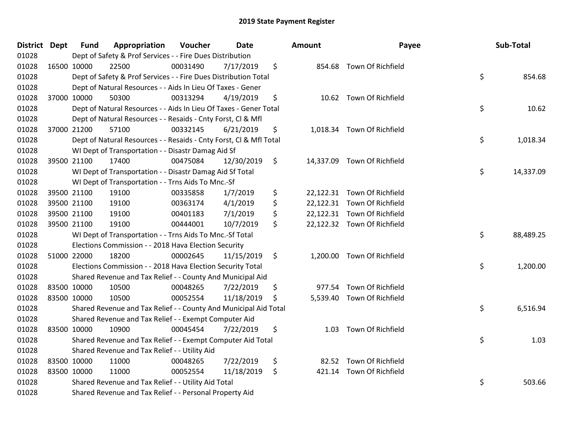| <b>District Dept</b> |             | <b>Fund</b> | Appropriation                                                      | Voucher  | <b>Date</b> | <b>Amount</b> | Payee                       | Sub-Total       |
|----------------------|-------------|-------------|--------------------------------------------------------------------|----------|-------------|---------------|-----------------------------|-----------------|
| 01028                |             |             | Dept of Safety & Prof Services - - Fire Dues Distribution          |          |             |               |                             |                 |
| 01028                |             | 16500 10000 | 22500                                                              | 00031490 | 7/17/2019   | \$            | 854.68 Town Of Richfield    |                 |
| 01028                |             |             | Dept of Safety & Prof Services - - Fire Dues Distribution Total    |          |             |               |                             | \$<br>854.68    |
| 01028                |             |             | Dept of Natural Resources - - Aids In Lieu Of Taxes - Gener        |          |             |               |                             |                 |
| 01028                |             | 37000 10000 | 50300                                                              | 00313294 | 4/19/2019   | \$            | 10.62 Town Of Richfield     |                 |
| 01028                |             |             | Dept of Natural Resources - - Aids In Lieu Of Taxes - Gener Total  |          |             |               |                             | \$<br>10.62     |
| 01028                |             |             | Dept of Natural Resources - - Resaids - Cnty Forst, Cl & Mfl       |          |             |               |                             |                 |
| 01028                |             | 37000 21200 | 57100                                                              | 00332145 | 6/21/2019   | \$            | 1,018.34 Town Of Richfield  |                 |
| 01028                |             |             | Dept of Natural Resources - - Resaids - Cnty Forst, CI & Mfl Total |          |             |               |                             | \$<br>1,018.34  |
| 01028                |             |             | WI Dept of Transportation - - Disastr Damag Aid Sf                 |          |             |               |                             |                 |
| 01028                |             | 39500 21100 | 17400                                                              | 00475084 | 12/30/2019  | \$            | 14,337.09 Town Of Richfield |                 |
| 01028                |             |             | WI Dept of Transportation - - Disastr Damag Aid Sf Total           |          |             |               |                             | \$<br>14,337.09 |
| 01028                |             |             | WI Dept of Transportation - - Trns Aids To Mnc.-Sf                 |          |             |               |                             |                 |
| 01028                |             | 39500 21100 | 19100                                                              | 00335858 | 1/7/2019    | \$            | 22,122.31 Town Of Richfield |                 |
| 01028                |             | 39500 21100 | 19100                                                              | 00363174 | 4/1/2019    | \$            | 22,122.31 Town Of Richfield |                 |
| 01028                |             | 39500 21100 | 19100                                                              | 00401183 | 7/1/2019    | \$            | 22,122.31 Town Of Richfield |                 |
| 01028                |             | 39500 21100 | 19100                                                              | 00444001 | 10/7/2019   | \$            | 22,122.32 Town Of Richfield |                 |
| 01028                |             |             | WI Dept of Transportation - - Trns Aids To Mnc.-Sf Total           |          |             |               |                             | \$<br>88,489.25 |
| 01028                |             |             | Elections Commission - - 2018 Hava Election Security               |          |             |               |                             |                 |
| 01028                |             | 51000 22000 | 18200                                                              | 00002645 | 11/15/2019  | \$            | 1,200.00 Town Of Richfield  |                 |
| 01028                |             |             | Elections Commission - - 2018 Hava Election Security Total         |          |             |               |                             | \$<br>1,200.00  |
| 01028                |             |             | Shared Revenue and Tax Relief - - County And Municipal Aid         |          |             |               |                             |                 |
| 01028                | 83500 10000 |             | 10500                                                              | 00048265 | 7/22/2019   | \$            | 977.54 Town Of Richfield    |                 |
| 01028                |             | 83500 10000 | 10500                                                              | 00052554 | 11/18/2019  | \$            | 5,539.40 Town Of Richfield  |                 |
| 01028                |             |             | Shared Revenue and Tax Relief - - County And Municipal Aid Total   |          |             |               |                             | \$<br>6,516.94  |
| 01028                |             |             | Shared Revenue and Tax Relief - - Exempt Computer Aid              |          |             |               |                             |                 |
| 01028                |             | 83500 10000 | 10900                                                              | 00045454 | 7/22/2019   | \$<br>1.03    | Town Of Richfield           |                 |
| 01028                |             |             | Shared Revenue and Tax Relief - - Exempt Computer Aid Total        |          |             |               |                             | \$<br>1.03      |
| 01028                |             |             | Shared Revenue and Tax Relief - - Utility Aid                      |          |             |               |                             |                 |
| 01028                |             | 83500 10000 | 11000                                                              | 00048265 | 7/22/2019   | \$            | 82.52 Town Of Richfield     |                 |
| 01028                | 83500 10000 |             | 11000                                                              | 00052554 | 11/18/2019  | \$            | 421.14 Town Of Richfield    |                 |
| 01028                |             |             | Shared Revenue and Tax Relief - - Utility Aid Total                |          |             |               |                             | \$<br>503.66    |
| 01028                |             |             | Shared Revenue and Tax Relief - - Personal Property Aid            |          |             |               |                             |                 |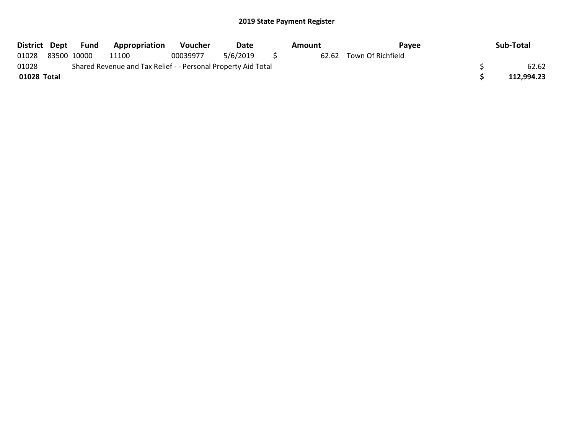| District Dept | Fund        | <b>Appropriation</b>                                          | <b>Voucher</b> | Date     | Amount | Pavee             | Sub-Total  |
|---------------|-------------|---------------------------------------------------------------|----------------|----------|--------|-------------------|------------|
| 01028         | 83500 10000 | 11100                                                         | 00039977       | 5/6/2019 | 62.62  | Town Of Richfield |            |
| 01028         |             | Shared Revenue and Tax Relief - - Personal Property Aid Total |                |          |        |                   | 62.62      |
| 01028 Total   |             |                                                               |                |          |        |                   | 112.994.23 |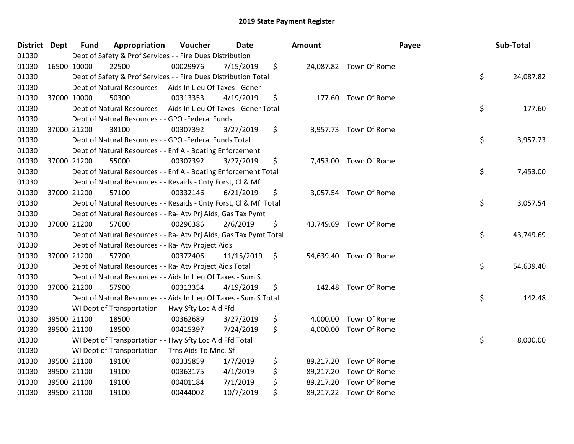| District Dept |             | <b>Fund</b> | Appropriation                                                      | Voucher  | <b>Date</b> | Amount |                        | Payee | Sub-Total |
|---------------|-------------|-------------|--------------------------------------------------------------------|----------|-------------|--------|------------------------|-------|-----------|
| 01030         |             |             | Dept of Safety & Prof Services - - Fire Dues Distribution          |          |             |        |                        |       |           |
| 01030         | 16500 10000 |             | 22500                                                              | 00029976 | 7/15/2019   | \$     | 24,087.82 Town Of Rome |       |           |
| 01030         |             |             | Dept of Safety & Prof Services - - Fire Dues Distribution Total    |          |             |        |                        | \$    | 24,087.82 |
| 01030         |             |             | Dept of Natural Resources - - Aids In Lieu Of Taxes - Gener        |          |             |        |                        |       |           |
| 01030         | 37000 10000 |             | 50300                                                              | 00313353 | 4/19/2019   | \$     | 177.60 Town Of Rome    |       |           |
| 01030         |             |             | Dept of Natural Resources - - Aids In Lieu Of Taxes - Gener Total  |          |             |        |                        | \$    | 177.60    |
| 01030         |             |             | Dept of Natural Resources - - GPO -Federal Funds                   |          |             |        |                        |       |           |
| 01030         |             | 37000 21200 | 38100                                                              | 00307392 | 3/27/2019   | \$     | 3,957.73 Town Of Rome  |       |           |
| 01030         |             |             | Dept of Natural Resources - - GPO -Federal Funds Total             |          |             |        |                        | \$    | 3,957.73  |
| 01030         |             |             | Dept of Natural Resources - - Enf A - Boating Enforcement          |          |             |        |                        |       |           |
| 01030         | 37000 21200 |             | 55000                                                              | 00307392 | 3/27/2019   | \$     | 7,453.00 Town Of Rome  |       |           |
| 01030         |             |             | Dept of Natural Resources - - Enf A - Boating Enforcement Total    |          |             |        |                        | \$    | 7,453.00  |
| 01030         |             |             | Dept of Natural Resources - - Resaids - Cnty Forst, Cl & Mfl       |          |             |        |                        |       |           |
| 01030         |             | 37000 21200 | 57100                                                              | 00332146 | 6/21/2019   | \$     | 3,057.54 Town Of Rome  |       |           |
| 01030         |             |             | Dept of Natural Resources - - Resaids - Cnty Forst, Cl & Mfl Total |          |             |        |                        | \$    | 3,057.54  |
| 01030         |             |             | Dept of Natural Resources - - Ra- Atv Prj Aids, Gas Tax Pymt       |          |             |        |                        |       |           |
| 01030         |             | 37000 21200 | 57600                                                              | 00296386 | 2/6/2019    | \$     | 43,749.69 Town Of Rome |       |           |
| 01030         |             |             | Dept of Natural Resources - - Ra- Atv Prj Aids, Gas Tax Pymt Total |          |             |        |                        | \$    | 43,749.69 |
| 01030         |             |             | Dept of Natural Resources - - Ra- Atv Project Aids                 |          |             |        |                        |       |           |
| 01030         |             | 37000 21200 | 57700                                                              | 00372406 | 11/15/2019  | \$     | 54,639.40 Town Of Rome |       |           |
| 01030         |             |             | Dept of Natural Resources - - Ra- Atv Project Aids Total           |          |             |        |                        | \$    | 54,639.40 |
| 01030         |             |             | Dept of Natural Resources - - Aids In Lieu Of Taxes - Sum S        |          |             |        |                        |       |           |
| 01030         |             | 37000 21200 | 57900                                                              | 00313354 | 4/19/2019   | \$     | 142.48 Town Of Rome    |       |           |
| 01030         |             |             | Dept of Natural Resources - - Aids In Lieu Of Taxes - Sum S Total  |          |             |        |                        | \$    | 142.48    |
| 01030         |             |             | WI Dept of Transportation - - Hwy Sfty Loc Aid Ffd                 |          |             |        |                        |       |           |
| 01030         |             | 39500 21100 | 18500                                                              | 00362689 | 3/27/2019   | \$     | 4,000.00 Town Of Rome  |       |           |
| 01030         | 39500 21100 |             | 18500                                                              | 00415397 | 7/24/2019   | \$     | 4,000.00 Town Of Rome  |       |           |
| 01030         |             |             | WI Dept of Transportation - - Hwy Sfty Loc Aid Ffd Total           |          |             |        |                        | \$    | 8,000.00  |
| 01030         |             |             | WI Dept of Transportation - - Trns Aids To Mnc.-Sf                 |          |             |        |                        |       |           |
| 01030         | 39500 21100 |             | 19100                                                              | 00335859 | 1/7/2019    | \$     | 89,217.20 Town Of Rome |       |           |
| 01030         | 39500 21100 |             | 19100                                                              | 00363175 | 4/1/2019    | \$     | 89,217.20 Town Of Rome |       |           |
| 01030         |             | 39500 21100 | 19100                                                              | 00401184 | 7/1/2019    | \$     | 89,217.20 Town Of Rome |       |           |
| 01030         | 39500 21100 |             | 19100                                                              | 00444002 | 10/7/2019   | \$     | 89,217.22 Town Of Rome |       |           |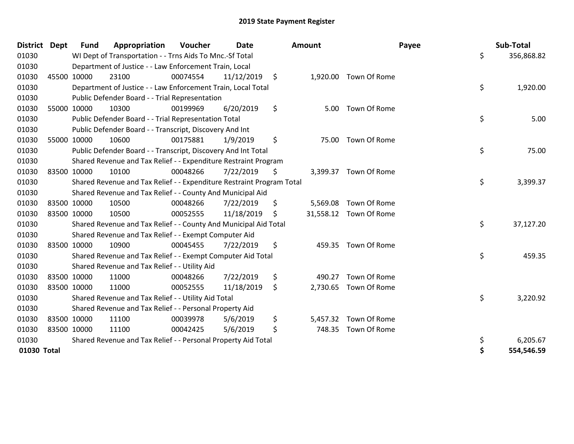| <b>District Dept</b> |             | <b>Fund</b> | Appropriation                                                         | Voucher  | <b>Date</b> | Amount         | Payee                  | Sub-Total        |
|----------------------|-------------|-------------|-----------------------------------------------------------------------|----------|-------------|----------------|------------------------|------------------|
| 01030                |             |             | WI Dept of Transportation - - Trns Aids To Mnc.-Sf Total              |          |             |                |                        | \$<br>356,868.82 |
| 01030                |             |             | Department of Justice - - Law Enforcement Train, Local                |          |             |                |                        |                  |
| 01030                |             | 45500 10000 | 23100                                                                 | 00074554 | 11/12/2019  | \$             | 1,920.00 Town Of Rome  |                  |
| 01030                |             |             | Department of Justice - - Law Enforcement Train, Local Total          |          |             |                |                        | \$<br>1,920.00   |
| 01030                |             |             | Public Defender Board - - Trial Representation                        |          |             |                |                        |                  |
| 01030                |             | 55000 10000 | 10300                                                                 | 00199969 | 6/20/2019   | \$<br>5.00     | Town Of Rome           |                  |
| 01030                |             |             | Public Defender Board - - Trial Representation Total                  |          |             |                |                        | \$<br>5.00       |
| 01030                |             |             | Public Defender Board - - Transcript, Discovery And Int               |          |             |                |                        |                  |
| 01030                |             | 55000 10000 | 10600                                                                 | 00175881 | 1/9/2019    | \$             | 75.00 Town Of Rome     |                  |
| 01030                |             |             | Public Defender Board - - Transcript, Discovery And Int Total         |          |             |                |                        | \$<br>75.00      |
| 01030                |             |             | Shared Revenue and Tax Relief - - Expenditure Restraint Program       |          |             |                |                        |                  |
| 01030                |             | 83500 10000 | 10100                                                                 | 00048266 | 7/22/2019   | \$             | 3,399.37 Town Of Rome  |                  |
| 01030                |             |             | Shared Revenue and Tax Relief - - Expenditure Restraint Program Total |          |             |                |                        | \$<br>3,399.37   |
| 01030                |             |             | Shared Revenue and Tax Relief - - County And Municipal Aid            |          |             |                |                        |                  |
| 01030                |             | 83500 10000 | 10500                                                                 | 00048266 | 7/22/2019   | \$<br>5,569.08 | Town Of Rome           |                  |
| 01030                |             | 83500 10000 | 10500                                                                 | 00052555 | 11/18/2019  | \$             | 31,558.12 Town Of Rome |                  |
| 01030                |             |             | Shared Revenue and Tax Relief - - County And Municipal Aid Total      |          |             |                |                        | \$<br>37,127.20  |
| 01030                |             |             | Shared Revenue and Tax Relief - - Exempt Computer Aid                 |          |             |                |                        |                  |
| 01030                |             | 83500 10000 | 10900                                                                 | 00045455 | 7/22/2019   | \$<br>459.35   | Town Of Rome           |                  |
| 01030                |             |             | Shared Revenue and Tax Relief - - Exempt Computer Aid Total           |          |             |                |                        | \$<br>459.35     |
| 01030                |             |             | Shared Revenue and Tax Relief - - Utility Aid                         |          |             |                |                        |                  |
| 01030                |             | 83500 10000 | 11000                                                                 | 00048266 | 7/22/2019   | \$<br>490.27   | Town Of Rome           |                  |
| 01030                |             | 83500 10000 | 11000                                                                 | 00052555 | 11/18/2019  | \$<br>2,730.65 | Town Of Rome           |                  |
| 01030                |             |             | Shared Revenue and Tax Relief - - Utility Aid Total                   |          |             |                |                        | \$<br>3,220.92   |
| 01030                |             |             | Shared Revenue and Tax Relief - - Personal Property Aid               |          |             |                |                        |                  |
| 01030                |             | 83500 10000 | 11100                                                                 | 00039978 | 5/6/2019    | \$             | 5,457.32 Town Of Rome  |                  |
| 01030                | 83500 10000 |             | 11100                                                                 | 00042425 | 5/6/2019    | \$<br>748.35   | Town Of Rome           |                  |
| 01030                |             |             | Shared Revenue and Tax Relief - - Personal Property Aid Total         |          |             |                |                        | \$<br>6,205.67   |
| 01030 Total          |             |             |                                                                       |          |             |                |                        | \$<br>554,546.59 |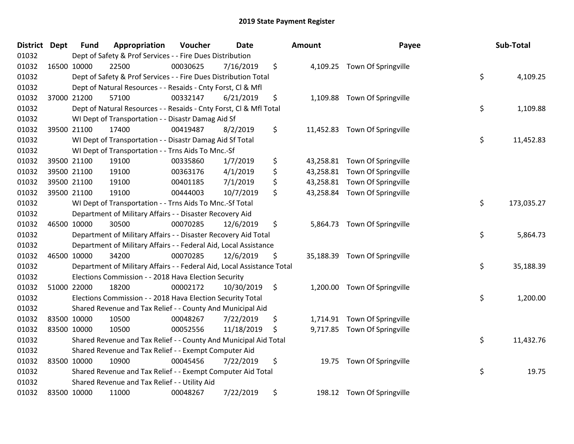| <b>District Dept</b> | <b>Fund</b> | Appropriation                                                          | Voucher  | <b>Date</b> |      | Amount    | Payee                         | Sub-Total        |
|----------------------|-------------|------------------------------------------------------------------------|----------|-------------|------|-----------|-------------------------------|------------------|
| 01032                |             | Dept of Safety & Prof Services - - Fire Dues Distribution              |          |             |      |           |                               |                  |
| 01032                | 16500 10000 | 22500                                                                  | 00030625 | 7/16/2019   | \$   |           | 4,109.25 Town Of Springville  |                  |
| 01032                |             | Dept of Safety & Prof Services - - Fire Dues Distribution Total        |          |             |      |           |                               | \$<br>4,109.25   |
| 01032                |             | Dept of Natural Resources - - Resaids - Cnty Forst, CI & Mfl           |          |             |      |           |                               |                  |
| 01032                | 37000 21200 | 57100                                                                  | 00332147 | 6/21/2019   | \$   | 1,109.88  | Town Of Springville           |                  |
| 01032                |             | Dept of Natural Resources - - Resaids - Cnty Forst, CI & Mfl Total     |          |             |      |           |                               | \$<br>1,109.88   |
| 01032                |             | WI Dept of Transportation - - Disastr Damag Aid Sf                     |          |             |      |           |                               |                  |
| 01032                | 39500 21100 | 17400                                                                  | 00419487 | 8/2/2019    | \$   |           | 11,452.83 Town Of Springville |                  |
| 01032                |             | WI Dept of Transportation - - Disastr Damag Aid Sf Total               |          |             |      |           |                               | \$<br>11,452.83  |
| 01032                |             | WI Dept of Transportation - - Trns Aids To Mnc.-Sf                     |          |             |      |           |                               |                  |
| 01032                | 39500 21100 | 19100                                                                  | 00335860 | 1/7/2019    | \$   | 43,258.81 | Town Of Springville           |                  |
| 01032                | 39500 21100 | 19100                                                                  | 00363176 | 4/1/2019    | \$   | 43,258.81 | Town Of Springville           |                  |
| 01032                | 39500 21100 | 19100                                                                  | 00401185 | 7/1/2019    | \$   |           | 43,258.81 Town Of Springville |                  |
| 01032                | 39500 21100 | 19100                                                                  | 00444003 | 10/7/2019   | \$   | 43,258.84 | Town Of Springville           |                  |
| 01032                |             | WI Dept of Transportation - - Trns Aids To Mnc.-Sf Total               |          |             |      |           |                               | \$<br>173,035.27 |
| 01032                |             | Department of Military Affairs - - Disaster Recovery Aid               |          |             |      |           |                               |                  |
| 01032                | 46500 10000 | 30500                                                                  | 00070285 | 12/6/2019   | \$   | 5,864.73  | Town Of Springville           |                  |
| 01032                |             | Department of Military Affairs - - Disaster Recovery Aid Total         |          |             |      |           |                               | \$<br>5,864.73   |
| 01032                |             | Department of Military Affairs - - Federal Aid, Local Assistance       |          |             |      |           |                               |                  |
| 01032                | 46500 10000 | 34200                                                                  | 00070285 | 12/6/2019   | \$   |           | 35,188.39 Town Of Springville |                  |
| 01032                |             | Department of Military Affairs - - Federal Aid, Local Assistance Total |          |             |      |           |                               | \$<br>35,188.39  |
| 01032                |             | Elections Commission - - 2018 Hava Election Security                   |          |             |      |           |                               |                  |
| 01032                | 51000 22000 | 18200                                                                  | 00002172 | 10/30/2019  | - \$ |           | 1,200.00 Town Of Springville  |                  |
| 01032                |             | Elections Commission - - 2018 Hava Election Security Total             |          |             |      |           |                               | \$<br>1,200.00   |
| 01032                |             | Shared Revenue and Tax Relief - - County And Municipal Aid             |          |             |      |           |                               |                  |
| 01032                | 83500 10000 | 10500                                                                  | 00048267 | 7/22/2019   | \$   | 1,714.91  | Town Of Springville           |                  |
| 01032                | 83500 10000 | 10500                                                                  | 00052556 | 11/18/2019  | \$   |           | 9,717.85 Town Of Springville  |                  |
| 01032                |             | Shared Revenue and Tax Relief - - County And Municipal Aid Total       |          |             |      |           |                               | \$<br>11,432.76  |
| 01032                |             | Shared Revenue and Tax Relief - - Exempt Computer Aid                  |          |             |      |           |                               |                  |
| 01032                | 83500 10000 | 10900                                                                  | 00045456 | 7/22/2019   | \$   | 19.75     | Town Of Springville           |                  |
| 01032                |             | Shared Revenue and Tax Relief - - Exempt Computer Aid Total            |          |             |      |           |                               | \$<br>19.75      |
| 01032                |             | Shared Revenue and Tax Relief - - Utility Aid                          |          |             |      |           |                               |                  |
| 01032                | 83500 10000 | 11000                                                                  | 00048267 | 7/22/2019   | \$   |           | 198.12 Town Of Springville    |                  |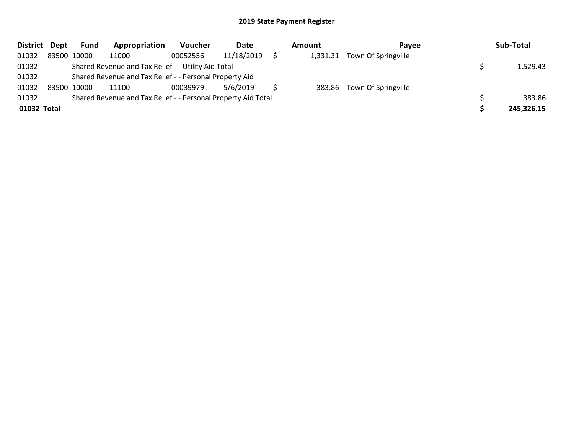| <b>District</b> | Dept | Fund        | Appropriation                                                 | <b>Voucher</b> | Date       | Amount   | Pavee                      | Sub-Total  |
|-----------------|------|-------------|---------------------------------------------------------------|----------------|------------|----------|----------------------------|------------|
| 01032           |      | 83500 10000 | 11000                                                         | 00052556       | 11/18/2019 | 1,331.31 | Town Of Springville        |            |
| 01032           |      |             | Shared Revenue and Tax Relief - - Utility Aid Total           |                |            |          |                            | 1,529.43   |
| 01032           |      |             | Shared Revenue and Tax Relief - - Personal Property Aid       |                |            |          |                            |            |
| 01032           |      | 83500 10000 | 11100                                                         | 00039979       | 5/6/2019   |          | 383.86 Town Of Springville |            |
| 01032           |      |             | Shared Revenue and Tax Relief - - Personal Property Aid Total |                |            |          |                            | 383.86     |
| 01032 Total     |      |             |                                                               |                |            |          |                            | 245,326.15 |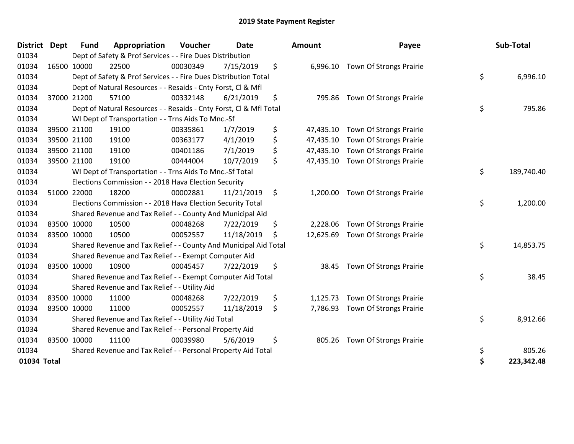| <b>District</b> | <b>Dept</b> | <b>Fund</b> | Appropriation                                                      | Voucher  | <b>Date</b> |    | Amount    | Payee                          | Sub-Total        |
|-----------------|-------------|-------------|--------------------------------------------------------------------|----------|-------------|----|-----------|--------------------------------|------------------|
| 01034           |             |             | Dept of Safety & Prof Services - - Fire Dues Distribution          |          |             |    |           |                                |                  |
| 01034           |             | 16500 10000 | 22500                                                              | 00030349 | 7/15/2019   | \$ | 6,996.10  | Town Of Strongs Prairie        |                  |
| 01034           |             |             | Dept of Safety & Prof Services - - Fire Dues Distribution Total    |          |             |    |           |                                | \$<br>6,996.10   |
| 01034           |             |             | Dept of Natural Resources - - Resaids - Cnty Forst, Cl & Mfl       |          |             |    |           |                                |                  |
| 01034           |             | 37000 21200 | 57100                                                              | 00332148 | 6/21/2019   | \$ |           | 795.86 Town Of Strongs Prairie |                  |
| 01034           |             |             | Dept of Natural Resources - - Resaids - Cnty Forst, Cl & Mfl Total |          |             |    |           |                                | \$<br>795.86     |
| 01034           |             |             | WI Dept of Transportation - - Trns Aids To Mnc.-Sf                 |          |             |    |           |                                |                  |
| 01034           |             | 39500 21100 | 19100                                                              | 00335861 | 1/7/2019    | \$ | 47,435.10 | Town Of Strongs Prairie        |                  |
| 01034           |             | 39500 21100 | 19100                                                              | 00363177 | 4/1/2019    | \$ | 47,435.10 | Town Of Strongs Prairie        |                  |
| 01034           |             | 39500 21100 | 19100                                                              | 00401186 | 7/1/2019    | \$ | 47,435.10 | Town Of Strongs Prairie        |                  |
| 01034           |             | 39500 21100 | 19100                                                              | 00444004 | 10/7/2019   | \$ | 47,435.10 | Town Of Strongs Prairie        |                  |
| 01034           |             |             | WI Dept of Transportation - - Trns Aids To Mnc.-Sf Total           |          |             |    |           |                                | \$<br>189,740.40 |
| 01034           |             |             | Elections Commission - - 2018 Hava Election Security               |          |             |    |           |                                |                  |
| 01034           |             | 51000 22000 | 18200                                                              | 00002881 | 11/21/2019  | \$ | 1,200.00  | Town Of Strongs Prairie        |                  |
| 01034           |             |             | Elections Commission - - 2018 Hava Election Security Total         |          |             |    |           |                                | \$<br>1,200.00   |
| 01034           |             |             | Shared Revenue and Tax Relief - - County And Municipal Aid         |          |             |    |           |                                |                  |
| 01034           |             | 83500 10000 | 10500                                                              | 00048268 | 7/22/2019   | \$ | 2,228.06  | Town Of Strongs Prairie        |                  |
| 01034           |             | 83500 10000 | 10500                                                              | 00052557 | 11/18/2019  | S  | 12,625.69 | Town Of Strongs Prairie        |                  |
| 01034           |             |             | Shared Revenue and Tax Relief - - County And Municipal Aid Total   |          |             |    |           |                                | \$<br>14,853.75  |
| 01034           |             |             | Shared Revenue and Tax Relief - - Exempt Computer Aid              |          |             |    |           |                                |                  |
| 01034           |             | 83500 10000 | 10900                                                              | 00045457 | 7/22/2019   | \$ | 38.45     | Town Of Strongs Prairie        |                  |
| 01034           |             |             | Shared Revenue and Tax Relief - - Exempt Computer Aid Total        |          |             |    |           |                                | \$<br>38.45      |
| 01034           |             |             | Shared Revenue and Tax Relief - - Utility Aid                      |          |             |    |           |                                |                  |
| 01034           |             | 83500 10000 | 11000                                                              | 00048268 | 7/22/2019   | \$ | 1,125.73  | Town Of Strongs Prairie        |                  |
| 01034           |             | 83500 10000 | 11000                                                              | 00052557 | 11/18/2019  | \$ | 7,786.93  | Town Of Strongs Prairie        |                  |
| 01034           |             |             | Shared Revenue and Tax Relief - - Utility Aid Total                |          |             |    |           |                                | \$<br>8,912.66   |
| 01034           |             |             | Shared Revenue and Tax Relief - - Personal Property Aid            |          |             |    |           |                                |                  |
| 01034           |             | 83500 10000 | 11100                                                              | 00039980 | 5/6/2019    | \$ | 805.26    | Town Of Strongs Prairie        |                  |
| 01034           |             |             | Shared Revenue and Tax Relief - - Personal Property Aid Total      |          |             |    |           |                                | \$<br>805.26     |
| 01034 Total     |             |             |                                                                    |          |             |    |           |                                | \$<br>223,342.48 |

| District Dept | <b>Fund</b> | Appropriation                                                      | Voucher  | <b>Date</b> | Amount          | Payee                            | Sub-Total        |
|---------------|-------------|--------------------------------------------------------------------|----------|-------------|-----------------|----------------------------------|------------------|
| 01034         |             | Dept of Safety & Prof Services - - Fire Dues Distribution          |          |             |                 |                                  |                  |
| 01034         | 16500 10000 | 22500                                                              | 00030349 | 7/15/2019   | \$              | 6,996.10 Town Of Strongs Prairie |                  |
| 01034         |             | Dept of Safety & Prof Services - - Fire Dues Distribution Total    |          |             |                 |                                  | \$<br>6,996.10   |
| 01034         |             | Dept of Natural Resources - - Resaids - Cnty Forst, CI & Mfl       |          |             |                 |                                  |                  |
| 01034         | 37000 21200 | 57100                                                              | 00332148 | 6/21/2019   | \$              | 795.86 Town Of Strongs Prairie   |                  |
| 01034         |             | Dept of Natural Resources - - Resaids - Cnty Forst, CI & Mfl Total |          |             |                 |                                  | \$<br>795.86     |
| 01034         |             | WI Dept of Transportation - - Trns Aids To Mnc.-Sf                 |          |             |                 |                                  |                  |
| 01034         | 39500 21100 | 19100                                                              | 00335861 | 1/7/2019    | \$<br>47,435.10 | <b>Town Of Strongs Prairie</b>   |                  |
| 01034         | 39500 21100 | 19100                                                              | 00363177 | 4/1/2019    | \$<br>47,435.10 | Town Of Strongs Prairie          |                  |
| 01034         | 39500 21100 | 19100                                                              | 00401186 | 7/1/2019    | \$<br>47,435.10 | Town Of Strongs Prairie          |                  |
| 01034         | 39500 21100 | 19100                                                              | 00444004 | 10/7/2019   | \$<br>47,435.10 | Town Of Strongs Prairie          |                  |
| 01034         |             | WI Dept of Transportation - - Trns Aids To Mnc.-Sf Total           |          |             |                 |                                  | \$<br>189,740.40 |
| 01034         |             | Elections Commission - - 2018 Hava Election Security               |          |             |                 |                                  |                  |
| 01034         | 51000 22000 | 18200                                                              | 00002881 | 11/21/2019  | \$<br>1,200.00  | Town Of Strongs Prairie          |                  |
| 01034         |             | Elections Commission - - 2018 Hava Election Security Total         |          |             |                 |                                  | \$<br>1,200.00   |
| 01034         |             | Shared Revenue and Tax Relief - - County And Municipal Aid         |          |             |                 |                                  |                  |
| 01034         | 83500 10000 | 10500                                                              | 00048268 | 7/22/2019   | \$<br>2,228.06  | Town Of Strongs Prairie          |                  |
| 01034         | 83500 10000 | 10500                                                              | 00052557 | 11/18/2019  | \$<br>12,625.69 | Town Of Strongs Prairie          |                  |
| 01034         |             | Shared Revenue and Tax Relief - - County And Municipal Aid Total   |          |             |                 |                                  | \$<br>14,853.75  |
| 01034         |             | Shared Revenue and Tax Relief - - Exempt Computer Aid              |          |             |                 |                                  |                  |
| 01034         | 83500 10000 | 10900                                                              | 00045457 | 7/22/2019   | \$<br>38.45     | Town Of Strongs Prairie          |                  |
| 01034         |             | Shared Revenue and Tax Relief - - Exempt Computer Aid Total        |          |             |                 |                                  | \$<br>38.45      |
| 01034         |             | Shared Revenue and Tax Relief - - Utility Aid                      |          |             |                 |                                  |                  |
| 01034         | 83500 10000 | 11000                                                              | 00048268 | 7/22/2019   | \$<br>1,125.73  | Town Of Strongs Prairie          |                  |
| 01034         | 83500 10000 | 11000                                                              | 00052557 | 11/18/2019  | \$<br>7,786.93  | Town Of Strongs Prairie          |                  |
| 01034         |             | Shared Revenue and Tax Relief - - Utility Aid Total                |          |             |                 |                                  | \$<br>8,912.66   |
| 01034         |             | Shared Revenue and Tax Relief - - Personal Property Aid            |          |             |                 |                                  |                  |
| 01034         | 83500 10000 | 11100                                                              | 00039980 | 5/6/2019    | \$<br>805.26    | Town Of Strongs Prairie          |                  |
| 01034         |             | Shared Revenue and Tax Relief - - Personal Property Aid Total      |          |             |                 |                                  | \$<br>805.26     |
| 01034 Total   |             |                                                                    |          |             |                 |                                  | \$<br>223,342.48 |
|               |             |                                                                    |          |             |                 |                                  |                  |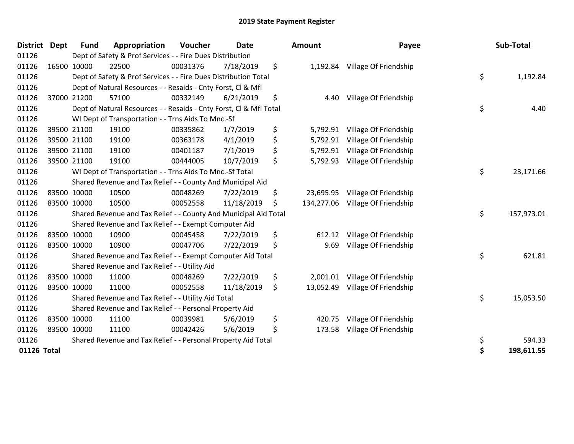| <b>District</b> | <b>Dept</b> | <b>Fund</b> | Appropriation                                                      | Voucher  | <b>Date</b> | Amount           | Payee                 | Sub-Total        |
|-----------------|-------------|-------------|--------------------------------------------------------------------|----------|-------------|------------------|-----------------------|------------------|
| 01126           |             |             | Dept of Safety & Prof Services - - Fire Dues Distribution          |          |             |                  |                       |                  |
| 01126           |             | 16500 10000 | 22500                                                              | 00031376 | 7/18/2019   | \$<br>1,192.84   | Village Of Friendship |                  |
| 01126           |             |             | Dept of Safety & Prof Services - - Fire Dues Distribution Total    |          |             |                  |                       | \$<br>1,192.84   |
| 01126           |             |             | Dept of Natural Resources - - Resaids - Cnty Forst, CI & Mfl       |          |             |                  |                       |                  |
| 01126           |             | 37000 21200 | 57100                                                              | 00332149 | 6/21/2019   | \$<br>4.40       | Village Of Friendship |                  |
| 01126           |             |             | Dept of Natural Resources - - Resaids - Cnty Forst, Cl & Mfl Total |          |             |                  |                       | \$<br>4.40       |
| 01126           |             |             | WI Dept of Transportation - - Trns Aids To Mnc.-Sf                 |          |             |                  |                       |                  |
| 01126           |             | 39500 21100 | 19100                                                              | 00335862 | 1/7/2019    | \$<br>5,792.91   | Village Of Friendship |                  |
| 01126           |             | 39500 21100 | 19100                                                              | 00363178 | 4/1/2019    | \$<br>5,792.91   | Village Of Friendship |                  |
| 01126           |             | 39500 21100 | 19100                                                              | 00401187 | 7/1/2019    | \$<br>5,792.91   | Village Of Friendship |                  |
| 01126           |             | 39500 21100 | 19100                                                              | 00444005 | 10/7/2019   | \$<br>5,792.93   | Village Of Friendship |                  |
| 01126           |             |             | WI Dept of Transportation - - Trns Aids To Mnc.-Sf Total           |          |             |                  |                       | \$<br>23,171.66  |
| 01126           |             |             | Shared Revenue and Tax Relief - - County And Municipal Aid         |          |             |                  |                       |                  |
| 01126           |             | 83500 10000 | 10500                                                              | 00048269 | 7/22/2019   | \$<br>23,695.95  | Village Of Friendship |                  |
| 01126           | 83500 10000 |             | 10500                                                              | 00052558 | 11/18/2019  | \$<br>134,277.06 | Village Of Friendship |                  |
| 01126           |             |             | Shared Revenue and Tax Relief - - County And Municipal Aid Total   |          |             |                  |                       | \$<br>157,973.01 |
| 01126           |             |             | Shared Revenue and Tax Relief - - Exempt Computer Aid              |          |             |                  |                       |                  |
| 01126           |             | 83500 10000 | 10900                                                              | 00045458 | 7/22/2019   | \$<br>612.12     | Village Of Friendship |                  |
| 01126           | 83500 10000 |             | 10900                                                              | 00047706 | 7/22/2019   | \$<br>9.69       | Village Of Friendship |                  |
| 01126           |             |             | Shared Revenue and Tax Relief - - Exempt Computer Aid Total        |          |             |                  |                       | \$<br>621.81     |
| 01126           |             |             | Shared Revenue and Tax Relief - - Utility Aid                      |          |             |                  |                       |                  |
| 01126           |             | 83500 10000 | 11000                                                              | 00048269 | 7/22/2019   | \$<br>2,001.01   | Village Of Friendship |                  |
| 01126           | 83500 10000 |             | 11000                                                              | 00052558 | 11/18/2019  | \$<br>13,052.49  | Village Of Friendship |                  |
| 01126           |             |             | Shared Revenue and Tax Relief - - Utility Aid Total                |          |             |                  |                       | \$<br>15,053.50  |
| 01126           |             |             | Shared Revenue and Tax Relief - - Personal Property Aid            |          |             |                  |                       |                  |
| 01126           |             | 83500 10000 | 11100                                                              | 00039981 | 5/6/2019    | \$<br>420.75     | Village Of Friendship |                  |
| 01126           | 83500 10000 |             | 11100                                                              | 00042426 | 5/6/2019    | \$<br>173.58     | Village Of Friendship |                  |
| 01126           |             |             | Shared Revenue and Tax Relief - - Personal Property Aid Total      |          |             |                  |                       | \$<br>594.33     |
| 01126 Total     |             |             |                                                                    |          |             |                  |                       | \$<br>198,611.55 |

| nount      | Payee                 | Sub-Total        |
|------------|-----------------------|------------------|
| 1,192.84   | Village Of Friendship |                  |
|            |                       | \$<br>1,192.84   |
| 4.40       | Village Of Friendship |                  |
|            |                       | \$<br>4.40       |
| 5,792.91   | Village Of Friendship |                  |
| 5,792.91   | Village Of Friendship |                  |
| 5,792.91   | Village Of Friendship |                  |
| 5,792.93   | Village Of Friendship |                  |
|            |                       | \$<br>23,171.66  |
| 23,695.95  | Village Of Friendship |                  |
| 134,277.06 | Village Of Friendship |                  |
|            |                       | \$<br>157,973.01 |
| 612.12     | Village Of Friendship |                  |
| 9.69       | Village Of Friendship |                  |
|            |                       | \$<br>621.81     |
| 2,001.01   | Village Of Friendship |                  |
| 13,052.49  | Village Of Friendship |                  |
|            |                       | \$<br>15,053.50  |
| 420.75     | Village Of Friendship |                  |
| 173.58     | Village Of Friendship |                  |
|            |                       | \$<br>594.33     |
|            |                       | \$<br>198,611.55 |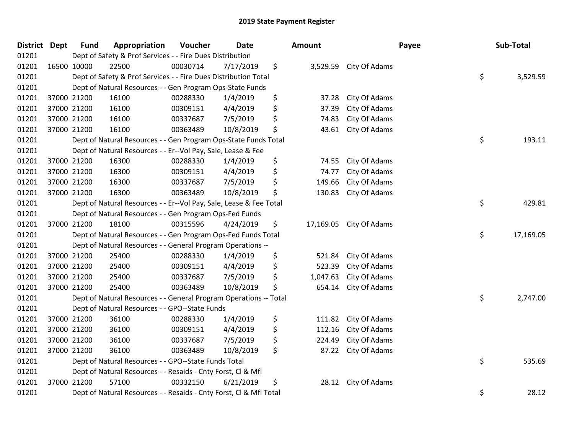| <b>District Dept</b> | <b>Fund</b> | Appropriation                                                      | Voucher  | <b>Date</b> |    | Amount    |               | Payee | Sub-Total       |  |
|----------------------|-------------|--------------------------------------------------------------------|----------|-------------|----|-----------|---------------|-------|-----------------|--|
| 01201                |             | Dept of Safety & Prof Services - - Fire Dues Distribution          |          |             |    |           |               |       |                 |  |
| 01201                | 16500 10000 | 22500                                                              | 00030714 | 7/17/2019   | \$ | 3,529.59  | City Of Adams |       |                 |  |
| 01201                |             | Dept of Safety & Prof Services - - Fire Dues Distribution Total    |          |             |    |           |               |       | \$<br>3,529.59  |  |
| 01201                |             | Dept of Natural Resources - - Gen Program Ops-State Funds          |          |             |    |           |               |       |                 |  |
| 01201                | 37000 21200 | 16100                                                              | 00288330 | 1/4/2019    | \$ | 37.28     | City Of Adams |       |                 |  |
| 01201                | 37000 21200 | 16100                                                              | 00309151 | 4/4/2019    | \$ | 37.39     | City Of Adams |       |                 |  |
| 01201                | 37000 21200 | 16100                                                              | 00337687 | 7/5/2019    | \$ | 74.83     | City Of Adams |       |                 |  |
| 01201                | 37000 21200 | 16100                                                              | 00363489 | 10/8/2019   | \$ | 43.61     | City Of Adams |       |                 |  |
| 01201                |             | Dept of Natural Resources - - Gen Program Ops-State Funds Total    |          |             |    |           |               |       | \$<br>193.11    |  |
| 01201                |             | Dept of Natural Resources - - Er--Vol Pay, Sale, Lease & Fee       |          |             |    |           |               |       |                 |  |
| 01201                | 37000 21200 | 16300                                                              | 00288330 | 1/4/2019    | \$ | 74.55     | City Of Adams |       |                 |  |
| 01201                | 37000 21200 | 16300                                                              | 00309151 | 4/4/2019    | \$ | 74.77     | City Of Adams |       |                 |  |
| 01201                | 37000 21200 | 16300                                                              | 00337687 | 7/5/2019    | \$ | 149.66    | City Of Adams |       |                 |  |
| 01201                | 37000 21200 | 16300                                                              | 00363489 | 10/8/2019   | \$ | 130.83    | City Of Adams |       |                 |  |
| 01201                |             | Dept of Natural Resources - - Er--Vol Pay, Sale, Lease & Fee Total |          |             |    |           |               |       | \$<br>429.81    |  |
| 01201                |             | Dept of Natural Resources - - Gen Program Ops-Fed Funds            |          |             |    |           |               |       |                 |  |
| 01201                | 37000 21200 | 18100                                                              | 00315596 | 4/24/2019   | \$ | 17,169.05 | City Of Adams |       |                 |  |
| 01201                |             | Dept of Natural Resources - - Gen Program Ops-Fed Funds Total      |          |             |    |           |               |       | \$<br>17,169.05 |  |
| 01201                |             | Dept of Natural Resources - - General Program Operations --        |          |             |    |           |               |       |                 |  |
| 01201                | 37000 21200 | 25400                                                              | 00288330 | 1/4/2019    | \$ | 521.84    | City Of Adams |       |                 |  |
| 01201                | 37000 21200 | 25400                                                              | 00309151 | 4/4/2019    | \$ | 523.39    | City Of Adams |       |                 |  |
| 01201                | 37000 21200 | 25400                                                              | 00337687 | 7/5/2019    | \$ | 1,047.63  | City Of Adams |       |                 |  |
| 01201                | 37000 21200 | 25400                                                              | 00363489 | 10/8/2019   | \$ | 654.14    | City Of Adams |       |                 |  |
| 01201                |             | Dept of Natural Resources - - General Program Operations -- Total  |          |             |    |           |               |       | \$<br>2,747.00  |  |
| 01201                |             | Dept of Natural Resources - - GPO--State Funds                     |          |             |    |           |               |       |                 |  |
| 01201                | 37000 21200 | 36100                                                              | 00288330 | 1/4/2019    | \$ | 111.82    | City Of Adams |       |                 |  |
| 01201                | 37000 21200 | 36100                                                              | 00309151 | 4/4/2019    | \$ | 112.16    | City Of Adams |       |                 |  |
| 01201                | 37000 21200 | 36100                                                              | 00337687 | 7/5/2019    | \$ | 224.49    | City Of Adams |       |                 |  |
| 01201                | 37000 21200 | 36100                                                              | 00363489 | 10/8/2019   | \$ | 87.22     | City Of Adams |       |                 |  |
| 01201                |             | Dept of Natural Resources - - GPO--State Funds Total               |          |             |    |           |               |       | \$<br>535.69    |  |
| 01201                |             | Dept of Natural Resources - - Resaids - Cnty Forst, CI & Mfl       |          |             |    |           |               |       |                 |  |
| 01201                | 37000 21200 | 57100                                                              | 00332150 | 6/21/2019   | \$ | 28.12     | City Of Adams |       |                 |  |
| 01201                |             | Dept of Natural Resources - - Resaids - Cnty Forst, CI & Mfl Total |          |             |    |           |               |       | \$<br>28.12     |  |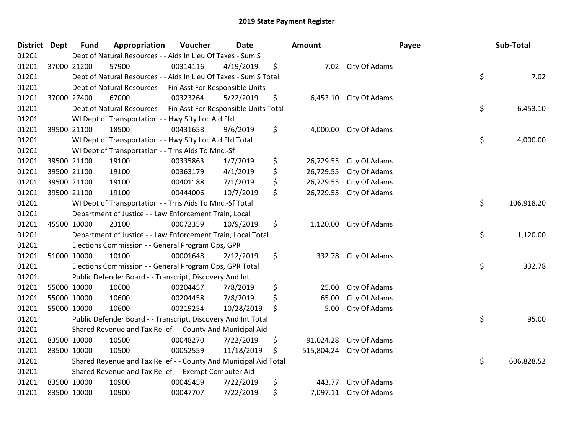| <b>District Dept</b> |             | <b>Fund</b> | Appropriation                                                      | Voucher  | <b>Date</b> | Amount           |                    | Payee | Sub-Total  |
|----------------------|-------------|-------------|--------------------------------------------------------------------|----------|-------------|------------------|--------------------|-------|------------|
| 01201                |             |             | Dept of Natural Resources - - Aids In Lieu Of Taxes - Sum S        |          |             |                  |                    |       |            |
| 01201                |             | 37000 21200 | 57900                                                              | 00314116 | 4/19/2019   | \$               | 7.02 City Of Adams |       |            |
| 01201                |             |             | Dept of Natural Resources - - Aids In Lieu Of Taxes - Sum S Total  |          |             |                  |                    | \$    | 7.02       |
| 01201                |             |             | Dept of Natural Resources - - Fin Asst For Responsible Units       |          |             |                  |                    |       |            |
| 01201                |             | 37000 27400 | 67000                                                              | 00323264 | 5/22/2019   | \$<br>6,453.10   | City Of Adams      |       |            |
| 01201                |             |             | Dept of Natural Resources - - Fin Asst For Responsible Units Total |          |             |                  |                    | \$    | 6,453.10   |
| 01201                |             |             | WI Dept of Transportation - - Hwy Sfty Loc Aid Ffd                 |          |             |                  |                    |       |            |
| 01201                |             | 39500 21100 | 18500                                                              | 00431658 | 9/6/2019    | \$<br>4,000.00   | City Of Adams      |       |            |
| 01201                |             |             | WI Dept of Transportation - - Hwy Sfty Loc Aid Ffd Total           |          |             |                  |                    | \$    | 4,000.00   |
| 01201                |             |             | WI Dept of Transportation - - Trns Aids To Mnc.-Sf                 |          |             |                  |                    |       |            |
| 01201                |             | 39500 21100 | 19100                                                              | 00335863 | 1/7/2019    | \$<br>26,729.55  | City Of Adams      |       |            |
| 01201                |             | 39500 21100 | 19100                                                              | 00363179 | 4/1/2019    | \$<br>26,729.55  | City Of Adams      |       |            |
| 01201                |             | 39500 21100 | 19100                                                              | 00401188 | 7/1/2019    | \$<br>26,729.55  | City Of Adams      |       |            |
| 01201                |             | 39500 21100 | 19100                                                              | 00444006 | 10/7/2019   | \$<br>26,729.55  | City Of Adams      |       |            |
| 01201                |             |             | WI Dept of Transportation - - Trns Aids To Mnc.-Sf Total           |          |             |                  |                    | \$    | 106,918.20 |
| 01201                |             |             | Department of Justice - - Law Enforcement Train, Local             |          |             |                  |                    |       |            |
| 01201                |             | 45500 10000 | 23100                                                              | 00072359 | 10/9/2019   | \$<br>1,120.00   | City Of Adams      |       |            |
| 01201                |             |             | Department of Justice - - Law Enforcement Train, Local Total       |          |             |                  |                    | \$    | 1,120.00   |
| 01201                |             |             | Elections Commission - - General Program Ops, GPR                  |          |             |                  |                    |       |            |
| 01201                |             | 51000 10000 | 10100                                                              | 00001648 | 2/12/2019   | \$<br>332.78     | City Of Adams      |       |            |
| 01201                |             |             | Elections Commission - - General Program Ops, GPR Total            |          |             |                  |                    | \$    | 332.78     |
| 01201                |             |             | Public Defender Board - - Transcript, Discovery And Int            |          |             |                  |                    |       |            |
| 01201                |             | 55000 10000 | 10600                                                              | 00204457 | 7/8/2019    | \$<br>25.00      | City Of Adams      |       |            |
| 01201                |             | 55000 10000 | 10600                                                              | 00204458 | 7/8/2019    | \$<br>65.00      | City Of Adams      |       |            |
| 01201                |             | 55000 10000 | 10600                                                              | 00219254 | 10/28/2019  | \$<br>5.00       | City Of Adams      |       |            |
| 01201                |             |             | Public Defender Board - - Transcript, Discovery And Int Total      |          |             |                  |                    | \$    | 95.00      |
| 01201                |             |             | Shared Revenue and Tax Relief - - County And Municipal Aid         |          |             |                  |                    |       |            |
| 01201                |             | 83500 10000 | 10500                                                              | 00048270 | 7/22/2019   | \$<br>91,024.28  | City Of Adams      |       |            |
| 01201                | 83500 10000 |             | 10500                                                              | 00052559 | 11/18/2019  | \$<br>515,804.24 | City Of Adams      |       |            |
| 01201                |             |             | Shared Revenue and Tax Relief - - County And Municipal Aid Total   |          |             |                  |                    | \$    | 606,828.52 |
| 01201                |             |             | Shared Revenue and Tax Relief - - Exempt Computer Aid              |          |             |                  |                    |       |            |
| 01201                |             | 83500 10000 | 10900                                                              | 00045459 | 7/22/2019   | \$<br>443.77     | City Of Adams      |       |            |
| 01201                |             | 83500 10000 | 10900                                                              | 00047707 | 7/22/2019   | \$<br>7,097.11   | City Of Adams      |       |            |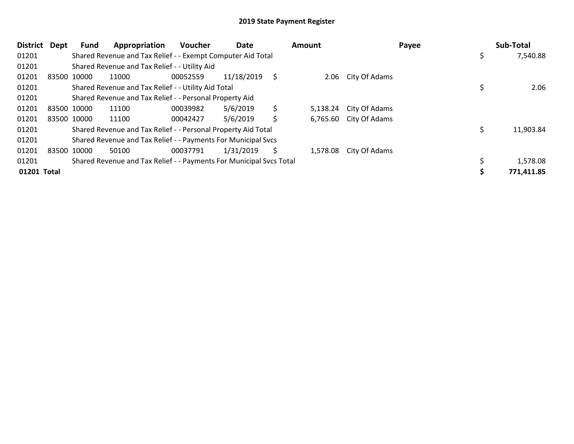| <b>District</b> | Dept | Fund        | Appropriation                                                       | Voucher  | Date       |    | <b>Amount</b> |                        | Payee | Sub-Total  |
|-----------------|------|-------------|---------------------------------------------------------------------|----------|------------|----|---------------|------------------------|-------|------------|
| 01201           |      |             | Shared Revenue and Tax Relief - - Exempt Computer Aid Total         |          |            |    |               |                        |       | 7,540.88   |
| 01201           |      |             | Shared Revenue and Tax Relief - - Utility Aid                       |          |            |    |               |                        |       |            |
| 01201           |      | 83500 10000 | 11000                                                               | 00052559 | 11/18/2019 | S  | 2.06          | City Of Adams          |       |            |
| 01201           |      |             | Shared Revenue and Tax Relief - - Utility Aid Total                 |          |            |    |               |                        |       | 2.06       |
| 01201           |      |             | Shared Revenue and Tax Relief - - Personal Property Aid             |          |            |    |               |                        |       |            |
| 01201           |      | 83500 10000 | 11100                                                               | 00039982 | 5/6/2019   | \$ | 5,138.24      | City Of Adams          |       |            |
| 01201           |      | 83500 10000 | 11100                                                               | 00042427 | 5/6/2019   | \$ |               | 6,765.60 City Of Adams |       |            |
| 01201           |      |             | Shared Revenue and Tax Relief - - Personal Property Aid Total       |          |            |    |               |                        |       | 11,903.84  |
| 01201           |      |             | Shared Revenue and Tax Relief - - Payments For Municipal Svcs       |          |            |    |               |                        |       |            |
| 01201           |      | 83500 10000 | 50100                                                               | 00037791 | 1/31/2019  | Ś. | 1,578.08      | City Of Adams          |       |            |
| 01201           |      |             | Shared Revenue and Tax Relief - - Payments For Municipal Svcs Total |          |            |    |               |                        |       | 1,578.08   |
| 01201 Total     |      |             |                                                                     |          |            |    |               |                        |       | 771,411.85 |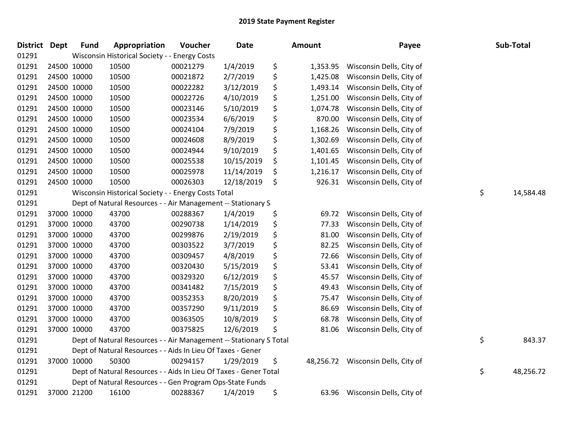| District Dept | <b>Fund</b> | Appropriation                                                      | Voucher  | <b>Date</b> | Amount          | Payee                    | Sub-Total       |
|---------------|-------------|--------------------------------------------------------------------|----------|-------------|-----------------|--------------------------|-----------------|
| 01291         |             | Wisconsin Historical Society - - Energy Costs                      |          |             |                 |                          |                 |
| 01291         | 24500 10000 | 10500                                                              | 00021279 | 1/4/2019    | \$<br>1,353.95  | Wisconsin Dells, City of |                 |
| 01291         | 24500 10000 | 10500                                                              | 00021872 | 2/7/2019    | \$<br>1,425.08  | Wisconsin Dells, City of |                 |
| 01291         | 24500 10000 | 10500                                                              | 00022282 | 3/12/2019   | \$<br>1,493.14  | Wisconsin Dells, City of |                 |
| 01291         | 24500 10000 | 10500                                                              | 00022726 | 4/10/2019   | \$<br>1,251.00  | Wisconsin Dells, City of |                 |
| 01291         | 24500 10000 | 10500                                                              | 00023146 | 5/10/2019   | \$<br>1,074.78  | Wisconsin Dells, City of |                 |
| 01291         | 24500 10000 | 10500                                                              | 00023534 | 6/6/2019    | \$<br>870.00    | Wisconsin Dells, City of |                 |
| 01291         | 24500 10000 | 10500                                                              | 00024104 | 7/9/2019    | \$<br>1,168.26  | Wisconsin Dells, City of |                 |
| 01291         | 24500 10000 | 10500                                                              | 00024608 | 8/9/2019    | \$<br>1,302.69  | Wisconsin Dells, City of |                 |
| 01291         | 24500 10000 | 10500                                                              | 00024944 | 9/10/2019   | \$<br>1,401.65  | Wisconsin Dells, City of |                 |
| 01291         | 24500 10000 | 10500                                                              | 00025538 | 10/15/2019  | \$<br>1,101.45  | Wisconsin Dells, City of |                 |
| 01291         | 24500 10000 | 10500                                                              | 00025978 | 11/14/2019  | \$<br>1,216.17  | Wisconsin Dells, City of |                 |
| 01291         | 24500 10000 | 10500                                                              | 00026303 | 12/18/2019  | \$<br>926.31    | Wisconsin Dells, City of |                 |
| 01291         |             | Wisconsin Historical Society - - Energy Costs Total                |          |             |                 |                          | \$<br>14,584.48 |
| 01291         |             | Dept of Natural Resources - - Air Management -- Stationary S       |          |             |                 |                          |                 |
| 01291         | 37000 10000 | 43700                                                              | 00288367 | 1/4/2019    | \$<br>69.72     | Wisconsin Dells, City of |                 |
| 01291         | 37000 10000 | 43700                                                              | 00290738 | 1/14/2019   | \$<br>77.33     | Wisconsin Dells, City of |                 |
| 01291         | 37000 10000 | 43700                                                              | 00299876 | 2/19/2019   | \$<br>81.00     | Wisconsin Dells, City of |                 |
| 01291         | 37000 10000 | 43700                                                              | 00303522 | 3/7/2019    | \$<br>82.25     | Wisconsin Dells, City of |                 |
| 01291         | 37000 10000 | 43700                                                              | 00309457 | 4/8/2019    | \$<br>72.66     | Wisconsin Dells, City of |                 |
| 01291         | 37000 10000 | 43700                                                              | 00320430 | 5/15/2019   | \$<br>53.41     | Wisconsin Dells, City of |                 |
| 01291         | 37000 10000 | 43700                                                              | 00329320 | 6/12/2019   | \$<br>45.57     | Wisconsin Dells, City of |                 |
| 01291         | 37000 10000 | 43700                                                              | 00341482 | 7/15/2019   | \$<br>49.43     | Wisconsin Dells, City of |                 |
| 01291         | 37000 10000 | 43700                                                              | 00352353 | 8/20/2019   | \$<br>75.47     | Wisconsin Dells, City of |                 |
| 01291         | 37000 10000 | 43700                                                              | 00357290 | 9/11/2019   | \$<br>86.69     | Wisconsin Dells, City of |                 |
| 01291         | 37000 10000 | 43700                                                              | 00363505 | 10/8/2019   | \$<br>68.78     | Wisconsin Dells, City of |                 |
| 01291         | 37000 10000 | 43700                                                              | 00375825 | 12/6/2019   | \$<br>81.06     | Wisconsin Dells, City of |                 |
| 01291         |             | Dept of Natural Resources - - Air Management -- Stationary S Total |          |             |                 |                          | \$<br>843.37    |
| 01291         |             | Dept of Natural Resources - - Aids In Lieu Of Taxes - Gener        |          |             |                 |                          |                 |
| 01291         | 37000 10000 | 50300                                                              | 00294157 | 1/29/2019   | \$<br>48,256.72 | Wisconsin Dells, City of |                 |
| 01291         |             | Dept of Natural Resources - - Aids In Lieu Of Taxes - Gener Total  |          |             |                 |                          | \$<br>48,256.72 |
| 01291         |             | Dept of Natural Resources - - Gen Program Ops-State Funds          |          |             |                 |                          |                 |
| 01291         | 37000 21200 | 16100                                                              | 00288367 | 1/4/2019    | \$<br>63.96     | Wisconsin Dells, City of |                 |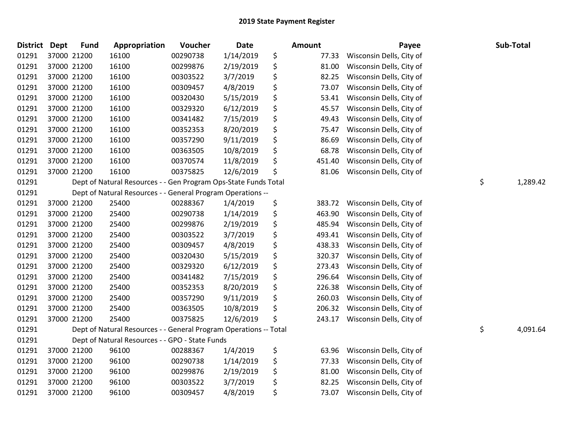| <b>District</b> | <b>Dept</b> | <b>Fund</b> | Appropriation                                                     | Voucher  | <b>Date</b> | Amount       | Payee                    | Sub-Total      |
|-----------------|-------------|-------------|-------------------------------------------------------------------|----------|-------------|--------------|--------------------------|----------------|
| 01291           |             | 37000 21200 | 16100                                                             | 00290738 | 1/14/2019   | \$<br>77.33  | Wisconsin Dells, City of |                |
| 01291           |             | 37000 21200 | 16100                                                             | 00299876 | 2/19/2019   | \$<br>81.00  | Wisconsin Dells, City of |                |
| 01291           |             | 37000 21200 | 16100                                                             | 00303522 | 3/7/2019    | \$<br>82.25  | Wisconsin Dells, City of |                |
| 01291           |             | 37000 21200 | 16100                                                             | 00309457 | 4/8/2019    | \$<br>73.07  | Wisconsin Dells, City of |                |
| 01291           |             | 37000 21200 | 16100                                                             | 00320430 | 5/15/2019   | \$<br>53.41  | Wisconsin Dells, City of |                |
| 01291           |             | 37000 21200 | 16100                                                             | 00329320 | 6/12/2019   | \$<br>45.57  | Wisconsin Dells, City of |                |
| 01291           |             | 37000 21200 | 16100                                                             | 00341482 | 7/15/2019   | \$<br>49.43  | Wisconsin Dells, City of |                |
| 01291           |             | 37000 21200 | 16100                                                             | 00352353 | 8/20/2019   | \$<br>75.47  | Wisconsin Dells, City of |                |
| 01291           |             | 37000 21200 | 16100                                                             | 00357290 | 9/11/2019   | \$<br>86.69  | Wisconsin Dells, City of |                |
| 01291           |             | 37000 21200 | 16100                                                             | 00363505 | 10/8/2019   | \$<br>68.78  | Wisconsin Dells, City of |                |
| 01291           |             | 37000 21200 | 16100                                                             | 00370574 | 11/8/2019   | \$<br>451.40 | Wisconsin Dells, City of |                |
| 01291           |             | 37000 21200 | 16100                                                             | 00375825 | 12/6/2019   | \$<br>81.06  | Wisconsin Dells, City of |                |
| 01291           |             |             | Dept of Natural Resources - - Gen Program Ops-State Funds Total   |          |             |              |                          | \$<br>1,289.42 |
| 01291           |             |             | Dept of Natural Resources - - General Program Operations --       |          |             |              |                          |                |
| 01291           |             | 37000 21200 | 25400                                                             | 00288367 | 1/4/2019    | \$<br>383.72 | Wisconsin Dells, City of |                |
| 01291           |             | 37000 21200 | 25400                                                             | 00290738 | 1/14/2019   | \$<br>463.90 | Wisconsin Dells, City of |                |
| 01291           |             | 37000 21200 | 25400                                                             | 00299876 | 2/19/2019   | \$<br>485.94 | Wisconsin Dells, City of |                |
| 01291           |             | 37000 21200 | 25400                                                             | 00303522 | 3/7/2019    | \$<br>493.41 | Wisconsin Dells, City of |                |
| 01291           |             | 37000 21200 | 25400                                                             | 00309457 | 4/8/2019    | \$<br>438.33 | Wisconsin Dells, City of |                |
| 01291           |             | 37000 21200 | 25400                                                             | 00320430 | 5/15/2019   | \$<br>320.37 | Wisconsin Dells, City of |                |
| 01291           |             | 37000 21200 | 25400                                                             | 00329320 | 6/12/2019   | \$<br>273.43 | Wisconsin Dells, City of |                |
| 01291           |             | 37000 21200 | 25400                                                             | 00341482 | 7/15/2019   | \$<br>296.64 | Wisconsin Dells, City of |                |
| 01291           |             | 37000 21200 | 25400                                                             | 00352353 | 8/20/2019   | \$<br>226.38 | Wisconsin Dells, City of |                |
| 01291           |             | 37000 21200 | 25400                                                             | 00357290 | 9/11/2019   | \$<br>260.03 | Wisconsin Dells, City of |                |
| 01291           |             | 37000 21200 | 25400                                                             | 00363505 | 10/8/2019   | \$<br>206.32 | Wisconsin Dells, City of |                |
| 01291           |             | 37000 21200 | 25400                                                             | 00375825 | 12/6/2019   | \$<br>243.17 | Wisconsin Dells, City of |                |
| 01291           |             |             | Dept of Natural Resources - - General Program Operations -- Total |          |             |              |                          | \$<br>4,091.64 |
| 01291           |             |             | Dept of Natural Resources - - GPO - State Funds                   |          |             |              |                          |                |
| 01291           |             | 37000 21200 | 96100                                                             | 00288367 | 1/4/2019    | \$<br>63.96  | Wisconsin Dells, City of |                |
| 01291           |             | 37000 21200 | 96100                                                             | 00290738 | 1/14/2019   | \$<br>77.33  | Wisconsin Dells, City of |                |
| 01291           |             | 37000 21200 | 96100                                                             | 00299876 | 2/19/2019   | \$<br>81.00  | Wisconsin Dells, City of |                |
| 01291           |             | 37000 21200 | 96100                                                             | 00303522 | 3/7/2019    | \$<br>82.25  | Wisconsin Dells, City of |                |
| 01291           |             | 37000 21200 | 96100                                                             | 00309457 | 4/8/2019    | \$<br>73.07  | Wisconsin Dells, City of |                |
|                 |             |             |                                                                   |          |             |              |                          |                |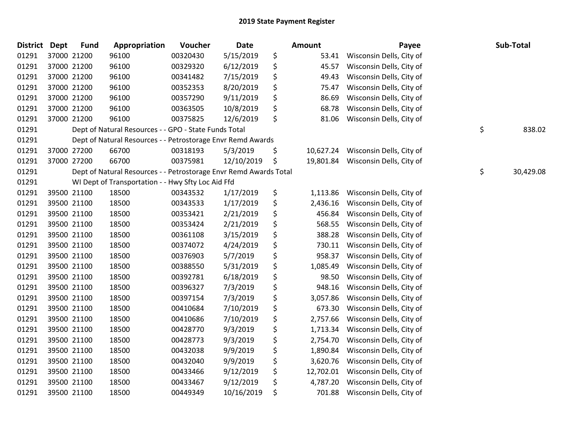| <b>District Dept</b> |             | <b>Fund</b> | Appropriation                                                     | Voucher  | Date       | Amount          | Payee                    | Sub-Total       |
|----------------------|-------------|-------------|-------------------------------------------------------------------|----------|------------|-----------------|--------------------------|-----------------|
| 01291                | 37000 21200 |             | 96100                                                             | 00320430 | 5/15/2019  | \$<br>53.41     | Wisconsin Dells, City of |                 |
| 01291                | 37000 21200 |             | 96100                                                             | 00329320 | 6/12/2019  | \$<br>45.57     | Wisconsin Dells, City of |                 |
| 01291                | 37000 21200 |             | 96100                                                             | 00341482 | 7/15/2019  | \$<br>49.43     | Wisconsin Dells, City of |                 |
| 01291                | 37000 21200 |             | 96100                                                             | 00352353 | 8/20/2019  | \$<br>75.47     | Wisconsin Dells, City of |                 |
| 01291                | 37000 21200 |             | 96100                                                             | 00357290 | 9/11/2019  | \$<br>86.69     | Wisconsin Dells, City of |                 |
| 01291                | 37000 21200 |             | 96100                                                             | 00363505 | 10/8/2019  | \$<br>68.78     | Wisconsin Dells, City of |                 |
| 01291                | 37000 21200 |             | 96100                                                             | 00375825 | 12/6/2019  | \$<br>81.06     | Wisconsin Dells, City of |                 |
| 01291                |             |             | Dept of Natural Resources - - GPO - State Funds Total             |          |            |                 |                          | \$<br>838.02    |
| 01291                |             |             | Dept of Natural Resources - - Petrostorage Envr Remd Awards       |          |            |                 |                          |                 |
| 01291                | 37000 27200 |             | 66700                                                             | 00318193 | 5/3/2019   | \$<br>10,627.24 | Wisconsin Dells, City of |                 |
| 01291                | 37000 27200 |             | 66700                                                             | 00375981 | 12/10/2019 | \$<br>19,801.84 | Wisconsin Dells, City of |                 |
| 01291                |             |             | Dept of Natural Resources - - Petrostorage Envr Remd Awards Total |          |            |                 |                          | \$<br>30,429.08 |
| 01291                |             |             | WI Dept of Transportation - - Hwy Sfty Loc Aid Ffd                |          |            |                 |                          |                 |
| 01291                | 39500 21100 |             | 18500                                                             | 00343532 | 1/17/2019  | \$<br>1,113.86  | Wisconsin Dells, City of |                 |
| 01291                | 39500 21100 |             | 18500                                                             | 00343533 | 1/17/2019  | \$<br>2,436.16  | Wisconsin Dells, City of |                 |
| 01291                | 39500 21100 |             | 18500                                                             | 00353421 | 2/21/2019  | \$<br>456.84    | Wisconsin Dells, City of |                 |
| 01291                | 39500 21100 |             | 18500                                                             | 00353424 | 2/21/2019  | \$<br>568.55    | Wisconsin Dells, City of |                 |
| 01291                | 39500 21100 |             | 18500                                                             | 00361108 | 3/15/2019  | \$<br>388.28    | Wisconsin Dells, City of |                 |
| 01291                | 39500 21100 |             | 18500                                                             | 00374072 | 4/24/2019  | \$<br>730.11    | Wisconsin Dells, City of |                 |
| 01291                | 39500 21100 |             | 18500                                                             | 00376903 | 5/7/2019   | \$<br>958.37    | Wisconsin Dells, City of |                 |
| 01291                | 39500 21100 |             | 18500                                                             | 00388550 | 5/31/2019  | \$<br>1,085.49  | Wisconsin Dells, City of |                 |
| 01291                | 39500 21100 |             | 18500                                                             | 00392781 | 6/18/2019  | \$<br>98.50     | Wisconsin Dells, City of |                 |
| 01291                | 39500 21100 |             | 18500                                                             | 00396327 | 7/3/2019   | \$<br>948.16    | Wisconsin Dells, City of |                 |
| 01291                | 39500 21100 |             | 18500                                                             | 00397154 | 7/3/2019   | \$<br>3,057.86  | Wisconsin Dells, City of |                 |
| 01291                | 39500 21100 |             | 18500                                                             | 00410684 | 7/10/2019  | \$<br>673.30    | Wisconsin Dells, City of |                 |
| 01291                | 39500 21100 |             | 18500                                                             | 00410686 | 7/10/2019  | \$<br>2,757.66  | Wisconsin Dells, City of |                 |
| 01291                | 39500 21100 |             | 18500                                                             | 00428770 | 9/3/2019   | \$<br>1,713.34  | Wisconsin Dells, City of |                 |
| 01291                | 39500 21100 |             | 18500                                                             | 00428773 | 9/3/2019   | \$<br>2,754.70  | Wisconsin Dells, City of |                 |
| 01291                | 39500 21100 |             | 18500                                                             | 00432038 | 9/9/2019   | \$<br>1,890.84  | Wisconsin Dells, City of |                 |
| 01291                | 39500 21100 |             | 18500                                                             | 00432040 | 9/9/2019   | \$<br>3,620.76  | Wisconsin Dells, City of |                 |
| 01291                | 39500 21100 |             | 18500                                                             | 00433466 | 9/12/2019  | \$<br>12,702.01 | Wisconsin Dells, City of |                 |
| 01291                | 39500 21100 |             | 18500                                                             | 00433467 | 9/12/2019  | \$<br>4,787.20  | Wisconsin Dells, City of |                 |
| 01291                | 39500 21100 |             | 18500                                                             | 00449349 | 10/16/2019 | \$<br>701.88    | Wisconsin Dells, City of |                 |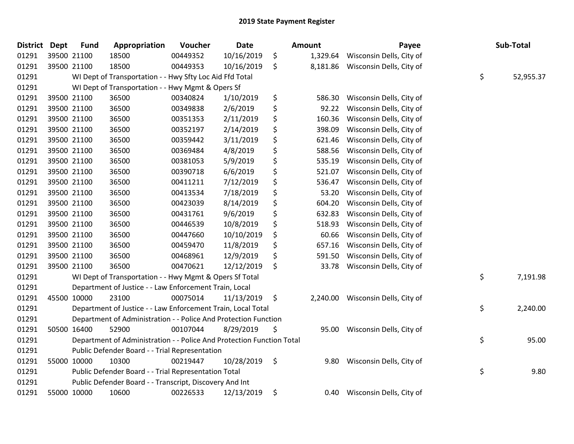| <b>District</b> | <b>Dept</b> | <b>Fund</b> | Appropriation                                                         | Voucher  | <b>Date</b> | <b>Amount</b>  | Payee                             | Sub-Total       |
|-----------------|-------------|-------------|-----------------------------------------------------------------------|----------|-------------|----------------|-----------------------------------|-----------------|
| 01291           |             | 39500 21100 | 18500                                                                 | 00449352 | 10/16/2019  | \$<br>1,329.64 | Wisconsin Dells, City of          |                 |
| 01291           |             | 39500 21100 | 18500                                                                 | 00449353 | 10/16/2019  | \$             | 8,181.86 Wisconsin Dells, City of |                 |
| 01291           |             |             | WI Dept of Transportation - - Hwy Sfty Loc Aid Ffd Total              |          |             |                |                                   | \$<br>52,955.37 |
| 01291           |             |             | WI Dept of Transportation - - Hwy Mgmt & Opers Sf                     |          |             |                |                                   |                 |
| 01291           |             | 39500 21100 | 36500                                                                 | 00340824 | 1/10/2019   | \$<br>586.30   | Wisconsin Dells, City of          |                 |
| 01291           |             | 39500 21100 | 36500                                                                 | 00349838 | 2/6/2019    | \$<br>92.22    | Wisconsin Dells, City of          |                 |
| 01291           |             | 39500 21100 | 36500                                                                 | 00351353 | 2/11/2019   | \$<br>160.36   | Wisconsin Dells, City of          |                 |
| 01291           |             | 39500 21100 | 36500                                                                 | 00352197 | 2/14/2019   | \$<br>398.09   | Wisconsin Dells, City of          |                 |
| 01291           |             | 39500 21100 | 36500                                                                 | 00359442 | 3/11/2019   | \$<br>621.46   | Wisconsin Dells, City of          |                 |
| 01291           |             | 39500 21100 | 36500                                                                 | 00369484 | 4/8/2019    | \$<br>588.56   | Wisconsin Dells, City of          |                 |
| 01291           |             | 39500 21100 | 36500                                                                 | 00381053 | 5/9/2019    | \$<br>535.19   | Wisconsin Dells, City of          |                 |
| 01291           |             | 39500 21100 | 36500                                                                 | 00390718 | 6/6/2019    | \$<br>521.07   | Wisconsin Dells, City of          |                 |
| 01291           |             | 39500 21100 | 36500                                                                 | 00411211 | 7/12/2019   | \$<br>536.47   | Wisconsin Dells, City of          |                 |
| 01291           |             | 39500 21100 | 36500                                                                 | 00413534 | 7/18/2019   | \$<br>53.20    | Wisconsin Dells, City of          |                 |
| 01291           |             | 39500 21100 | 36500                                                                 | 00423039 | 8/14/2019   | \$<br>604.20   | Wisconsin Dells, City of          |                 |
| 01291           |             | 39500 21100 | 36500                                                                 | 00431761 | 9/6/2019    | \$<br>632.83   | Wisconsin Dells, City of          |                 |
| 01291           |             | 39500 21100 | 36500                                                                 | 00446539 | 10/8/2019   | \$<br>518.93   | Wisconsin Dells, City of          |                 |
| 01291           |             | 39500 21100 | 36500                                                                 | 00447660 | 10/10/2019  | \$<br>60.66    | Wisconsin Dells, City of          |                 |
| 01291           |             | 39500 21100 | 36500                                                                 | 00459470 | 11/8/2019   | \$<br>657.16   | Wisconsin Dells, City of          |                 |
| 01291           |             | 39500 21100 | 36500                                                                 | 00468961 | 12/9/2019   | \$<br>591.50   | Wisconsin Dells, City of          |                 |
| 01291           |             | 39500 21100 | 36500                                                                 | 00470621 | 12/12/2019  | \$<br>33.78    | Wisconsin Dells, City of          |                 |
| 01291           |             |             | WI Dept of Transportation - - Hwy Mgmt & Opers Sf Total               |          |             |                |                                   | \$<br>7,191.98  |
| 01291           |             |             | Department of Justice - - Law Enforcement Train, Local                |          |             |                |                                   |                 |
| 01291           |             | 45500 10000 | 23100                                                                 | 00075014 | 11/13/2019  | \$<br>2,240.00 | Wisconsin Dells, City of          |                 |
| 01291           |             |             | Department of Justice - - Law Enforcement Train, Local Total          |          |             |                |                                   | \$<br>2,240.00  |
| 01291           |             |             | Department of Administration - - Police And Protection Function       |          |             |                |                                   |                 |
| 01291           |             | 50500 16400 | 52900                                                                 | 00107044 | 8/29/2019   | \$<br>95.00    | Wisconsin Dells, City of          |                 |
| 01291           |             |             | Department of Administration - - Police And Protection Function Total |          |             |                |                                   | \$<br>95.00     |
| 01291           |             |             | Public Defender Board - - Trial Representation                        |          |             |                |                                   |                 |
| 01291           |             | 55000 10000 | 10300                                                                 | 00219447 | 10/28/2019  | \$<br>9.80     | Wisconsin Dells, City of          |                 |
| 01291           |             |             | Public Defender Board - - Trial Representation Total                  |          |             |                |                                   | \$<br>9.80      |
| 01291           |             |             | Public Defender Board - - Transcript, Discovery And Int               |          |             |                |                                   |                 |
| 01291           |             | 55000 10000 | 10600                                                                 | 00226533 | 12/13/2019  | \$<br>0.40     | Wisconsin Dells, City of          |                 |